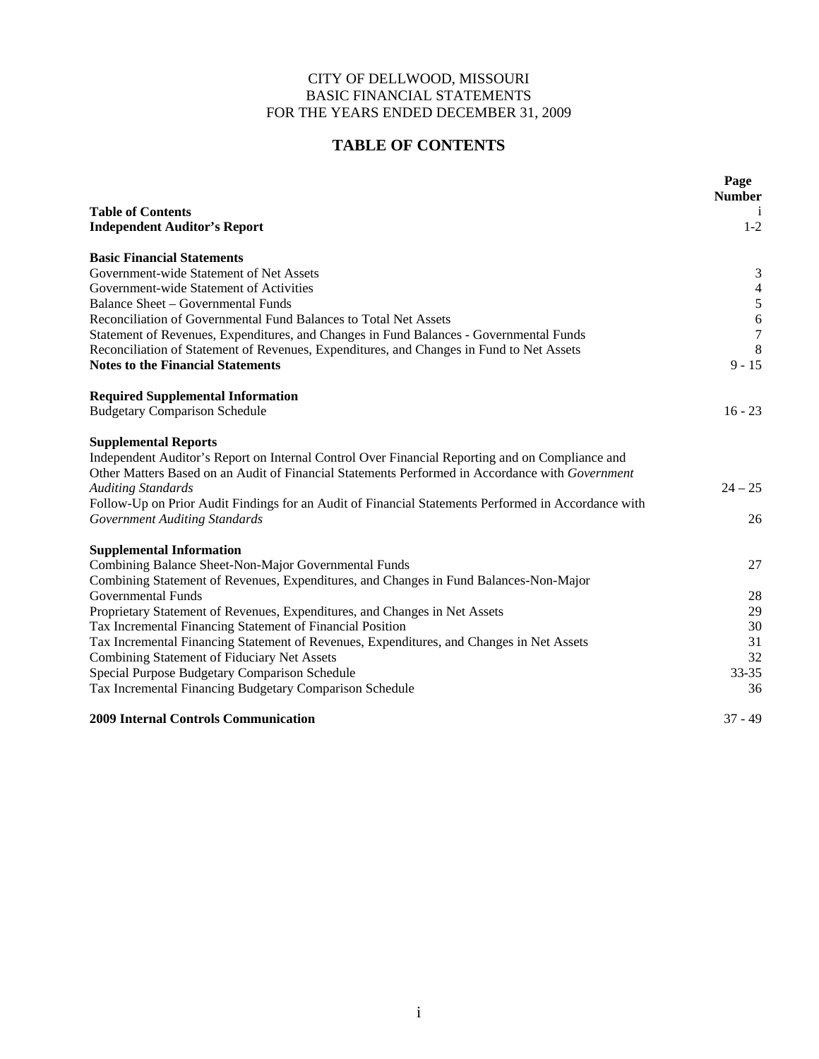# CITY OF DELLWOOD, MISSOURI BASIC FINANCIAL STATEMENTS FOR THE YEARS ENDED DECEMBER 31, 2009

# **TABLE OF CONTENTS**

|                                                                                                     | Page<br><b>Number</b> |
|-----------------------------------------------------------------------------------------------------|-----------------------|
| <b>Table of Contents</b>                                                                            |                       |
| <b>Independent Auditor's Report</b>                                                                 | $1 - 2$               |
| <b>Basic Financial Statements</b>                                                                   |                       |
| Government-wide Statement of Net Assets                                                             | 3                     |
| Government-wide Statement of Activities                                                             | $\overline{4}$        |
| <b>Balance Sheet - Governmental Funds</b>                                                           | $\sqrt{5}$            |
| Reconciliation of Governmental Fund Balances to Total Net Assets                                    | $\boldsymbol{6}$      |
| Statement of Revenues, Expenditures, and Changes in Fund Balances - Governmental Funds              | $\tau$                |
| Reconciliation of Statement of Revenues, Expenditures, and Changes in Fund to Net Assets            | $8\phantom{1}$        |
| <b>Notes to the Financial Statements</b>                                                            | $9 - 15$              |
| <b>Required Supplemental Information</b>                                                            |                       |
| <b>Budgetary Comparison Schedule</b>                                                                | $16 - 23$             |
| <b>Supplemental Reports</b>                                                                         |                       |
| Independent Auditor's Report on Internal Control Over Financial Reporting and on Compliance and     |                       |
| Other Matters Based on an Audit of Financial Statements Performed in Accordance with Government     |                       |
| <b>Auditing Standards</b>                                                                           | $24 - 25$             |
| Follow-Up on Prior Audit Findings for an Audit of Financial Statements Performed in Accordance with |                       |
| <b>Government Auditing Standards</b>                                                                | 26                    |
| <b>Supplemental Information</b>                                                                     |                       |
| Combining Balance Sheet-Non-Major Governmental Funds                                                | 27                    |
| Combining Statement of Revenues, Expenditures, and Changes in Fund Balances-Non-Major               |                       |
| <b>Governmental Funds</b>                                                                           | 28                    |
| Proprietary Statement of Revenues, Expenditures, and Changes in Net Assets                          | 29                    |
| Tax Incremental Financing Statement of Financial Position                                           | 30                    |
| Tax Incremental Financing Statement of Revenues, Expenditures, and Changes in Net Assets            | 31                    |
| Combining Statement of Fiduciary Net Assets                                                         | 32                    |
| Special Purpose Budgetary Comparison Schedule                                                       | $33 - 35$             |
| Tax Incremental Financing Budgetary Comparison Schedule                                             | 36                    |
| <b>2009 Internal Controls Communication</b>                                                         | $37 - 49$             |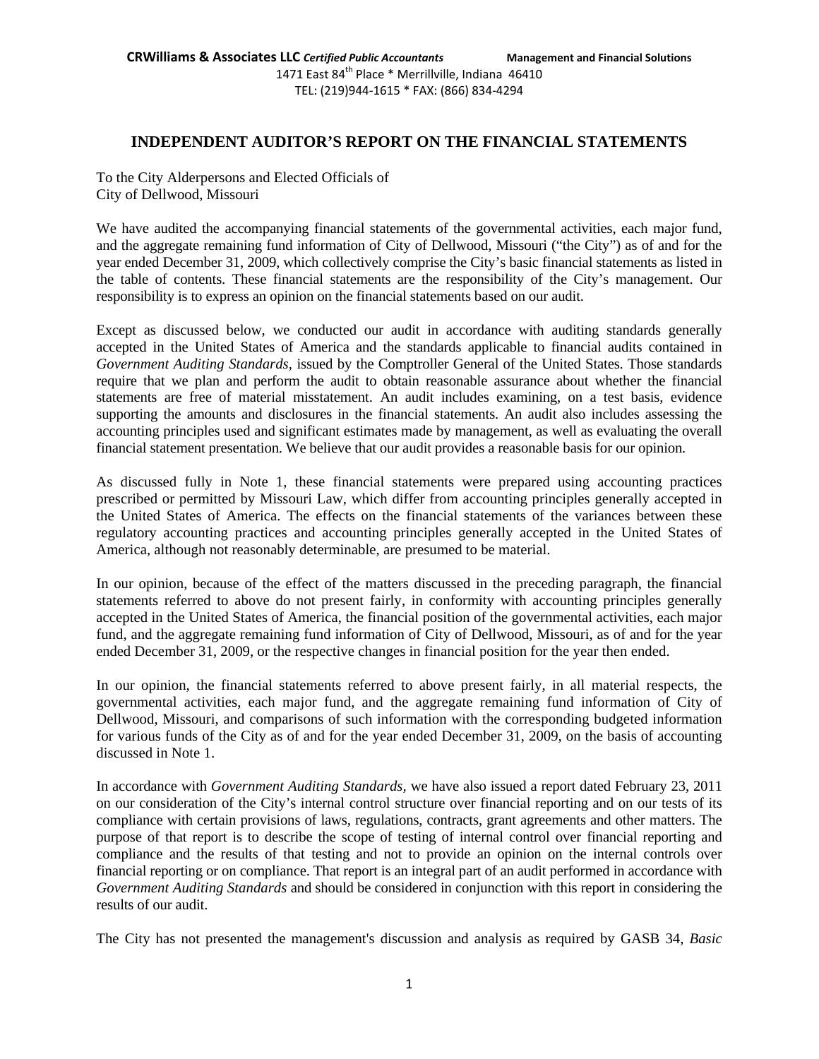# **INDEPENDENT AUDITOR'S REPORT ON THE FINANCIAL STATEMENTS**

To the City Alderpersons and Elected Officials of City of Dellwood, Missouri

We have audited the accompanying financial statements of the governmental activities, each major fund, and the aggregate remaining fund information of City of Dellwood, Missouri ("the City") as of and for the year ended December 31, 2009, which collectively comprise the City's basic financial statements as listed in the table of contents. These financial statements are the responsibility of the City's management. Our responsibility is to express an opinion on the financial statements based on our audit.

Except as discussed below, we conducted our audit in accordance with auditing standards generally accepted in the United States of America and the standards applicable to financial audits contained in *Government Auditing Standards,* issued by the Comptroller General of the United States. Those standards require that we plan and perform the audit to obtain reasonable assurance about whether the financial statements are free of material misstatement. An audit includes examining, on a test basis, evidence supporting the amounts and disclosures in the financial statements. An audit also includes assessing the accounting principles used and significant estimates made by management, as well as evaluating the overall financial statement presentation. We believe that our audit provides a reasonable basis for our opinion.

As discussed fully in Note 1, these financial statements were prepared using accounting practices prescribed or permitted by Missouri Law, which differ from accounting principles generally accepted in the United States of America. The effects on the financial statements of the variances between these regulatory accounting practices and accounting principles generally accepted in the United States of America, although not reasonably determinable, are presumed to be material.

In our opinion, because of the effect of the matters discussed in the preceding paragraph, the financial statements referred to above do not present fairly, in conformity with accounting principles generally accepted in the United States of America, the financial position of the governmental activities, each major fund, and the aggregate remaining fund information of City of Dellwood, Missouri, as of and for the year ended December 31, 2009, or the respective changes in financial position for the year then ended.

In our opinion, the financial statements referred to above present fairly, in all material respects, the governmental activities, each major fund, and the aggregate remaining fund information of City of Dellwood, Missouri, and comparisons of such information with the corresponding budgeted information for various funds of the City as of and for the year ended December 31, 2009, on the basis of accounting discussed in Note 1.

In accordance with *Government Auditing Standards,* we have also issued a report dated February 23, 2011 on our consideration of the City's internal control structure over financial reporting and on our tests of its compliance with certain provisions of laws, regulations, contracts, grant agreements and other matters. The purpose of that report is to describe the scope of testing of internal control over financial reporting and compliance and the results of that testing and not to provide an opinion on the internal controls over financial reporting or on compliance. That report is an integral part of an audit performed in accordance with *Government Auditing Standards* and should be considered in conjunction with this report in considering the results of our audit.

The City has not presented the management's discussion and analysis as required by GASB 34, *Basic*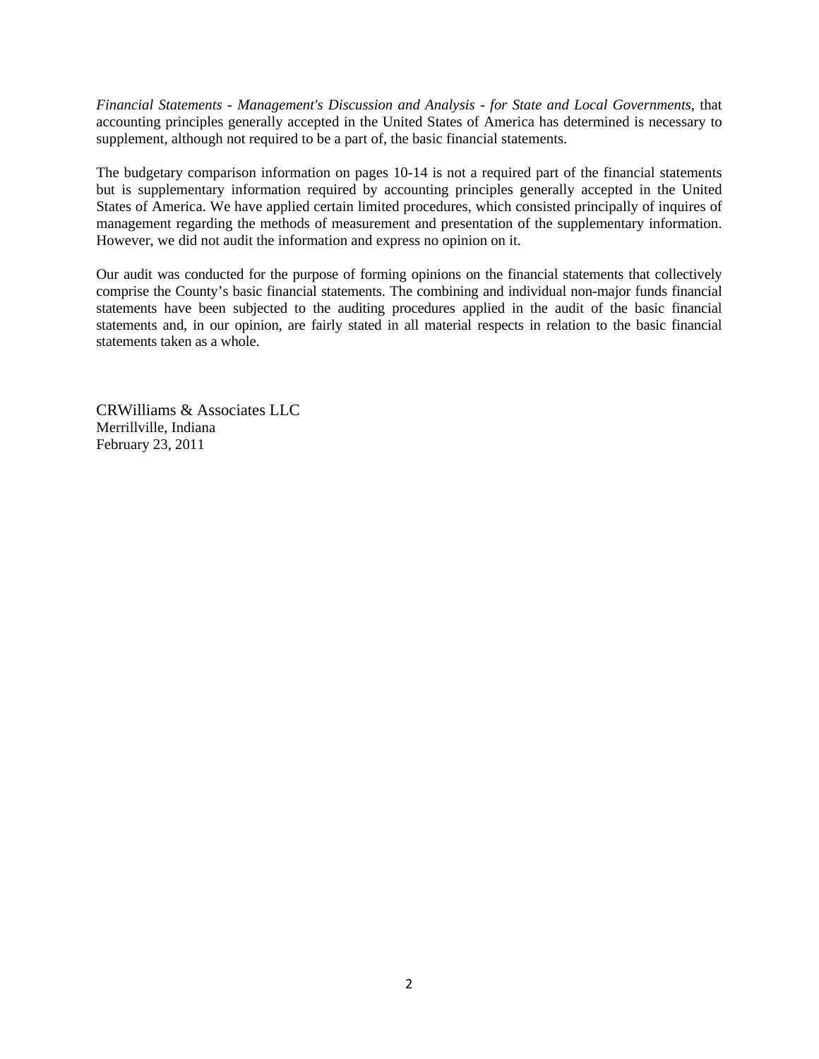*Financial Statements* - *Management's Discussion and Analysis* - *for State and Local Governments,* that accounting principles generally accepted in the United States of America has determined is necessary to supplement, although not required to be a part of, the basic financial statements.

The budgetary comparison information on pages 10-14 is not a required part of the financial statements but is supplementary information required by accounting principles generally accepted in the United States of America. We have applied certain limited procedures, which consisted principally of inquires of management regarding the methods of measurement and presentation of the supplementary information. However, we did not audit the information and express no opinion on it.

Our audit was conducted for the purpose of forming opinions on the financial statements that collectively comprise the County's basic financial statements. The combining and individual non-major funds financial statements have been subjected to the auditing procedures applied in the audit of the basic financial statements and, in our opinion, are fairly stated in all material respects in relation to the basic financial statements taken as a whole.

CRWilliams & Associates LLC Merrillville, Indiana February 23, 2011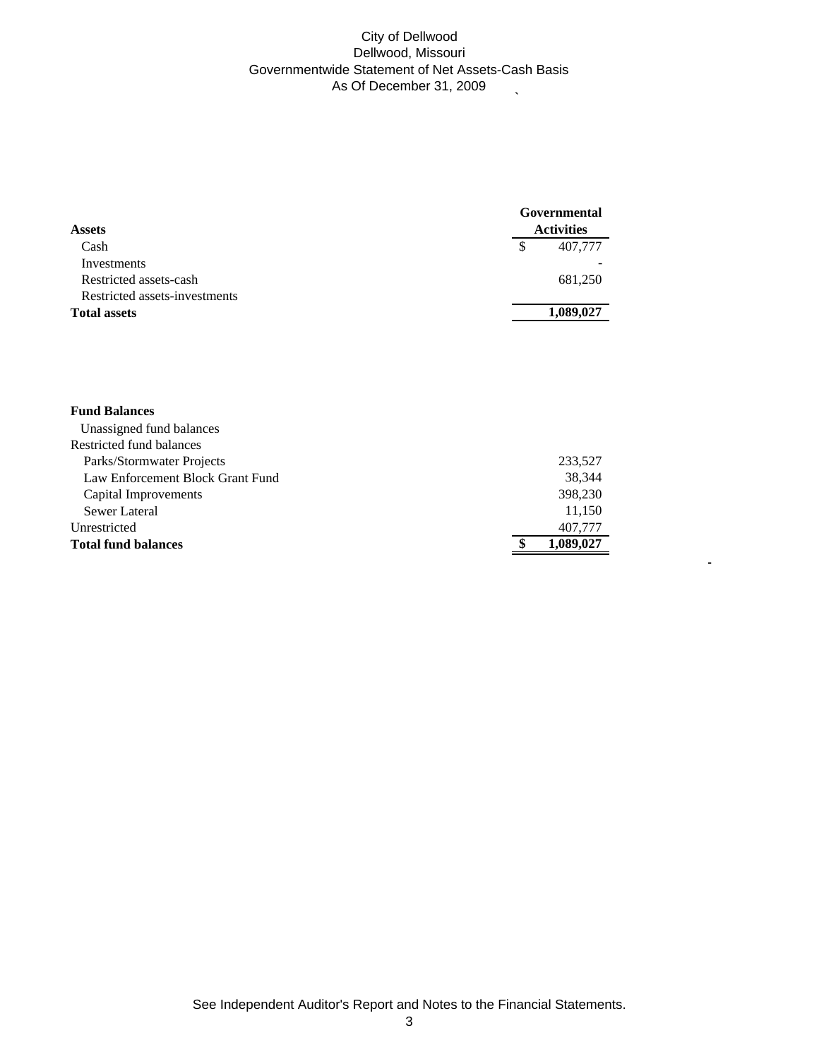# City of Dellwood Dellwood, Missouri Governmentwide Statement of Net Assets-Cash Basis As Of December 31, 2009 **`**

|                               | Governmental        |
|-------------------------------|---------------------|
| <b>Assets</b>                 | <b>Activities</b>   |
| Cash                          | 407,777<br><b>S</b> |
| Investments                   |                     |
| Restricted assets-cash        | 681,250             |
| Restricted assets-investments |                     |
| <b>Total assets</b>           | 1,089,027           |

#### **Fund Balances**

| Unassigned fund balances         |           |
|----------------------------------|-----------|
| Restricted fund balances         |           |
| Parks/Stormwater Projects        | 233,527   |
| Law Enforcement Block Grant Fund | 38.344    |
| Capital Improvements             | 398,230   |
| Sewer Lateral                    | 11,150    |
| Unrestricted                     | 407,777   |
| <b>Total fund balances</b>       | 1,089,027 |

 **-**

### See Independent Auditor's Report and Notes to the Financial Statements.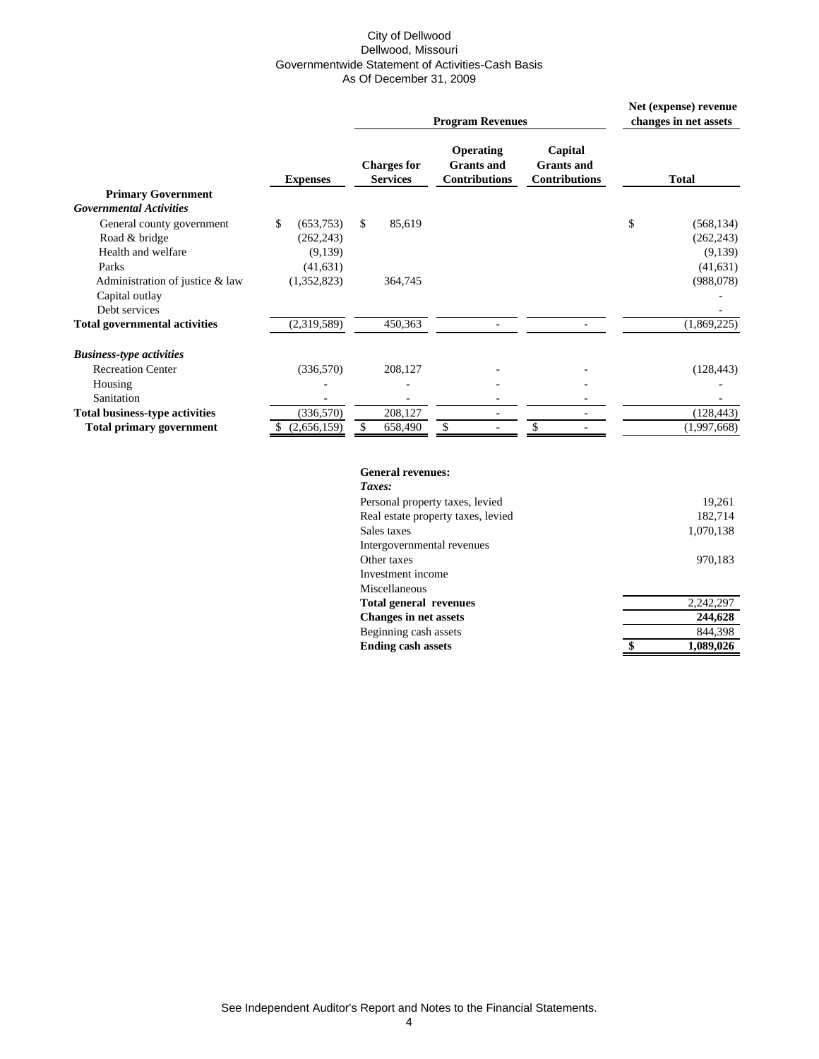#### City of Dellwood Dellwood, Missouri Governmentwide Statement of Activities-Cash Basis As Of December 31, 2009

|                                       |                  |                                       | Net (expense) revenue<br>changes in net assets                |                                                      |                  |
|---------------------------------------|------------------|---------------------------------------|---------------------------------------------------------------|------------------------------------------------------|------------------|
|                                       | <b>Expenses</b>  | <b>Charges for</b><br><b>Services</b> | <b>Operating</b><br><b>Grants and</b><br><b>Contributions</b> | Capital<br><b>Grants</b> and<br><b>Contributions</b> | <b>Total</b>     |
| <b>Primary Government</b>             |                  |                                       |                                                               |                                                      |                  |
| <b>Governmental Activities</b>        |                  |                                       |                                                               |                                                      |                  |
| General county government             | \$<br>(653, 753) | 85,619<br>\$                          |                                                               |                                                      | \$<br>(568, 134) |
| Road & bridge                         | (262, 243)       |                                       |                                                               |                                                      | (262, 243)       |
| Health and welfare                    | (9,139)          |                                       |                                                               |                                                      | (9,139)          |
| Parks                                 | (41, 631)        |                                       |                                                               |                                                      | (41, 631)        |
| Administration of justice & law       | (1,352,823)      | 364,745                               |                                                               |                                                      | (988,078)        |
| Capital outlay                        |                  |                                       |                                                               |                                                      |                  |
| Debt services                         |                  |                                       |                                                               |                                                      |                  |
| <b>Total governmental activities</b>  | (2,319,589)      | 450,363                               |                                                               |                                                      | (1,869,225)      |
| <b>Business-type activities</b>       |                  |                                       |                                                               |                                                      |                  |
| <b>Recreation Center</b>              | (336,570)        | 208,127                               |                                                               |                                                      | (128, 443)       |
| Housing                               |                  |                                       |                                                               |                                                      |                  |
| Sanitation                            |                  |                                       |                                                               | $\overline{\phantom{a}}$                             |                  |
| <b>Total business-type activities</b> | (336, 570)       | 208,127                               | ۰                                                             | ۰                                                    | (128, 443)       |
| <b>Total primary government</b>       | (2,656,159)      | 658,490                               |                                                               |                                                      | (1,997,668)      |

#### **General revenues:** *Taxes:*

| <i>raxes:</i>                      |           |
|------------------------------------|-----------|
| Personal property taxes, levied    | 19,261    |
| Real estate property taxes, levied | 182,714   |
| Sales taxes                        | 1,070,138 |
| Intergovernmental revenues         |           |
| Other taxes                        | 970,183   |
| Investment income                  |           |
| Miscellaneous                      |           |
| <b>Total general revenues</b>      | 2,242,297 |
| <b>Changes in net assets</b>       | 244,628   |
| Beginning cash assets              | 844,398   |
| <b>Ending cash assets</b>          | 1,089,026 |
|                                    |           |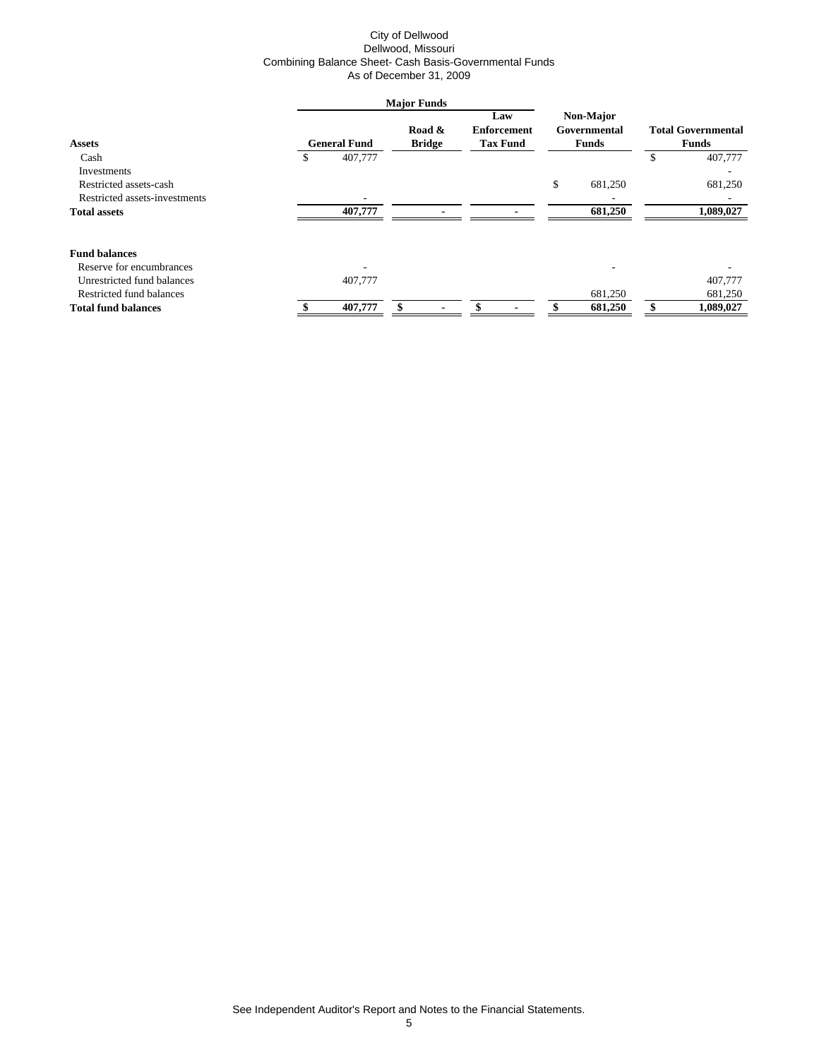#### City of Dellwood Dellwood, Missouri Combining Balance Sheet- Cash Basis-Governmental Funds As of December 31, 2009

|                               |                     | <b>Major Funds</b>      |                                              |    |                                           |                                           |
|-------------------------------|---------------------|-------------------------|----------------------------------------------|----|-------------------------------------------|-------------------------------------------|
| <b>Assets</b>                 | <b>General Fund</b> | Road &<br><b>Bridge</b> | Law<br><b>Enforcement</b><br><b>Tax Fund</b> |    | Non-Major<br>Governmental<br><b>Funds</b> | <b>Total Governmental</b><br><b>Funds</b> |
| Cash                          | 407,777             |                         |                                              |    |                                           | \$<br>407,777                             |
| Investments                   |                     |                         |                                              |    |                                           |                                           |
| Restricted assets-cash        |                     |                         |                                              | \$ | 681,250                                   | 681,250                                   |
| Restricted assets-investments |                     |                         |                                              |    |                                           |                                           |
| <b>Total assets</b>           | 407,777             |                         |                                              |    | 681,250                                   | 1,089,027                                 |
| <b>Fund balances</b>          |                     |                         |                                              |    |                                           |                                           |
| Reserve for encumbrances      | ۰                   |                         |                                              |    |                                           |                                           |
| Unrestricted fund balances    | 407,777             |                         |                                              |    |                                           | 407,777                                   |
| Restricted fund balances      |                     |                         |                                              |    | 681,250                                   | 681,250                                   |
| <b>Total fund balances</b>    | 407,777             |                         |                                              |    | 681,250                                   | 1,089,027                                 |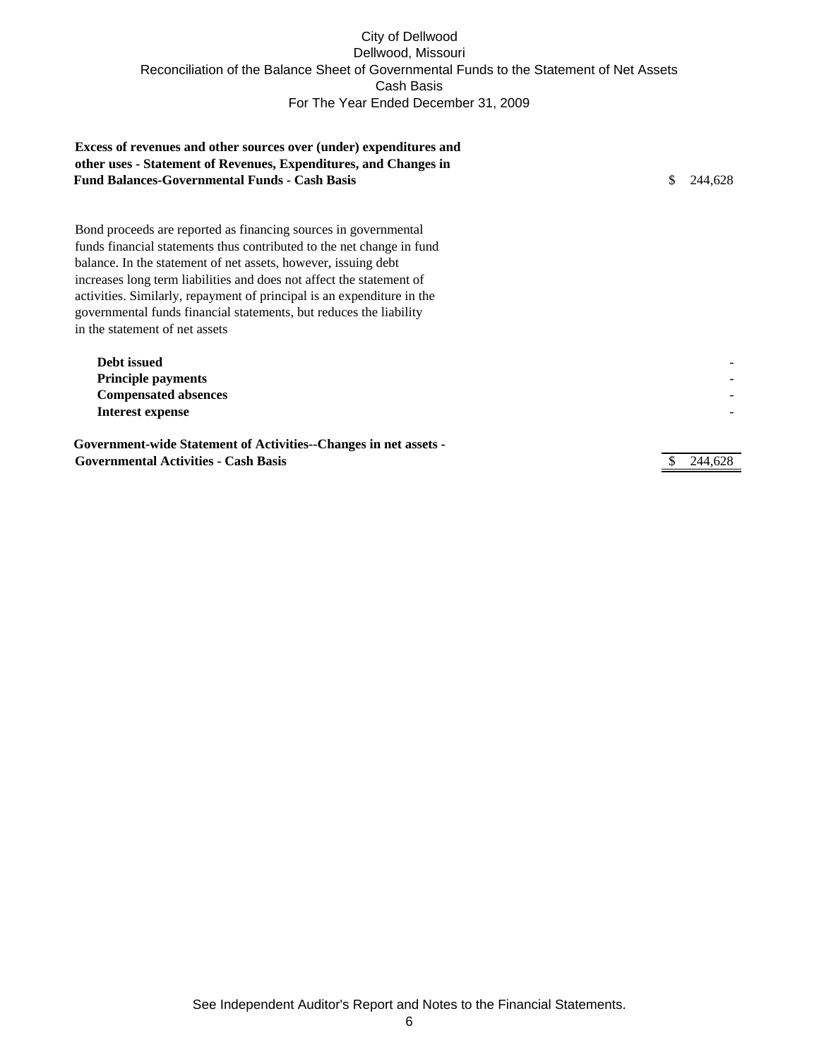# City of Dellwood Dellwood, Missouri Reconciliation of the Balance Sheet of Governmental Funds to the Statement of Net Assets Cash Basis For The Year Ended December 31, 2009

| Excess of revenues and other sources over (under) expenditures and<br>other uses - Statement of Revenues, Expenditures, and Changes in<br><b>Fund Balances-Governmental Funds - Cash Basis</b> | \$. | 244,628 |
|------------------------------------------------------------------------------------------------------------------------------------------------------------------------------------------------|-----|---------|
| Bond proceeds are reported as financing sources in governmental                                                                                                                                |     |         |
| funds financial statements thus contributed to the net change in fund                                                                                                                          |     |         |
| balance. In the statement of net assets, however, issuing debt                                                                                                                                 |     |         |
| increases long term liabilities and does not affect the statement of                                                                                                                           |     |         |
| activities. Similarly, repayment of principal is an expenditure in the                                                                                                                         |     |         |
| governmental funds financial statements, but reduces the liability                                                                                                                             |     |         |
| in the statement of net assets                                                                                                                                                                 |     |         |
| <b>Debt</b> issued                                                                                                                                                                             |     |         |
| <b>Principle payments</b>                                                                                                                                                                      |     |         |
| <b>Compensated absences</b>                                                                                                                                                                    |     |         |
| <b>Interest expense</b>                                                                                                                                                                        |     |         |
| Government-wide Statement of Activities--Changes in net assets -                                                                                                                               |     |         |
| <b>Governmental Activities - Cash Basis</b>                                                                                                                                                    |     | 244,628 |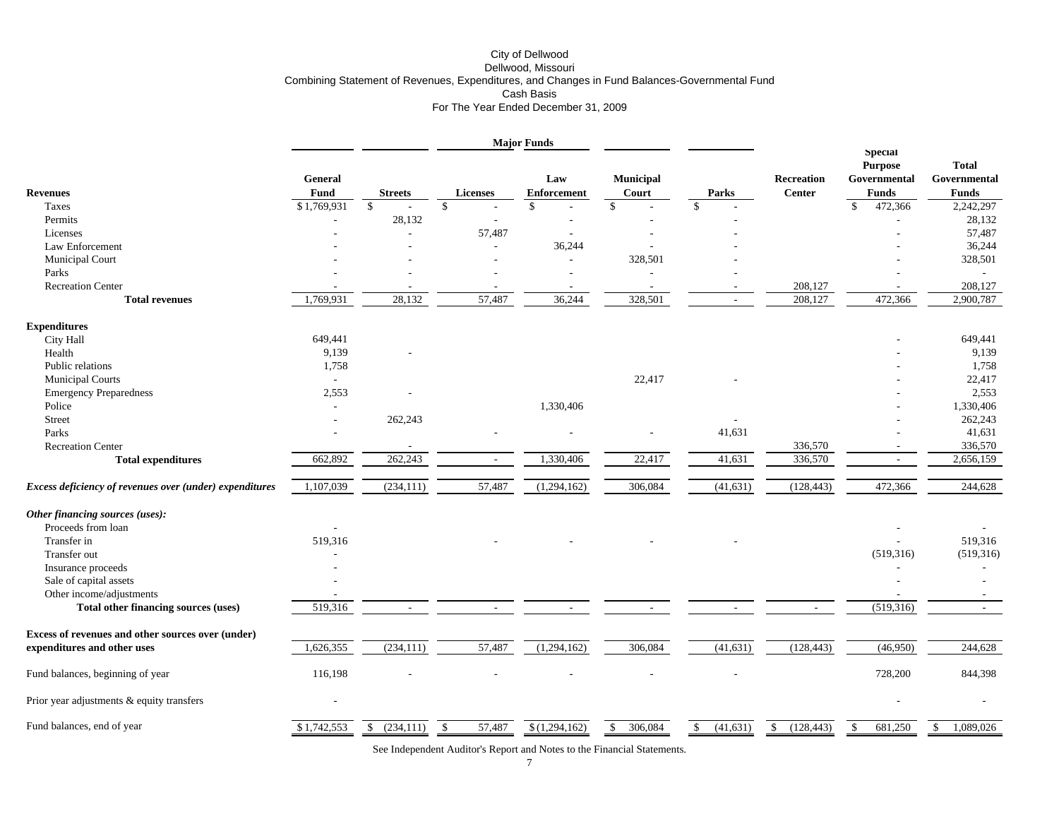#### City of Dellwood Dellwood, Missouri Combining Statement of Revenues, Expenditures, and Changes in Fund Balances-Governmental Fund Cash BasisFor The Year Ended December 31, 2009

|                                                         |             |                  |                 | <b>Major Funds</b>       |                          |                 |                            |                          |                  |
|---------------------------------------------------------|-------------|------------------|-----------------|--------------------------|--------------------------|-----------------|----------------------------|--------------------------|------------------|
|                                                         |             |                  |                 |                          |                          |                 |                            | Special                  |                  |
|                                                         |             |                  |                 |                          |                          |                 |                            | <b>Purpose</b>           | <b>Total</b>     |
|                                                         | General     |                  |                 | Law                      | <b>Municipal</b>         |                 | <b>Recreation</b>          | Governmental             | Governmental     |
| <b>Revenues</b>                                         | <b>Fund</b> | <b>Streets</b>   | <b>Licenses</b> | <b>Enforcement</b>       | Court                    | Parks           | <b>Center</b>              | <b>Funds</b>             | <b>Funds</b>     |
| Taxes                                                   | \$1,769,931 | \$               | $\mathbb{S}$    | $\mathcal{S}$            | \$                       | \$              |                            | 472,366<br>\$            | 2,242,297        |
| Permits                                                 |             | 28,132           |                 |                          |                          |                 |                            |                          | 28,132           |
| Licenses                                                |             |                  | 57,487          | $\overline{\phantom{a}}$ |                          |                 |                            |                          | 57,487           |
| Law Enforcement                                         |             |                  |                 | 36,244                   |                          |                 |                            |                          | 36,244           |
| Municipal Court                                         |             |                  |                 | $\sim$                   | 328,501                  |                 |                            |                          | 328,501          |
| Parks                                                   |             |                  |                 |                          |                          |                 |                            |                          |                  |
| <b>Recreation Center</b>                                |             |                  |                 |                          |                          |                 | 208,127                    |                          | 208,127          |
| <b>Total revenues</b>                                   | 1,769,931   | 28,132           | 57,487          | 36,244                   | 328,501                  |                 | 208,127                    | 472,366                  | 2,900,787        |
|                                                         |             |                  |                 |                          |                          |                 |                            |                          |                  |
| <b>Expenditures</b>                                     |             |                  |                 |                          |                          |                 |                            |                          |                  |
| City Hall                                               | 649,441     |                  |                 |                          |                          |                 |                            |                          | 649,441          |
| Health                                                  | 9,139       |                  |                 |                          |                          |                 |                            |                          | 9,139            |
|                                                         | 1,758       |                  |                 |                          |                          |                 |                            |                          | 1,758            |
| Public relations                                        |             |                  |                 |                          |                          |                 |                            |                          |                  |
| <b>Municipal Courts</b>                                 |             |                  |                 |                          | 22,417                   |                 |                            |                          | 22,417           |
| <b>Emergency Preparedness</b>                           | 2,553       |                  |                 |                          |                          |                 |                            |                          | 2,553            |
| Police                                                  |             |                  |                 | 1,330,406                |                          |                 |                            |                          | 1,330,406        |
| Street                                                  |             | 262,243          |                 |                          |                          |                 |                            |                          | 262,243          |
| Parks                                                   |             |                  |                 |                          |                          | 41,631          |                            |                          | 41,631           |
| <b>Recreation Center</b>                                |             |                  |                 |                          |                          |                 | 336,570                    | $\overline{\phantom{a}}$ | 336,570          |
| <b>Total expenditures</b>                               | 662,892     | 262,243          | $\sim$          | 1,330,406                | 22,417                   | 41,631          | 336,570                    | $\sim$                   | 2,656,159        |
| Excess deficiency of revenues over (under) expenditures | 1,107,039   | (234, 111)       | 57,487          | (1,294,162)              | 306,084                  | (41, 631)       | (128, 443)                 | 472,366                  | 244,628          |
|                                                         |             |                  |                 |                          |                          |                 |                            |                          |                  |
| Other financing sources (uses):                         |             |                  |                 |                          |                          |                 |                            |                          |                  |
| Proceeds from loan                                      |             |                  |                 |                          |                          |                 |                            |                          |                  |
| Transfer in                                             | 519,316     |                  |                 |                          |                          |                 |                            |                          | 519,316          |
| Transfer out                                            |             |                  |                 |                          |                          |                 |                            | (519, 316)               | (519, 316)       |
| Insurance proceeds                                      |             |                  |                 |                          |                          |                 |                            |                          | $\sim$           |
| Sale of capital assets                                  |             |                  |                 |                          |                          |                 |                            |                          |                  |
| Other income/adjustments                                |             |                  |                 |                          |                          |                 |                            |                          |                  |
| Total other financing sources (uses)                    | 519,316     | $\overline{a}$   | $\mathbf{r}$    | $\sim$                   | $\overline{\phantom{a}}$ | $\sim$          | $\mathbf{r}$               | (519, 316)               | $\sim$           |
| Excess of revenues and other sources over (under)       |             |                  |                 |                          |                          |                 |                            |                          |                  |
| expenditures and other uses                             | 1,626,355   | (234, 111)       | 57,487          | (1,294,162)              | 306,084                  | (41, 631)       | (128, 443)                 | (46,950)                 | 244,628          |
|                                                         |             |                  |                 |                          |                          |                 |                            |                          |                  |
| Fund balances, beginning of year                        | 116,198     |                  |                 |                          |                          |                 |                            | 728,200                  | 844,398          |
| Prior year adjustments & equity transfers               |             |                  |                 |                          |                          |                 |                            |                          |                  |
| Fund balances, end of year                              | \$1,742,553 | (234, 111)<br>\$ | \$<br>57,487    | \$(1,294,162)            | 306,084<br>\$            | (41, 631)<br>£. | $\mathbb{S}$<br>(128, 443) | 681,250<br>-S            | 1,089,026<br>-\$ |
|                                                         |             |                  |                 |                          |                          |                 |                            |                          |                  |

See Independent Auditor's Report and Notes to the Financial Statements.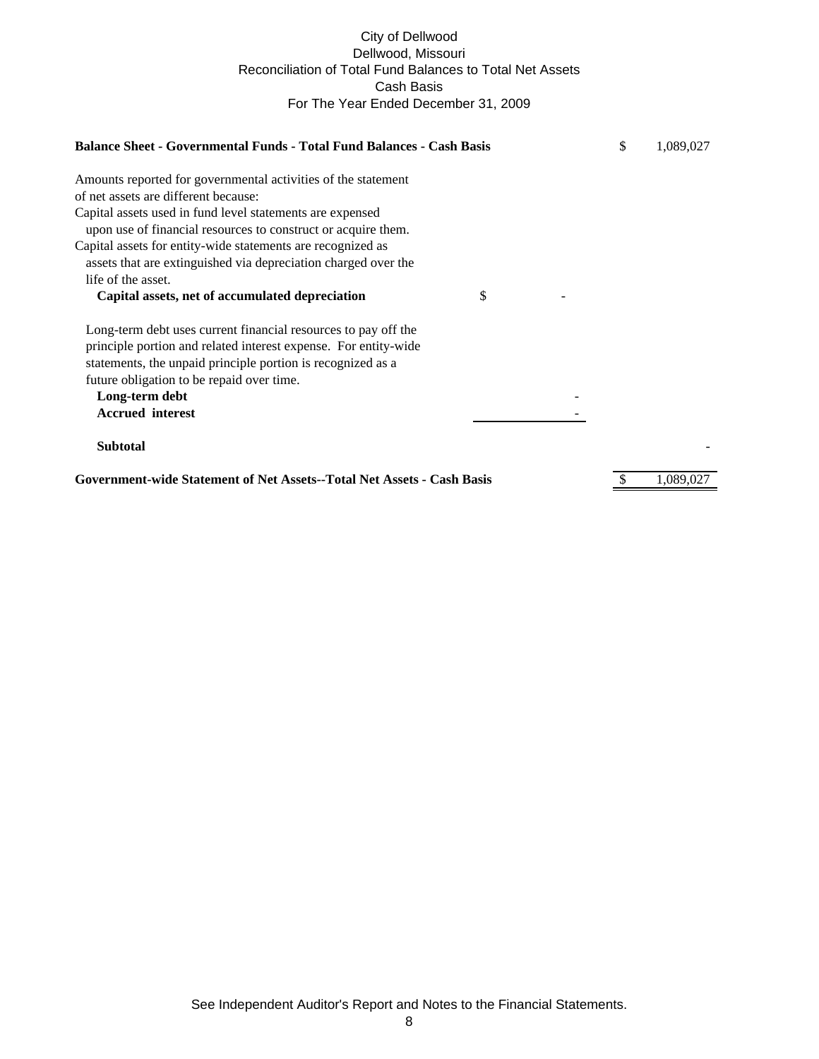# City of Dellwood Dellwood, Missouri Reconciliation of Total Fund Balances to Total Net Assets Cash Basis For The Year Ended December 31, 2009

| <b>Balance Sheet - Governmental Funds - Total Fund Balances - Cash Basis</b> |    | \$<br>1,089,027 |
|------------------------------------------------------------------------------|----|-----------------|
| Amounts reported for governmental activities of the statement                |    |                 |
| of net assets are different because:                                         |    |                 |
| Capital assets used in fund level statements are expensed                    |    |                 |
| upon use of financial resources to construct or acquire them.                |    |                 |
| Capital assets for entity-wide statements are recognized as                  |    |                 |
| assets that are extinguished via depreciation charged over the               |    |                 |
| life of the asset.                                                           |    |                 |
| Capital assets, net of accumulated depreciation                              | \$ |                 |
| Long-term debt uses current financial resources to pay off the               |    |                 |
| principle portion and related interest expense. For entity-wide              |    |                 |
| statements, the unpaid principle portion is recognized as a                  |    |                 |
| future obligation to be repaid over time.                                    |    |                 |
| Long-term debt                                                               |    |                 |
| <b>Accrued</b> interest                                                      |    |                 |
| <b>Subtotal</b>                                                              |    |                 |
| Government-wide Statement of Net Assets--Total Net Assets - Cash Basis       |    | 1,089,027       |
|                                                                              |    |                 |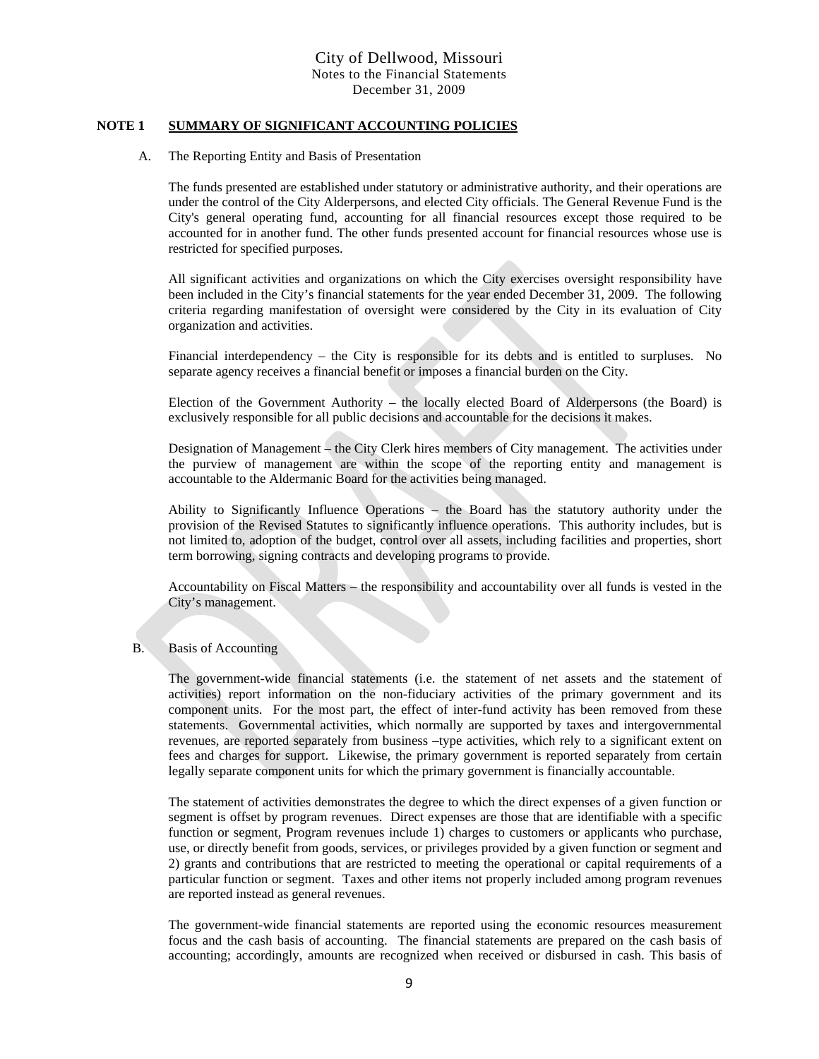### **NOTE 1 SUMMARY OF SIGNIFICANT ACCOUNTING POLICIES**

#### A. The Reporting Entity and Basis of Presentation

The funds presented are established under statutory or administrative authority, and their operations are under the control of the City Alderpersons, and elected City officials. The General Revenue Fund is the City's general operating fund, accounting for all financial resources except those required to be accounted for in another fund. The other funds presented account for financial resources whose use is restricted for specified purposes.

All significant activities and organizations on which the City exercises oversight responsibility have been included in the City's financial statements for the year ended December 31, 2009. The following criteria regarding manifestation of oversight were considered by the City in its evaluation of City organization and activities.

Financial interdependency – the City is responsible for its debts and is entitled to surpluses. No separate agency receives a financial benefit or imposes a financial burden on the City.

Election of the Government Authority – the locally elected Board of Alderpersons (the Board) is exclusively responsible for all public decisions and accountable for the decisions it makes.

Designation of Management – the City Clerk hires members of City management. The activities under the purview of management are within the scope of the reporting entity and management is accountable to the Aldermanic Board for the activities being managed.

Ability to Significantly Influence Operations – the Board has the statutory authority under the provision of the Revised Statutes to significantly influence operations. This authority includes, but is not limited to, adoption of the budget, control over all assets, including facilities and properties, short term borrowing, signing contracts and developing programs to provide.

Accountability on Fiscal Matters – the responsibility and accountability over all funds is vested in the City's management.

#### B. Basis of Accounting

 The government-wide financial statements (i.e. the statement of net assets and the statement of activities) report information on the non-fiduciary activities of the primary government and its component units. For the most part, the effect of inter-fund activity has been removed from these statements. Governmental activities, which normally are supported by taxes and intergovernmental revenues, are reported separately from business –type activities, which rely to a significant extent on fees and charges for support. Likewise, the primary government is reported separately from certain legally separate component units for which the primary government is financially accountable.

 The statement of activities demonstrates the degree to which the direct expenses of a given function or segment is offset by program revenues. Direct expenses are those that are identifiable with a specific function or segment, Program revenues include 1) charges to customers or applicants who purchase, use, or directly benefit from goods, services, or privileges provided by a given function or segment and 2) grants and contributions that are restricted to meeting the operational or capital requirements of a particular function or segment. Taxes and other items not properly included among program revenues are reported instead as general revenues.

 The government-wide financial statements are reported using the economic resources measurement focus and the cash basis of accounting. The financial statements are prepared on the cash basis of accounting; accordingly, amounts are recognized when received or disbursed in cash. This basis of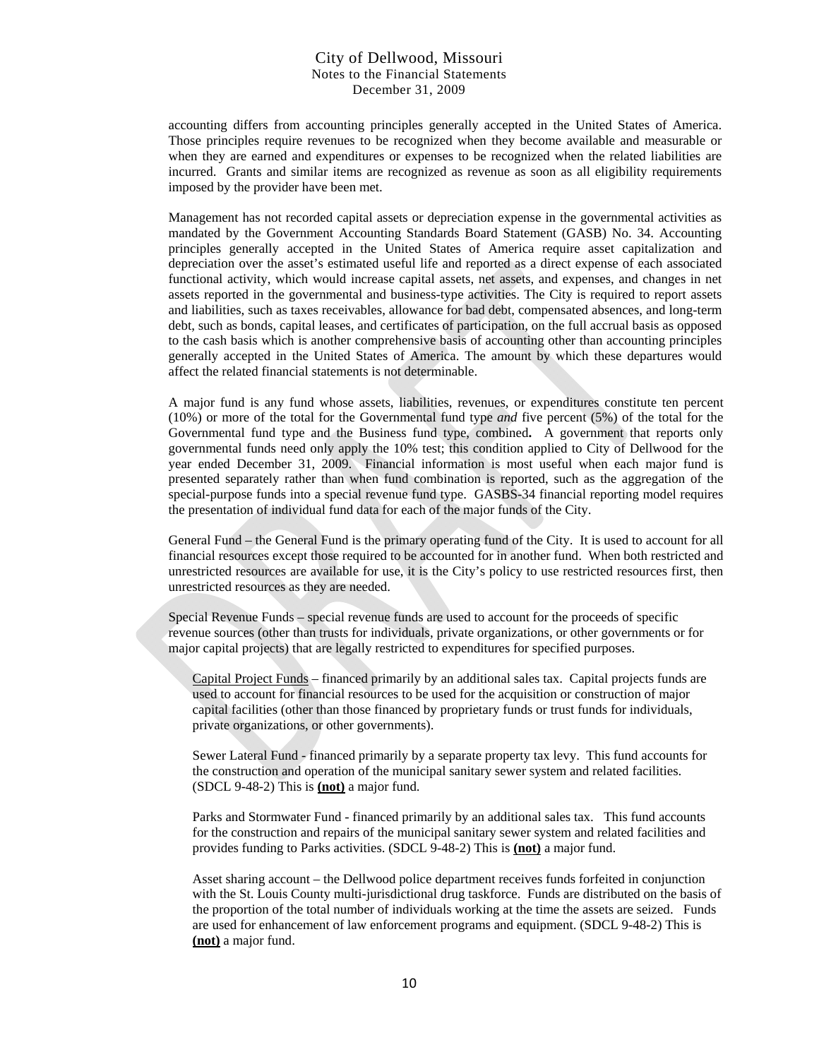accounting differs from accounting principles generally accepted in the United States of America. Those principles require revenues to be recognized when they become available and measurable or when they are earned and expenditures or expenses to be recognized when the related liabilities are incurred. Grants and similar items are recognized as revenue as soon as all eligibility requirements imposed by the provider have been met.

 Management has not recorded capital assets or depreciation expense in the governmental activities as mandated by the Government Accounting Standards Board Statement (GASB) No. 34. Accounting principles generally accepted in the United States of America require asset capitalization and depreciation over the asset's estimated useful life and reported as a direct expense of each associated functional activity, which would increase capital assets, net assets, and expenses, and changes in net assets reported in the governmental and business-type activities. The City is required to report assets and liabilities, such as taxes receivables, allowance for bad debt, compensated absences, and long-term debt, such as bonds, capital leases, and certificates of participation, on the full accrual basis as opposed to the cash basis which is another comprehensive basis of accounting other than accounting principles generally accepted in the United States of America. The amount by which these departures would affect the related financial statements is not determinable.

A major fund is any fund whose assets, liabilities, revenues, or expenditures constitute ten percent (10%) or more of the total for the Governmental fund type *and* five percent (5%) of the total for the Governmental fund type and the Business fund type, combined**.** A government that reports only governmental funds need only apply the 10% test; this condition applied to City of Dellwood for the year ended December 31, 2009. Financial information is most useful when each major fund is presented separately rather than when fund combination is reported, such as the aggregation of the special-purpose funds into a special revenue fund type. GASBS-34 financial reporting model requires the presentation of individual fund data for each of the major funds of the City.

General Fund – the General Fund is the primary operating fund of the City. It is used to account for all financial resources except those required to be accounted for in another fund. When both restricted and unrestricted resources are available for use, it is the City's policy to use restricted resources first, then unrestricted resources as they are needed.

Special Revenue Funds – special revenue funds are used to account for the proceeds of specific revenue sources (other than trusts for individuals, private organizations, or other governments or for major capital projects) that are legally restricted to expenditures for specified purposes.

Capital Project Funds – financed primarily by an additional sales tax. Capital projects funds are used to account for financial resources to be used for the acquisition or construction of major capital facilities (other than those financed by proprietary funds or trust funds for individuals, private organizations, or other governments).

Sewer Lateral Fund - financed primarily by a separate property tax levy. This fund accounts for the construction and operation of the municipal sanitary sewer system and related facilities. (SDCL 9-48-2) This is **(not)** a major fund.

Parks and Stormwater Fund - financed primarily by an additional sales tax. This fund accounts for the construction and repairs of the municipal sanitary sewer system and related facilities and provides funding to Parks activities. (SDCL 9-48-2) This is **(not)** a major fund.

Asset sharing account – the Dellwood police department receives funds forfeited in conjunction with the St. Louis County multi-jurisdictional drug taskforce. Funds are distributed on the basis of the proportion of the total number of individuals working at the time the assets are seized. Funds are used for enhancement of law enforcement programs and equipment. (SDCL 9-48-2) This is **(not)** a major fund.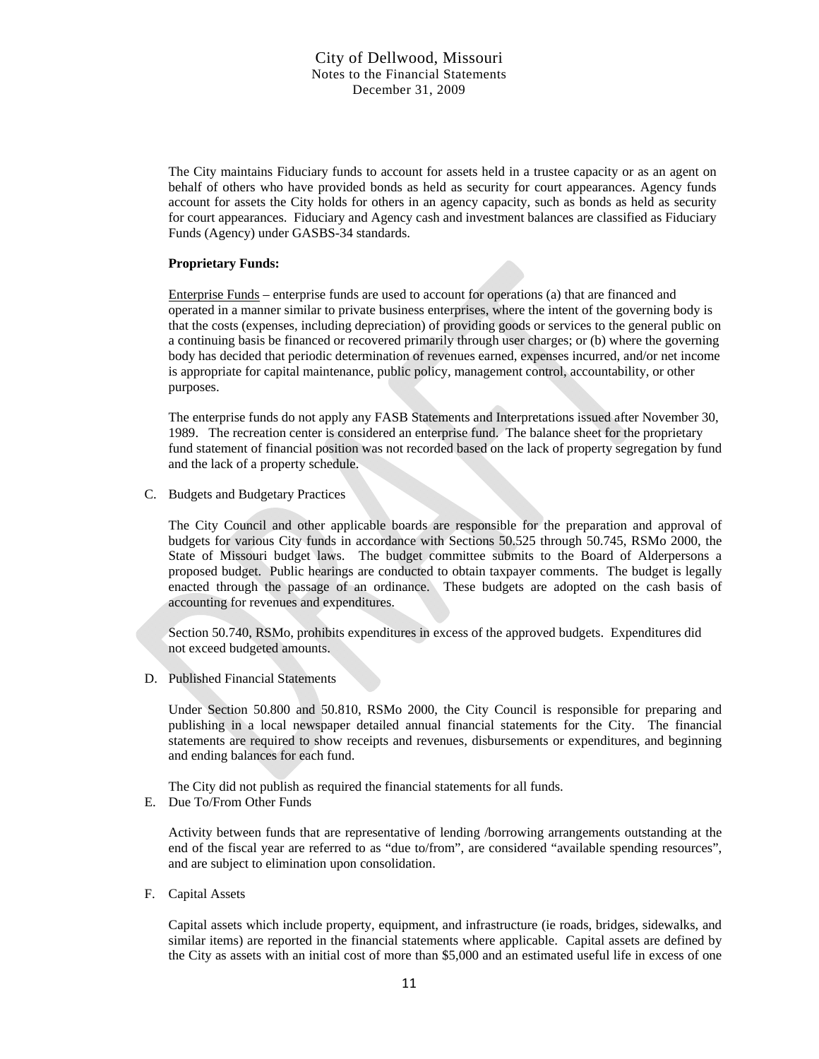The City maintains Fiduciary funds to account for assets held in a trustee capacity or as an agent on behalf of others who have provided bonds as held as security for court appearances. Agency funds account for assets the City holds for others in an agency capacity, such as bonds as held as security for court appearances. Fiduciary and Agency cash and investment balances are classified as Fiduciary Funds (Agency) under GASBS-34 standards.

#### **Proprietary Funds:**

Enterprise Funds – enterprise funds are used to account for operations (a) that are financed and operated in a manner similar to private business enterprises, where the intent of the governing body is that the costs (expenses, including depreciation) of providing goods or services to the general public on a continuing basis be financed or recovered primarily through user charges; or (b) where the governing body has decided that periodic determination of revenues earned, expenses incurred, and/or net income is appropriate for capital maintenance, public policy, management control, accountability, or other purposes.

The enterprise funds do not apply any FASB Statements and Interpretations issued after November 30, 1989. The recreation center is considered an enterprise fund. The balance sheet for the proprietary fund statement of financial position was not recorded based on the lack of property segregation by fund and the lack of a property schedule.

C. Budgets and Budgetary Practices

The City Council and other applicable boards are responsible for the preparation and approval of budgets for various City funds in accordance with Sections 50.525 through 50.745, RSMo 2000, the State of Missouri budget laws. The budget committee submits to the Board of Alderpersons a proposed budget. Public hearings are conducted to obtain taxpayer comments. The budget is legally enacted through the passage of an ordinance. These budgets are adopted on the cash basis of accounting for revenues and expenditures.

Section 50.740, RSMo, prohibits expenditures in excess of the approved budgets. Expenditures did not exceed budgeted amounts.

D. Published Financial Statements

Under Section 50.800 and 50.810, RSMo 2000, the City Council is responsible for preparing and publishing in a local newspaper detailed annual financial statements for the City. The financial statements are required to show receipts and revenues, disbursements or expenditures, and beginning and ending balances for each fund.

The City did not publish as required the financial statements for all funds.

E. Due To/From Other Funds

Activity between funds that are representative of lending /borrowing arrangements outstanding at the end of the fiscal year are referred to as "due to/from", are considered "available spending resources", and are subject to elimination upon consolidation.

F. Capital Assets

Capital assets which include property, equipment, and infrastructure (ie roads, bridges, sidewalks, and similar items) are reported in the financial statements where applicable. Capital assets are defined by the City as assets with an initial cost of more than \$5,000 and an estimated useful life in excess of one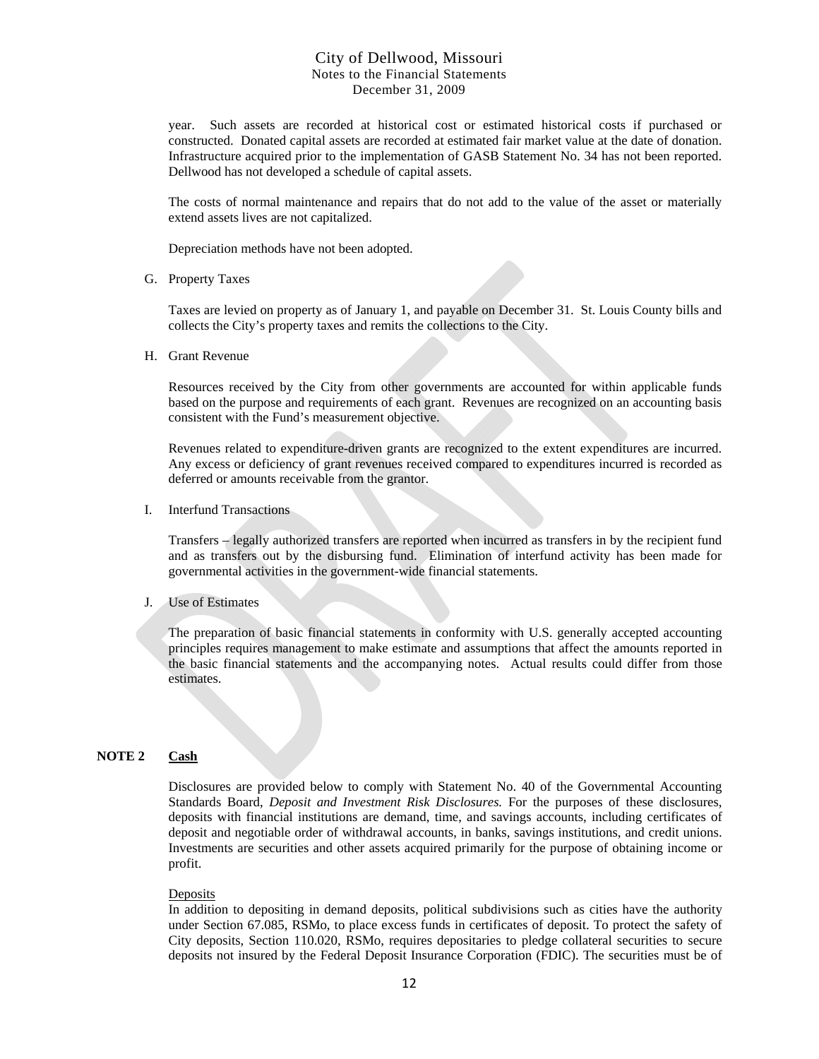year. Such assets are recorded at historical cost or estimated historical costs if purchased or constructed. Donated capital assets are recorded at estimated fair market value at the date of donation. Infrastructure acquired prior to the implementation of GASB Statement No. 34 has not been reported. Dellwood has not developed a schedule of capital assets.

The costs of normal maintenance and repairs that do not add to the value of the asset or materially extend assets lives are not capitalized.

Depreciation methods have not been adopted.

G. Property Taxes

Taxes are levied on property as of January 1, and payable on December 31. St. Louis County bills and collects the City's property taxes and remits the collections to the City.

H. Grant Revenue

Resources received by the City from other governments are accounted for within applicable funds based on the purpose and requirements of each grant. Revenues are recognized on an accounting basis consistent with the Fund's measurement objective.

Revenues related to expenditure-driven grants are recognized to the extent expenditures are incurred. Any excess or deficiency of grant revenues received compared to expenditures incurred is recorded as deferred or amounts receivable from the grantor.

I. Interfund Transactions

Transfers – legally authorized transfers are reported when incurred as transfers in by the recipient fund and as transfers out by the disbursing fund. Elimination of interfund activity has been made for governmental activities in the government-wide financial statements.

J. Use of Estimates

The preparation of basic financial statements in conformity with U.S. generally accepted accounting principles requires management to make estimate and assumptions that affect the amounts reported in the basic financial statements and the accompanying notes. Actual results could differ from those estimates.

#### **NOTE 2 Cash**

Disclosures are provided below to comply with Statement No. 40 of the Governmental Accounting Standards Board, *Deposit and Investment Risk Disclosures.* For the purposes of these disclosures, deposits with financial institutions are demand, time, and savings accounts, including certificates of deposit and negotiable order of withdrawal accounts, in banks, savings institutions, and credit unions. Investments are securities and other assets acquired primarily for the purpose of obtaining income or profit.

#### **Deposits**

In addition to depositing in demand deposits, political subdivisions such as cities have the authority under Section 67.085, RSMo, to place excess funds in certificates of deposit. To protect the safety of City deposits, Section 110.020, RSMo, requires depositaries to pledge collateral securities to secure deposits not insured by the Federal Deposit Insurance Corporation (FDIC). The securities must be of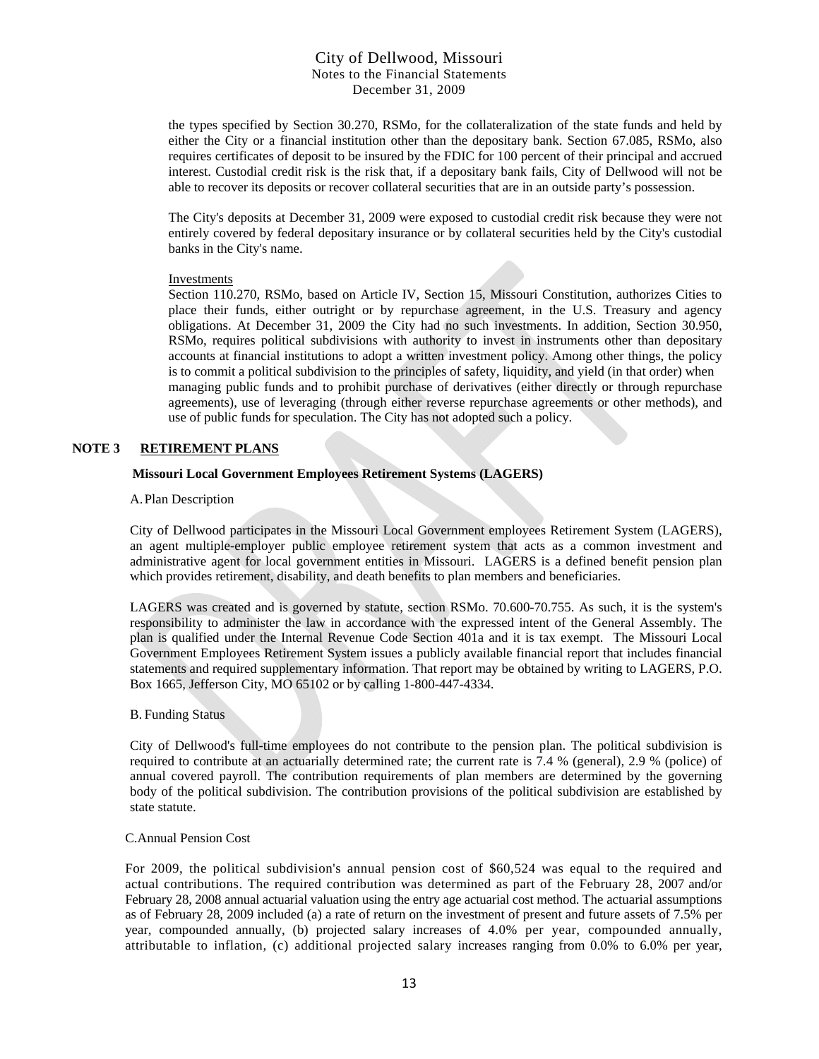the types specified by Section 30.270, RSMo, for the collateralization of the state funds and held by either the City or a financial institution other than the depositary bank. Section 67.085, RSMo, also requires certificates of deposit to be insured by the FDIC for 100 percent of their principal and accrued interest. Custodial credit risk is the risk that, if a depositary bank fails, City of Dellwood will not be able to recover its deposits or recover collateral securities that are in an outside party's possession.

The City's deposits at December 31, 2009 were exposed to custodial credit risk because they were not entirely covered by federal depositary insurance or by collateral securities held by the City's custodial banks in the City's name.

#### Investments

Section 110.270, RSMo, based on Article IV, Section 15, Missouri Constitution, authorizes Cities to place their funds, either outright or by repurchase agreement, in the U.S. Treasury and agency obligations. At December 31, 2009 the City had no such investments. In addition, Section 30.950, RSMo, requires political subdivisions with authority to invest in instruments other than depositary accounts at financial institutions to adopt a written investment policy. Among other things, the policy is to commit a political subdivision to the principles of safety, liquidity, and yield (in that order) when managing public funds and to prohibit purchase of derivatives (either directly or through repurchase agreements), use of leveraging (through either reverse repurchase agreements or other methods), and use of public funds for speculation. The City has not adopted such a policy.

### **NOTE 3 RETIREMENT PLANS**

#### **Missouri Local Government Employees Retirement Systems (LAGERS)**

#### A. Plan Description

City of Dellwood participates in the Missouri Local Government employees Retirement System (LAGERS), an agent multiple-employer public employee retirement system that acts as a common investment and administrative agent for local government entities in Missouri. LAGERS is a defined benefit pension plan which provides retirement, disability, and death benefits to plan members and beneficiaries.

LAGERS was created and is governed by statute, section RSMo. 70.600-70.755. As such, it is the system's responsibility to administer the law in accordance with the expressed intent of the General Assembly. The plan is qualified under the Internal Revenue Code Section 401a and it is tax exempt. The Missouri Local Government Employees Retirement System issues a publicly available financial report that includes financial statements and required supplementary information. That report may be obtained by writing to LAGERS, P.O. Box 1665, Jefferson City, MO 65102 or by calling 1-800-447-4334.

#### B. Funding Status

City of Dellwood's full-time employees do not contribute to the pension plan. The political subdivision is required to contribute at an actuarially determined rate; the current rate is 7.4 % (general), 2.9 % (police) of annual covered payroll. The contribution requirements of plan members are determined by the governing body of the political subdivision. The contribution provisions of the political subdivision are established by state statute.

#### C.Annual Pension Cost

For 2009, the political subdivision's annual pension cost of \$60,524 was equal to the required and actual contributions. The required contribution was determined as part of the February 28, 2007 and/or February 28, 2008 annual actuarial valuation using the entry age actuarial cost method. The actuarial assumptions as of February 28, 2009 included (a) a rate of return on the investment of present and future assets of 7.5% per year, compounded annually, (b) projected salary increases of 4.0% per year, compounded annually, attributable to inflation, (c) additional projected salary increases ranging from 0.0% to 6.0% per year,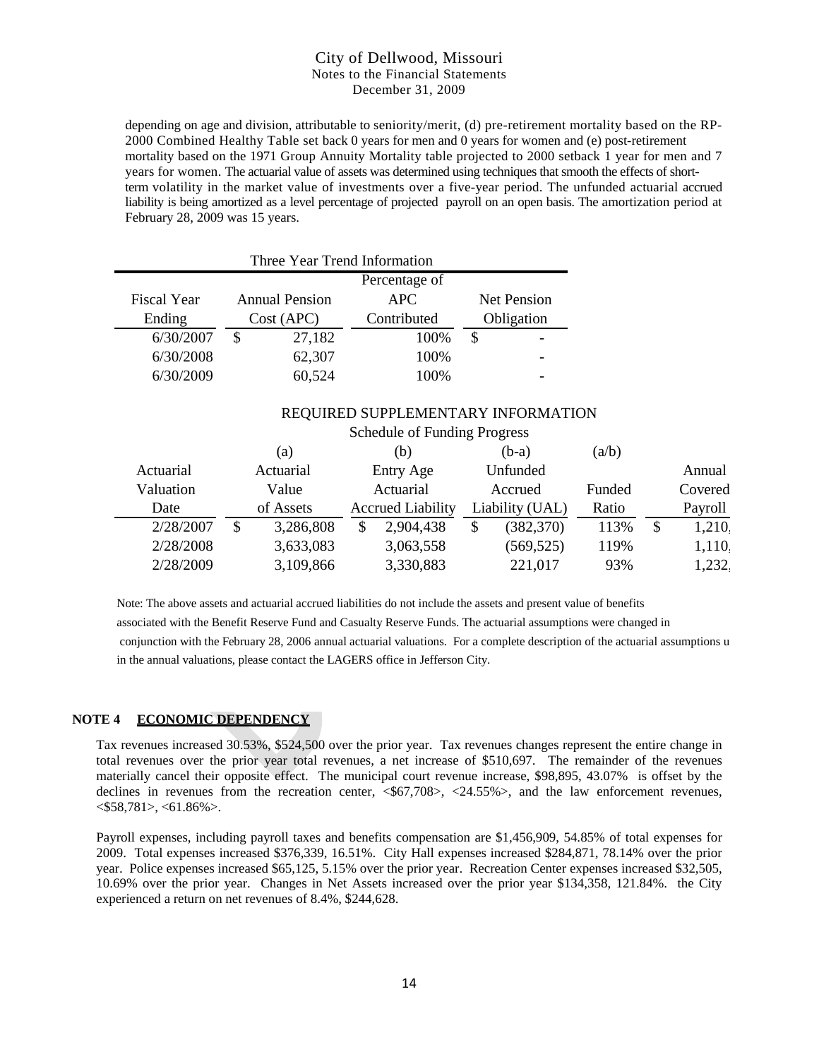depending on age and division, attributable to seniority/merit, (d) pre-retirement mortality based on the RP-2000 Combined Healthy Table set back 0 years for men and 0 years for women and (e) post-retirement mortality based on the 1971 Group Annuity Mortality table projected to 2000 setback 1 year for men and 7 years for women. The actuarial value of assets was determined using techniques that smooth the effects of shortterm volatility in the market value of investments over a five-year period. The unfunded actuarial accrued liability is being amortized as a level percentage of projected payroll on an open basis. The amortization period at February 28, 2009 was 15 years.

| Three Year Trend Information |            |                       |             |                    |  |  |  |  |  |
|------------------------------|------------|-----------------------|-------------|--------------------|--|--|--|--|--|
| Percentage of                |            |                       |             |                    |  |  |  |  |  |
| <b>Fiscal Year</b>           |            | <b>Annual Pension</b> |             | <b>Net Pension</b> |  |  |  |  |  |
| Ending                       | Cost (APC) |                       | Contributed | Obligation         |  |  |  |  |  |
| 6/30/2007                    |            | 27,182                | 100%        |                    |  |  |  |  |  |
| 6/30/2008                    |            | 62,307                | 100%        |                    |  |  |  |  |  |
| 6/30/2009                    |            | 60,524                | 100%        |                    |  |  |  |  |  |

#### REQUIRED SUPPLEMENTARY INFORMATION

| <b>Schedule of Funding Progress</b> |    |                    |    |                          |    |                 |        |    |         |  |         |
|-------------------------------------|----|--------------------|----|--------------------------|----|-----------------|--------|----|---------|--|---------|
|                                     |    | (a)                |    | (b)                      |    | $(b-a)$         | (a/b)  |    |         |  |         |
| Actuarial                           |    | Actuarial          |    | Entry Age                |    | Unfunded        |        |    | Annual  |  |         |
| Valuation                           |    | Actuarial<br>Value |    |                          |    | Accrued         | Funded |    | Covered |  |         |
| Date                                |    | of Assets          |    | <b>Accrued Liability</b> |    | Liability (UAL) |        |    | Ratio   |  | Payroll |
| 2/28/2007                           | \$ | 3,286,808          | \$ | 2,904,438                | \$ | (382, 370)      | 113%   | \$ | 1,210.  |  |         |
| 2/28/2008                           |    | 3,633,083          |    | 3,063,558                |    | (569, 525)      | 119%   |    | 1,110.  |  |         |
| 2/28/2009                           |    | 3,109,866          |    | 3,330,883                |    | 221,017         | 93%    |    | 1,232.  |  |         |

Note: The above assets and actuarial accrued liabilities do not include the assets and present value of benefits associated with the Benefit Reserve Fund and Casualty Reserve Funds. The actuarial assumptions were changed in

 conjunction with the February 28, 2006 annual actuarial valuations. For a complete description of the actuarial assumptions u in the annual valuations, please contact the LAGERS office in Jefferson City.

#### **NOTE 4 ECONOMIC DEPENDENCY**

Tax revenues increased 30.53%, \$524,500 over the prior year. Tax revenues changes represent the entire change in total revenues over the prior year total revenues, a net increase of \$510,697. The remainder of the revenues materially cancel their opposite effect. The municipal court revenue increase, \$98,895, 43.07% is offset by the declines in revenues from the recreation center,  $\langle $67,708 \rangle$ ,  $\langle 24.55\% \rangle$ , and the law enforcement revenues,  $<$ \$58,781>,  $<$ 61.86%>.

Payroll expenses, including payroll taxes and benefits compensation are \$1,456,909, 54.85% of total expenses for 2009. Total expenses increased \$376,339, 16.51%. City Hall expenses increased \$284,871, 78.14% over the prior year. Police expenses increased \$65,125, 5.15% over the prior year. Recreation Center expenses increased \$32,505, 10.69% over the prior year. Changes in Net Assets increased over the prior year \$134,358, 121.84%. the City experienced a return on net revenues of 8.4%, \$244,628.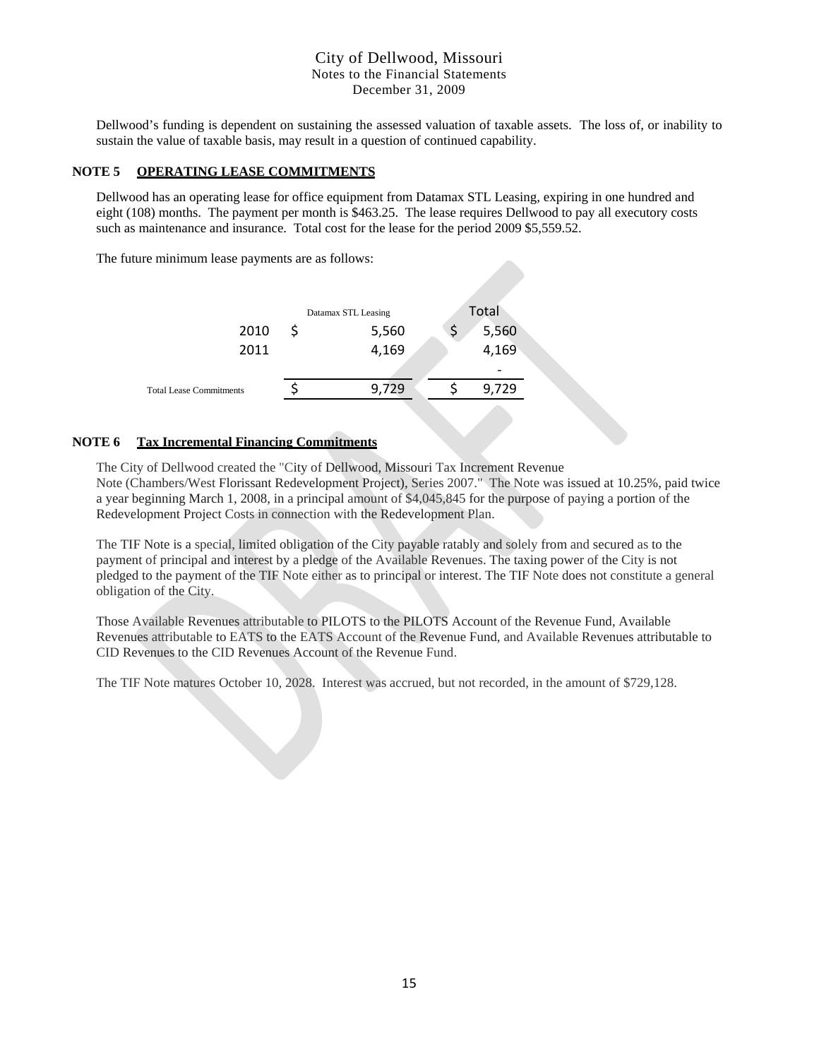Dellwood's funding is dependent on sustaining the assessed valuation of taxable assets. The loss of, or inability to sustain the value of taxable basis, may result in a question of continued capability.

### **NOTE 5 OPERATING LEASE COMMITMENTS**

Dellwood has an operating lease for office equipment from Datamax STL Leasing, expiring in one hundred and eight (108) months. The payment per month is \$463.25. The lease requires Dellwood to pay all executory costs such as maintenance and insurance. Total cost for the lease for the period 2009 \$5,559.52.

The future minimum lease payments are as follows:

|                                | Datamax STL Leasing | Total |
|--------------------------------|---------------------|-------|
| 2010                           | 5,560               | 5,560 |
| 2011                           | 4,169               | 4,169 |
|                                |                     |       |
| <b>Total Lease Commitments</b> | 9,729               | 9,729 |
|                                |                     |       |

### **NOTE 6 Tax Incremental Financing Commitments**

The City of Dellwood created the "City of Dellwood, Missouri Tax Increment Revenue Note (Chambers/West Florissant Redevelopment Project), Series 2007." The Note was issued at 10.25%, paid twice a year beginning March 1, 2008, in a principal amount of \$4,045,845 for the purpose of paying a portion of the Redevelopment Project Costs in connection with the Redevelopment Plan.

The TIF Note is a special, limited obligation of the City payable ratably and solely from and secured as to the payment of principal and interest by a pledge of the Available Revenues. The taxing power of the City is not pledged to the payment of the TIF Note either as to principal or interest. The TIF Note does not constitute a general obligation of the City.

Those Available Revenues attributable to PILOTS to the PILOTS Account of the Revenue Fund, Available Revenues attributable to EATS to the EATS Account of the Revenue Fund, and Available Revenues attributable to CID Revenues to the CID Revenues Account of the Revenue Fund.

The TIF Note matures October 10, 2028. Interest was accrued, but not recorded, in the amount of \$729,128.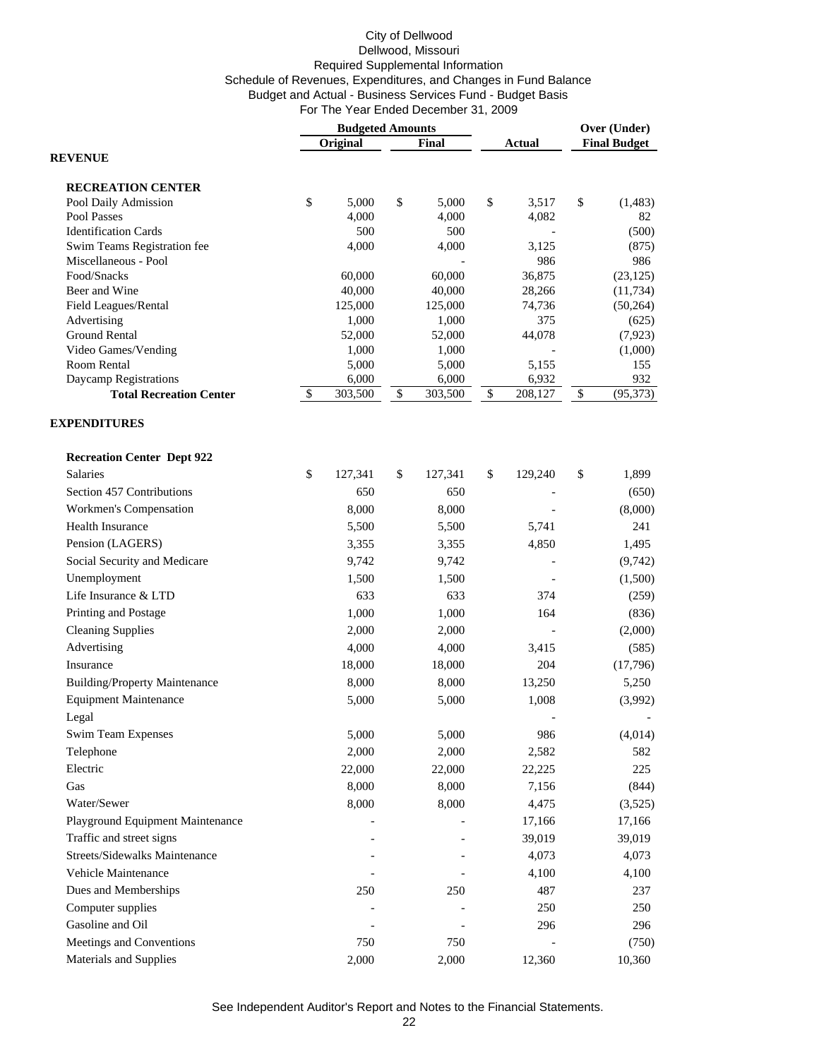|                                       | <b>Budgeted Amounts</b> |                   |    |                   |        |                  |                     | Over (Under)           |  |
|---------------------------------------|-------------------------|-------------------|----|-------------------|--------|------------------|---------------------|------------------------|--|
|                                       |                         | Original          |    | Final             | Actual |                  | <b>Final Budget</b> |                        |  |
| <b>REVENUE</b>                        |                         |                   |    |                   |        |                  |                     |                        |  |
| <b>RECREATION CENTER</b>              |                         |                   |    |                   |        |                  |                     |                        |  |
| Pool Daily Admission                  | \$                      | 5.000             | \$ | 5,000             | \$     | 3,517            | \$                  | (1,483)                |  |
| Pool Passes                           |                         | 4,000             |    | 4,000             |        | 4,082            |                     | 82                     |  |
| <b>Identification Cards</b>           |                         | 500               |    | 500               |        |                  |                     | (500)                  |  |
| Swim Teams Registration fee           |                         | 4,000             |    | 4,000             |        | 3,125            |                     | (875)                  |  |
| Miscellaneous - Pool                  |                         |                   |    |                   |        | 986              |                     | 986                    |  |
| Food/Snacks                           |                         | 60,000            |    | 60,000            |        | 36,875           |                     | (23, 125)              |  |
| Beer and Wine<br>Field Leagues/Rental |                         | 40,000<br>125,000 |    | 40,000<br>125,000 |        | 28,266<br>74,736 |                     | (11, 734)<br>(50, 264) |  |
| Advertising                           |                         | 1,000             |    | 1,000             |        | 375              |                     | (625)                  |  |
| Ground Rental                         |                         | 52,000            |    | 52,000            |        | 44,078           |                     | (7, 923)               |  |
| Video Games/Vending                   |                         | 1,000             |    | 1,000             |        |                  |                     | (1,000)                |  |
| Room Rental                           |                         | 5,000             |    | 5,000             |        | 5,155            |                     | 155                    |  |
| Daycamp Registrations                 |                         | 6,000             |    | 6,000             |        | 6,932            |                     | 932                    |  |
| <b>Total Recreation Center</b>        | $\mathbb{S}$            | 303,500           | \$ | 303,500           | \$     | 208,127          | \$                  | (95, 373)              |  |
| <b>EXPENDITURES</b>                   |                         |                   |    |                   |        |                  |                     |                        |  |
| <b>Recreation Center Dept 922</b>     |                         |                   |    |                   |        |                  |                     |                        |  |
| <b>Salaries</b>                       | \$                      | 127,341           | \$ | 127,341           | \$     | 129,240          | \$                  | 1,899                  |  |
| Section 457 Contributions             |                         | 650               |    | 650               |        |                  |                     | (650)                  |  |
| Workmen's Compensation                |                         | 8,000             |    | 8,000             |        |                  |                     | (8,000)                |  |
| Health Insurance                      |                         | 5,500             |    | 5,500             |        | 5,741            |                     | 241                    |  |
| Pension (LAGERS)                      |                         | 3,355             |    | 3,355             |        | 4,850            |                     | 1,495                  |  |
| Social Security and Medicare          |                         | 9,742             |    | 9,742             |        |                  |                     | (9, 742)               |  |
| Unemployment                          |                         | 1,500             |    | 1,500             |        |                  |                     | (1,500)                |  |
| Life Insurance & LTD                  |                         | 633               |    | 633               |        | 374              |                     | (259)                  |  |
| Printing and Postage                  |                         | 1,000             |    | 1,000             |        | 164              |                     | (836)                  |  |
| <b>Cleaning Supplies</b>              |                         | 2,000             |    | 2,000             |        |                  |                     | (2,000)                |  |
| Advertising                           |                         | 4,000             |    | 4,000             |        | 3,415            |                     | (585)                  |  |
| Insurance                             |                         | 18,000            |    | 18,000            |        | 204              |                     | (17,796)               |  |
| <b>Building/Property Maintenance</b>  |                         | 8,000             |    | 8,000             |        | 13,250           |                     | 5,250                  |  |
| <b>Equipment Maintenance</b>          |                         | 5,000             |    | 5,000             |        | 1,008            |                     | (3,992)                |  |
| Legal                                 |                         |                   |    |                   |        |                  |                     |                        |  |
| Swim Team Expenses                    |                         | 5,000             |    | 5,000             |        | 986              |                     | (4,014)                |  |
| Telephone                             |                         | 2,000             |    | 2,000             |        | 2,582            |                     | 582                    |  |
| Electric                              |                         | 22,000            |    | 22,000            |        | 22,225           |                     | 225                    |  |
| Gas                                   |                         | 8,000             |    | 8,000             |        | 7,156            |                     | (844)                  |  |
| Water/Sewer                           |                         | 8,000             |    | 8,000             |        | 4,475            |                     | (3,525)                |  |
| Playground Equipment Maintenance      |                         |                   |    |                   |        | 17,166           |                     | 17,166                 |  |
| Traffic and street signs              |                         |                   |    |                   |        | 39,019           |                     | 39,019                 |  |
| Streets/Sidewalks Maintenance         |                         |                   |    |                   |        | 4,073            |                     | 4,073                  |  |
| Vehicle Maintenance                   |                         |                   |    |                   |        | 4,100            |                     | 4,100                  |  |
| Dues and Memberships                  |                         | 250               |    | 250               |        | 487              |                     | 237                    |  |
| Computer supplies                     |                         |                   |    |                   |        | 250              |                     | 250                    |  |
| Gasoline and Oil                      |                         |                   |    |                   |        | 296              |                     | 296                    |  |
| Meetings and Conventions              |                         | 750               |    | 750               |        |                  |                     | (750)                  |  |
| Materials and Supplies                |                         | 2,000             |    | 2,000             |        | 12,360           |                     | 10,360                 |  |
|                                       |                         |                   |    |                   |        |                  |                     |                        |  |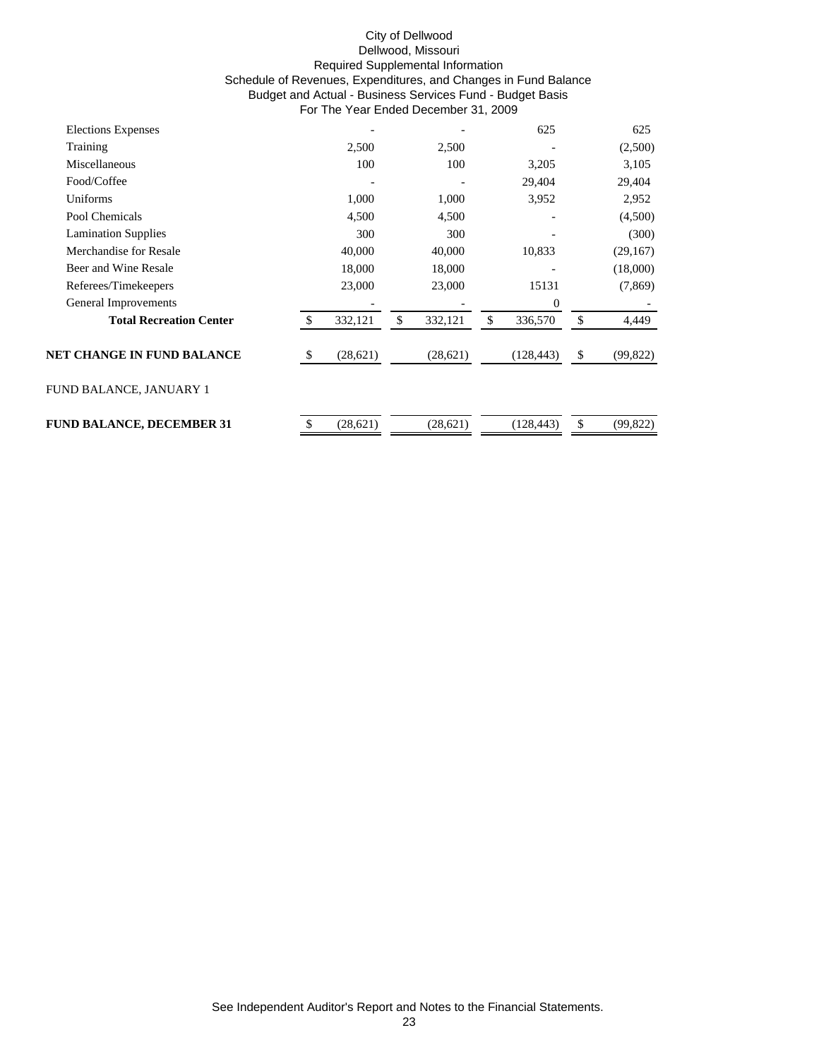| <b>Elections Expenses</b>        |               |           |   |           | 625            | 625             |
|----------------------------------|---------------|-----------|---|-----------|----------------|-----------------|
| Training                         |               | 2,500     |   | 2,500     |                | (2,500)         |
| Miscellaneous                    |               | 100       |   | 100       | 3,205          | 3,105           |
| Food/Coffee                      |               |           |   |           | 29,404         | 29,404          |
| Uniforms                         |               | 1,000     |   | 1,000     | 3,952          | 2,952           |
| Pool Chemicals                   |               | 4,500     |   | 4,500     |                | (4,500)         |
| <b>Lamination Supplies</b>       |               | 300       |   | 300       |                | (300)           |
| Merchandise for Resale           |               | 40,000    |   | 40,000    | 10,833         | (29,167)        |
| Beer and Wine Resale             |               | 18,000    |   | 18,000    |                | (18,000)        |
| Referees/Timekeepers             |               | 23,000    |   | 23,000    | 15131          | (7,869)         |
| <b>General Improvements</b>      |               |           |   |           | $\overline{0}$ |                 |
| <b>Total Recreation Center</b>   | $\mathcal{S}$ | 332,121   | S | 332,121   | \$<br>336,570  | \$<br>4,449     |
| NET CHANGE IN FUND BALANCE       | \$            | (28, 621) |   | (28, 621) | (128, 443)     | \$<br>(99, 822) |
| FUND BALANCE, JANUARY 1          |               |           |   |           |                |                 |
| <b>FUND BALANCE, DECEMBER 31</b> | \$            | (28, 621) |   | (28, 621) | (128, 443)     | \$<br>(99, 822) |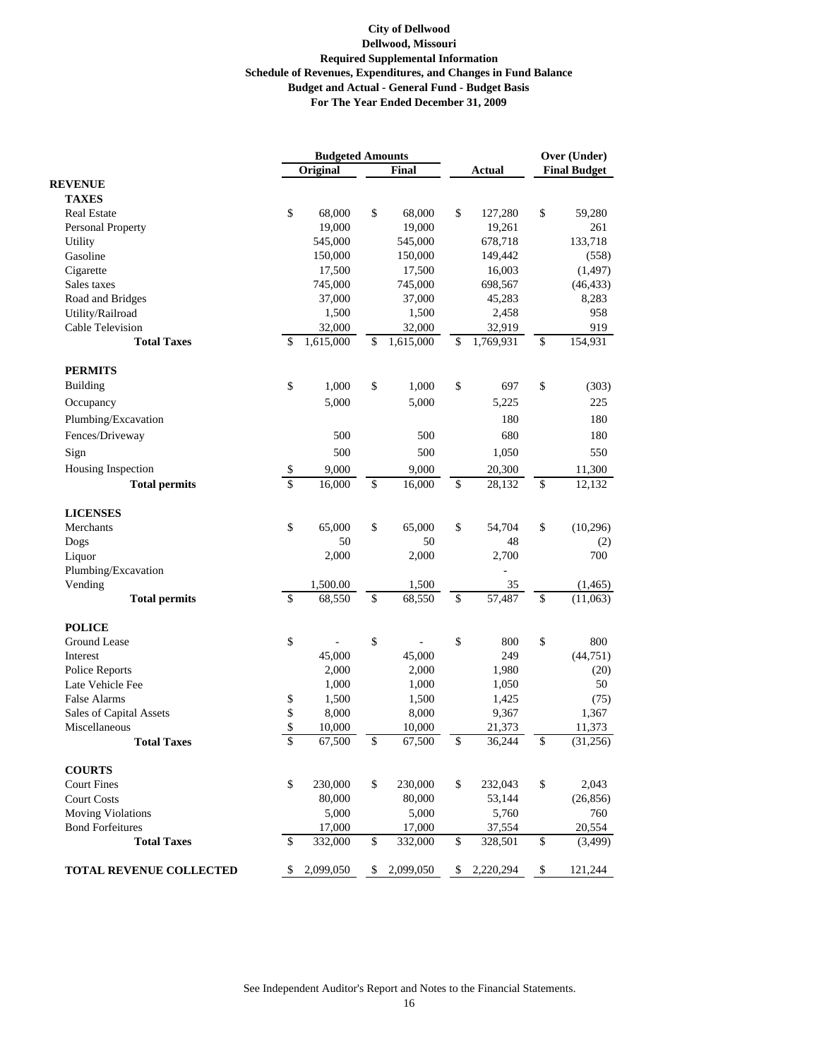| <b>Budgeted Amounts</b>  |              |           | Over (Under)    |              |    |               |    |                     |
|--------------------------|--------------|-----------|-----------------|--------------|----|---------------|----|---------------------|
|                          |              | Original  |                 | <b>Final</b> |    | <b>Actual</b> |    | <b>Final Budget</b> |
| <b>REVENUE</b>           |              |           |                 |              |    |               |    |                     |
| <b>TAXES</b>             |              |           |                 |              |    |               |    |                     |
| <b>Real Estate</b>       | \$           | 68,000    | \$              | 68,000       | \$ | 127,280       | \$ | 59,280              |
| Personal Property        |              | 19,000    |                 | 19,000       |    | 19,261        |    | 261                 |
| Utility                  |              | 545,000   |                 | 545,000      |    | 678,718       |    | 133,718             |
| Gasoline                 |              | 150,000   |                 | 150,000      |    | 149,442       |    | (558)               |
| Cigarette                |              | 17,500    |                 | 17,500       |    | 16,003        |    | (1, 497)            |
| Sales taxes              |              | 745,000   |                 | 745,000      |    | 698,567       |    | (46, 433)           |
| Road and Bridges         |              | 37,000    |                 | 37,000       |    | 45,283        |    | 8,283               |
| Utility/Railroad         |              | 1,500     |                 | 1,500        |    | 2,458         |    | 958                 |
| Cable Television         |              | 32,000    |                 | 32,000       |    | 32,919        |    | 919                 |
| <b>Total Taxes</b>       | \$           | 1,615,000 | \$              | 1,615,000    | \$ | 1,769,931     | \$ | 154,931             |
| <b>PERMITS</b>           |              |           |                 |              |    |               |    |                     |
| <b>Building</b>          | \$           | 1,000     | \$              | 1,000        | \$ | 697           | \$ | (303)               |
| Occupancy                |              | 5,000     |                 | 5,000        |    | 5,225         |    | 225                 |
| Plumbing/Excavation      |              |           |                 |              |    | 180           |    | 180                 |
| Fences/Driveway          |              | 500       |                 | 500          |    | 680           |    | 180                 |
| Sign                     |              | 500       |                 | 500          |    | 1,050         |    | 550                 |
| Housing Inspection       | \$           | 9,000     |                 | 9,000        |    | 20,300        |    | 11,300              |
| <b>Total permits</b>     | \$           | 16,000    | \$              | 16,000       | \$ | 28,132        | \$ | 12,132              |
| <b>LICENSES</b>          |              |           |                 |              |    |               |    |                     |
| Merchants                | \$           | 65,000    | \$              | 65,000       | \$ | 54,704        | \$ | (10, 296)           |
| Dogs                     |              | 50        |                 | 50           |    | 48            |    | (2)                 |
| Liquor                   |              | 2,000     |                 | 2,000        |    | 2,700         |    | 700                 |
| Plumbing/Excavation      |              |           |                 |              |    | L,            |    |                     |
| Vending                  |              | 1,500.00  |                 | 1,500        |    | 35            |    | (1,465)             |
| <b>Total permits</b>     | \$           | 68,550    | $\overline{\$}$ | 68,550       | \$ | 57,487        | \$ | (11,063)            |
| <b>POLICE</b>            |              |           |                 |              |    |               |    |                     |
| Ground Lease             | \$           |           | \$              |              | \$ | 800           | \$ | 800                 |
| Interest                 |              | 45,000    |                 | 45,000       |    | 249           |    | (44,751)            |
| Police Reports           |              | 2,000     |                 | 2,000        |    | 1,980         |    | (20)                |
| Late Vehicle Fee         |              | 1,000     |                 | 1,000        |    | 1,050         |    | 50                  |
| <b>False Alarms</b>      | \$           | 1,500     |                 | 1,500        |    | 1,425         |    | (75)                |
| Sales of Capital Assets  | \$           | 8,000     |                 | 8,000        |    | 9,367         |    | 1,367               |
| Miscellaneous            | \$           | 10,000    |                 | 10,000       |    | 21,373        |    | 11,373              |
| <b>Total Taxes</b>       | \$           | 67,500    | \$              | 67,500       | \$ | 36,244        | \$ | (31,256)            |
| <b>COURTS</b>            |              |           |                 |              |    |               |    |                     |
| <b>Court Fines</b>       | \$           | 230,000   | \$              | 230,000      | \$ | 232,043       | \$ | 2,043               |
| <b>Court Costs</b>       |              | 80,000    |                 | 80,000       |    | 53,144        |    | (26, 856)           |
| <b>Moving Violations</b> |              | 5,000     |                 | 5,000        |    | 5,760         |    | 760                 |
| <b>Bond Forfeitures</b>  |              | 17,000    |                 | 17,000       |    | 37,554        |    | 20,554              |
| <b>Total Taxes</b>       | $\mathbf{s}$ | 332,000   | \$              | 332,000      | \$ | 328,501       | \$ | (3,499)             |
| TOTAL REVENUE COLLECTED  | \$           | 2,099,050 | \$              | 2,099,050    | \$ | 2,220,294     | \$ | 121,244             |

See Independent Auditor's Report and Notes to the Financial Statements.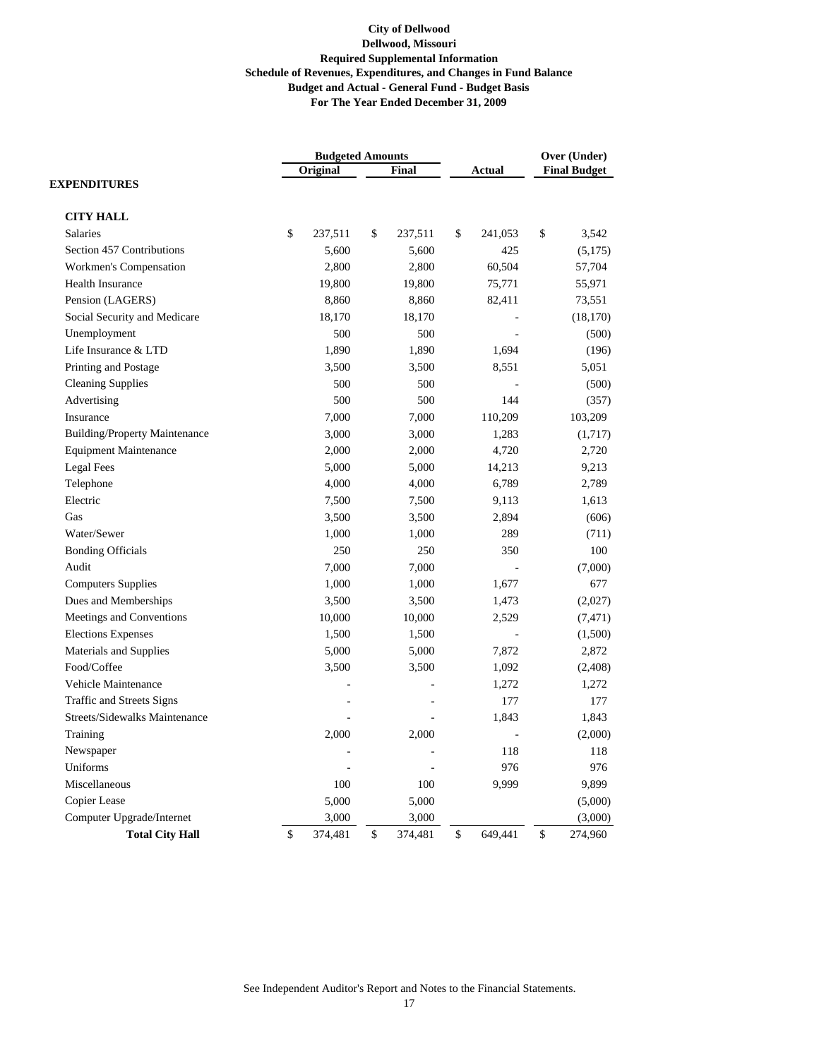|                                      |               | <b>Budgeted Amounts</b> |               | Over (Under)        |  |  |
|--------------------------------------|---------------|-------------------------|---------------|---------------------|--|--|
|                                      | Original      | <b>Final</b>            | Actual        | <b>Final Budget</b> |  |  |
| <b>EXPENDITURES</b>                  |               |                         |               |                     |  |  |
| <b>CITY HALL</b>                     |               |                         |               |                     |  |  |
| <b>Salaries</b>                      | \$<br>237,511 | \$<br>237,511           | \$<br>241,053 | \$<br>3,542         |  |  |
| Section 457 Contributions            | 5,600         | 5,600                   | 425           | (5,175)             |  |  |
| Workmen's Compensation               | 2,800         | 2,800                   | 60,504        | 57,704              |  |  |
| <b>Health Insurance</b>              | 19,800        | 19,800                  | 75,771        | 55,971              |  |  |
| Pension (LAGERS)                     | 8,860         | 8,860                   | 82,411        | 73,551              |  |  |
| Social Security and Medicare         | 18,170        | 18,170                  |               | (18, 170)           |  |  |
| Unemployment                         | 500           | 500                     |               | (500)               |  |  |
| Life Insurance & LTD                 | 1,890         | 1,890                   | 1,694         | (196)               |  |  |
| Printing and Postage                 | 3,500         | 3,500                   | 8,551         | 5,051               |  |  |
| <b>Cleaning Supplies</b>             | 500           | 500                     |               | (500)               |  |  |
| Advertising                          | 500           | 500                     | 144           | (357)               |  |  |
| Insurance                            | 7,000         | 7,000                   | 110,209       | 103,209             |  |  |
| <b>Building/Property Maintenance</b> | 3,000         | 3,000                   | 1,283         | (1,717)             |  |  |
| <b>Equipment Maintenance</b>         | 2,000         | 2,000                   | 4,720         | 2,720               |  |  |
| Legal Fees                           | 5,000         | 5,000                   | 14,213        | 9,213               |  |  |
| Telephone                            | 4,000         | 4,000                   | 6,789         | 2,789               |  |  |
| Electric                             | 7,500         | 7,500                   | 9,113         | 1,613               |  |  |
| Gas                                  | 3,500         | 3,500                   | 2,894         | (606)               |  |  |
| Water/Sewer                          | 1,000         | 1,000                   | 289           | (711)               |  |  |
| <b>Bonding Officials</b>             | 250           | 250                     | 350           | 100                 |  |  |
| Audit                                | 7,000         | 7,000                   |               | (7,000)             |  |  |
| <b>Computers Supplies</b>            | 1,000         | 1,000                   | 1,677         | 677                 |  |  |
| Dues and Memberships                 | 3,500         | 3,500                   | 1,473         | (2,027)             |  |  |
| Meetings and Conventions             | 10,000        | 10,000                  | 2,529         | (7, 471)            |  |  |
| <b>Elections Expenses</b>            | 1,500         | 1,500                   |               | (1,500)             |  |  |
| Materials and Supplies               | 5,000         | 5,000                   | 7,872         | 2,872               |  |  |
| Food/Coffee                          | 3,500         | 3,500                   | 1,092         | (2,408)             |  |  |
| Vehicle Maintenance                  |               |                         | 1,272         | 1,272               |  |  |
| <b>Traffic and Streets Signs</b>     |               |                         | 177           | 177                 |  |  |
| Streets/Sidewalks Maintenance        |               |                         | 1,843         | 1,843               |  |  |
| Training                             | 2,000         | 2,000                   |               | (2,000)             |  |  |
| Newspaper                            |               |                         | 118           | 118                 |  |  |
| Uniforms                             |               |                         | 976           | 976                 |  |  |
| Miscellaneous                        | 100           | 100                     | 9,999         | 9,899               |  |  |
| Copier Lease                         | 5,000         | 5,000                   |               | (5,000)             |  |  |
| Computer Upgrade/Internet            | 3,000         | 3,000                   |               | (3,000)             |  |  |
| <b>Total City Hall</b>               | \$<br>374,481 | \$<br>374,481           | \$<br>649,441 | \$<br>274,960       |  |  |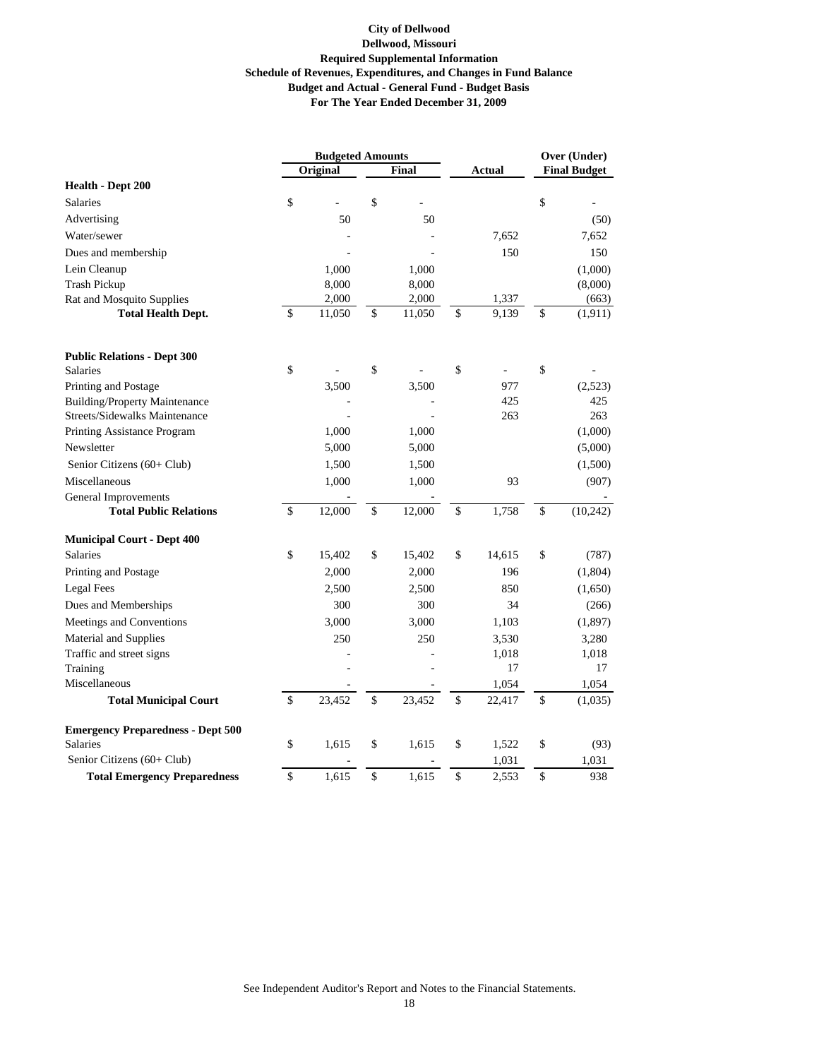|                                          |                    | <b>Budgeted Amounts</b> |              |                 |        | Over (Under) |                     |
|------------------------------------------|--------------------|-------------------------|--------------|-----------------|--------|--------------|---------------------|
|                                          |                    | Original                | <b>Final</b> |                 | Actual |              | <b>Final Budget</b> |
| Health - Dept 200                        |                    |                         |              |                 |        |              |                     |
| <b>Salaries</b>                          | \$                 |                         | \$           |                 |        | \$           | $\overline{a}$      |
| Advertising                              |                    | 50                      | 50           |                 |        |              | (50)                |
| Water/sewer                              |                    |                         |              |                 | 7,652  |              | 7,652               |
| Dues and membership                      |                    |                         |              |                 | 150    |              | 150                 |
| Lein Cleanup                             |                    | 1,000                   | 1,000        |                 |        |              | (1,000)             |
| <b>Trash Pickup</b>                      |                    | 8,000                   | 8,000        |                 |        |              | (8,000)             |
| Rat and Mosquito Supplies                |                    | 2,000                   | 2,000        |                 | 1,337  |              | (663)               |
| <b>Total Health Dept.</b>                | $\mathbb{S}$       | 11,050                  | \$<br>11,050 | \$              | 9,139  | \$           | (1, 911)            |
| <b>Public Relations - Dept 300</b>       |                    |                         |              |                 |        |              |                     |
| <b>Salaries</b>                          | $\mathsf{\$}$      |                         | \$           | \$              | ä,     | \$           |                     |
| Printing and Postage                     |                    | 3,500                   | 3,500        |                 | 977    |              | (2,523)             |
| <b>Building/Property Maintenance</b>     |                    |                         |              |                 | 425    |              | 425                 |
| Streets/Sidewalks Maintenance            |                    |                         |              |                 | 263    |              | 263                 |
| Printing Assistance Program              |                    | 1,000                   | 1,000        |                 |        |              | (1,000)             |
| Newsletter                               |                    | 5,000                   | 5,000        |                 |        |              | (5,000)             |
| Senior Citizens (60+ Club)               |                    | 1,500                   | 1,500        |                 |        |              | (1,500)             |
| Miscellaneous                            |                    | 1,000                   | 1,000        |                 | 93     |              | (907)               |
| General Improvements                     |                    |                         |              |                 |        |              |                     |
| <b>Total Public Relations</b>            | $\mathbf{\hat{S}}$ | 12,000                  | \$<br>12,000 | $\overline{\$}$ | 1,758  | \$           | (10, 242)           |
| <b>Municipal Court - Dept 400</b>        |                    |                         |              |                 |        |              |                     |
| Salaries                                 | \$                 | 15,402                  | \$<br>15,402 | \$              | 14,615 | \$           | (787)               |
| Printing and Postage                     |                    | 2,000                   | 2,000        |                 | 196    |              | (1,804)             |
| <b>Legal Fees</b>                        |                    | 2,500                   | 2,500        |                 | 850    |              | (1,650)             |
| Dues and Memberships                     |                    | 300                     | 300          |                 | 34     |              | (266)               |
| Meetings and Conventions                 |                    | 3,000                   | 3,000        |                 | 1,103  |              | (1, 897)            |
| Material and Supplies                    |                    | 250                     | 250          |                 | 3,530  |              | 3,280               |
| Traffic and street signs                 |                    |                         |              |                 | 1,018  |              | 1,018               |
| Training                                 |                    |                         |              |                 | 17     |              | 17                  |
| Miscellaneous                            |                    |                         |              |                 | 1,054  |              | 1,054               |
| <b>Total Municipal Court</b>             | \$                 | 23,452                  | \$<br>23,452 | \$              | 22,417 | \$           | (1,035)             |
| <b>Emergency Preparedness - Dept 500</b> |                    |                         |              |                 |        |              |                     |
| <b>Salaries</b>                          | \$                 | 1,615                   | \$<br>1,615  | \$              | 1,522  | \$           | (93)                |
| Senior Citizens (60+ Club)               |                    |                         |              |                 | 1,031  |              | 1,031               |
| <b>Total Emergency Preparedness</b>      | \$                 | 1,615                   | \$<br>1,615  | \$              | 2,553  | \$           | 938                 |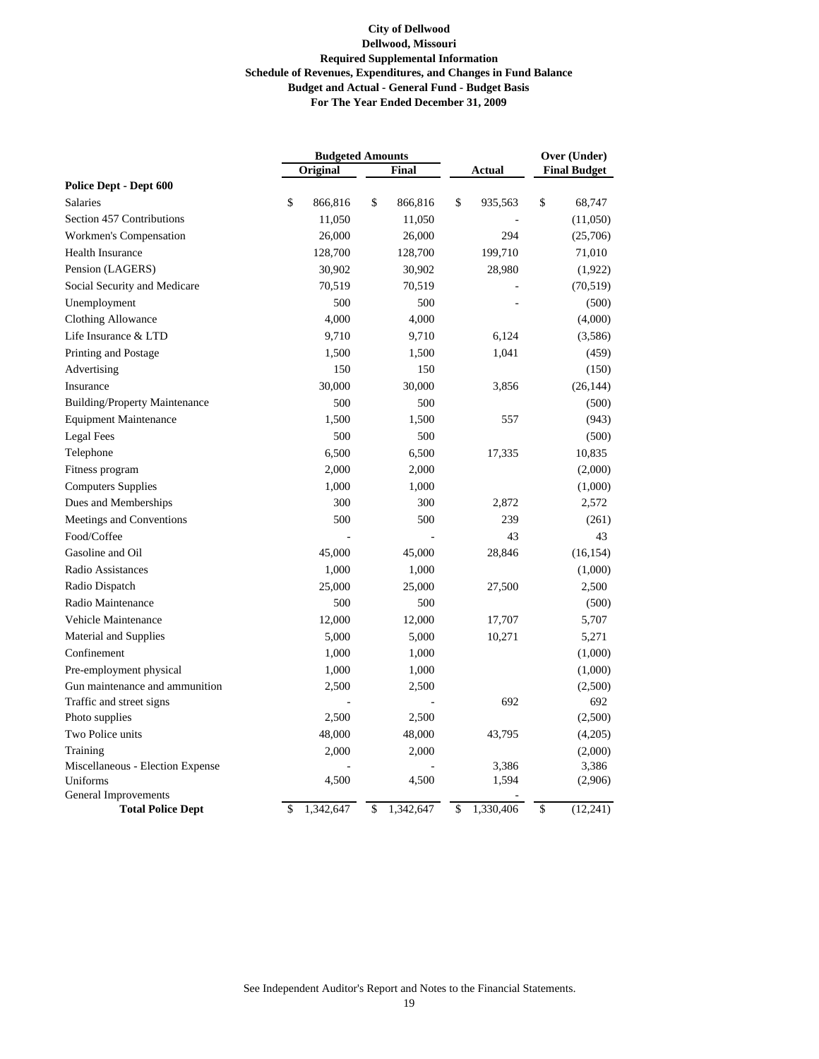|                                      |                            | <b>Budgeted Amounts</b> |                 | Over (Under)                 |  |
|--------------------------------------|----------------------------|-------------------------|-----------------|------------------------------|--|
|                                      | Original                   | <b>Final</b>            | <b>Actual</b>   | <b>Final Budget</b>          |  |
| <b>Police Dept - Dept 600</b>        |                            |                         |                 |                              |  |
| Salaries                             | \$<br>866,816              | \$<br>866,816           | \$<br>935,563   | \$<br>68,747                 |  |
| Section 457 Contributions            | 11,050                     | 11,050                  |                 | (11,050)                     |  |
| Workmen's Compensation               | 26,000                     | 26,000                  | 294             | (25,706)                     |  |
| <b>Health Insurance</b>              | 128,700                    | 128,700                 | 199,710         | 71,010                       |  |
| Pension (LAGERS)                     | 30,902                     | 30,902                  | 28,980          | (1,922)                      |  |
| Social Security and Medicare         | 70,519                     | 70,519                  |                 | (70, 519)                    |  |
| Unemployment                         | 500                        | 500                     |                 | (500)                        |  |
| Clothing Allowance                   | 4,000                      | 4,000                   |                 | (4,000)                      |  |
| Life Insurance & LTD                 | 9,710                      | 9,710                   | 6,124           | (3,586)                      |  |
| Printing and Postage                 | 1,500                      | 1,500                   | 1,041           | (459)                        |  |
| Advertising                          | 150                        | 150                     |                 | (150)                        |  |
| Insurance                            | 30,000                     | 30,000                  | 3,856           | (26, 144)                    |  |
| <b>Building/Property Maintenance</b> | 500                        | 500                     |                 | (500)                        |  |
| <b>Equipment Maintenance</b>         | 1,500                      | 1,500                   | 557             | (943)                        |  |
| <b>Legal Fees</b>                    | 500                        | 500                     |                 | (500)                        |  |
| Telephone                            | 6,500                      | 6,500                   | 17,335          | 10,835                       |  |
| Fitness program                      | 2,000                      | 2,000                   |                 | (2,000)                      |  |
| <b>Computers Supplies</b>            | 1,000                      | 1,000                   |                 | (1,000)                      |  |
| Dues and Memberships                 | 300                        | 300                     | 2,872           | 2,572                        |  |
| Meetings and Conventions             | 500                        | 500                     | 239             | (261)                        |  |
| Food/Coffee                          |                            |                         | 43              | 43                           |  |
| Gasoline and Oil                     | 45,000                     | 45,000                  | 28,846          | (16, 154)                    |  |
| Radio Assistances                    | 1,000                      | 1,000                   |                 | (1,000)                      |  |
| Radio Dispatch                       | 25,000                     | 25,000                  | 27,500          | 2,500                        |  |
| Radio Maintenance                    | 500                        | 500                     |                 | (500)                        |  |
| Vehicle Maintenance                  | 12,000                     | 12,000                  | 17,707          | 5,707                        |  |
| Material and Supplies                | 5,000                      | 5,000                   | 10,271          | 5,271                        |  |
| Confinement                          | 1,000                      | 1,000                   |                 | (1,000)                      |  |
| Pre-employment physical              | 1,000                      | 1,000                   |                 | (1,000)                      |  |
| Gun maintenance and ammunition       | 2,500                      | 2,500                   |                 | (2,500)                      |  |
| Traffic and street signs             |                            |                         | 692             | 692                          |  |
| Photo supplies                       | 2,500                      | 2,500                   |                 | (2,500)                      |  |
| Two Police units                     | 48,000                     | 48,000                  | 43,795          | (4,205)                      |  |
| Training                             | 2,000                      | 2,000                   |                 | (2,000)                      |  |
| Miscellaneous - Election Expense     |                            |                         | 3,386           | 3,386                        |  |
| Uniforms                             | 4,500                      | 4,500                   | 1,594           | (2,906)                      |  |
| General Improvements                 |                            |                         |                 |                              |  |
| <b>Total Police Dept</b>             | 1,342,647<br>$\mathsf{\$}$ | \$<br>1,342,647         | \$<br>1,330,406 | $\overline{\$}$<br>(12, 241) |  |

See Independent Auditor's Report and Notes to the Financial Statements.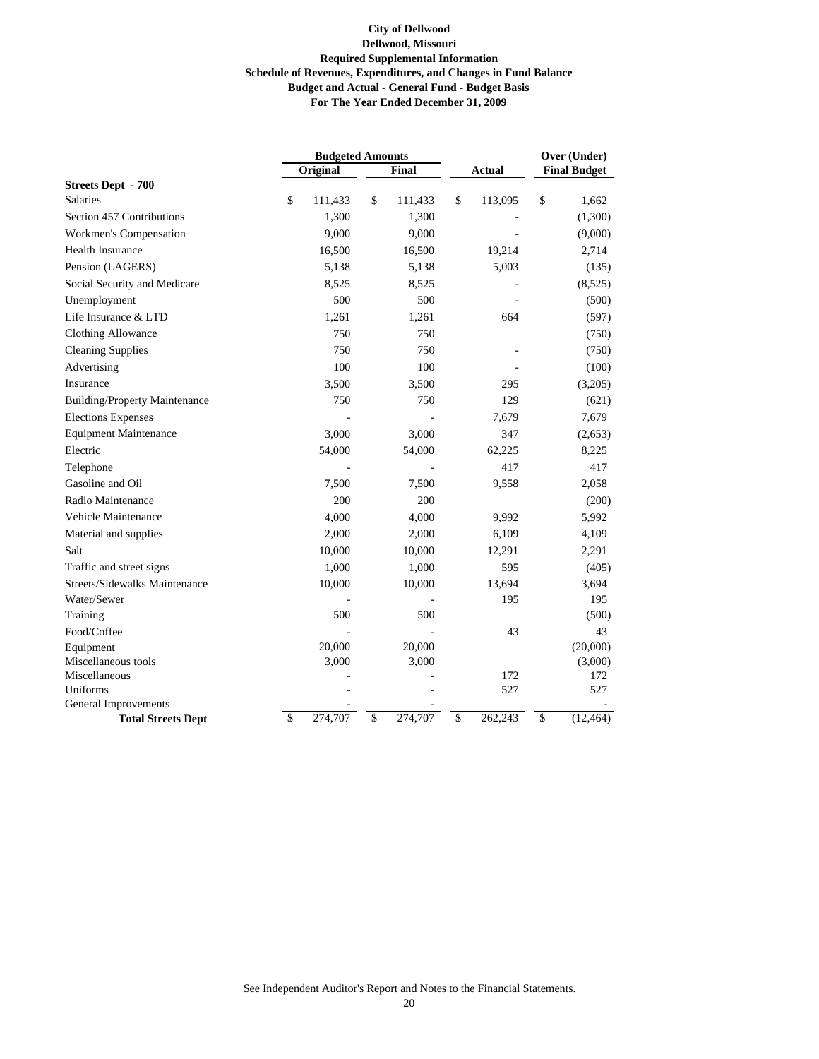|                                      | <b>Budgeted Amounts</b> |    |         |               |                     | Over (Under) |
|--------------------------------------|-------------------------|----|---------|---------------|---------------------|--------------|
|                                      | Original                |    | Final   | Actual        | <b>Final Budget</b> |              |
| <b>Streets Dept - 700</b>            |                         |    |         |               |                     |              |
| <b>Salaries</b>                      | \$<br>111,433           | \$ | 111,433 | \$<br>113,095 | \$                  | 1,662        |
| Section 457 Contributions            | 1,300                   |    | 1,300   |               |                     | (1,300)      |
| Workmen's Compensation               | 9,000                   |    | 9,000   |               |                     | (9,000)      |
| Health Insurance                     | 16,500                  |    | 16,500  | 19,214        |                     | 2,714        |
| Pension (LAGERS)                     | 5,138                   |    | 5,138   | 5,003         |                     | (135)        |
| Social Security and Medicare         | 8,525                   |    | 8,525   |               |                     | (8,525)      |
| Unemployment                         | 500                     |    | 500     |               |                     | (500)        |
| Life Insurance & LTD                 | 1,261                   |    | 1,261   | 664           |                     | (597)        |
| <b>Clothing Allowance</b>            | 750                     |    | 750     |               |                     | (750)        |
| <b>Cleaning Supplies</b>             | 750                     |    | 750     |               |                     | (750)        |
| Advertising                          | 100                     |    | 100     |               |                     | (100)        |
| Insurance                            | 3,500                   |    | 3,500   | 295           |                     | (3,205)      |
| <b>Building/Property Maintenance</b> | 750                     |    | 750     | 129           |                     | (621)        |
| <b>Elections Expenses</b>            |                         |    |         | 7,679         |                     | 7,679        |
| <b>Equipment Maintenance</b>         | 3,000                   |    | 3,000   | 347           |                     | (2,653)      |
| Electric                             | 54,000                  |    | 54,000  | 62,225        |                     | 8,225        |
| Telephone                            |                         |    |         | 417           |                     | 417          |
| Gasoline and Oil                     | 7,500                   |    | 7,500   | 9,558         |                     | 2,058        |
| Radio Maintenance                    | 200                     |    | 200     |               |                     | (200)        |
| Vehicle Maintenance                  | 4,000                   |    | 4,000   | 9,992         |                     | 5,992        |
| Material and supplies                | 2,000                   |    | 2,000   | 6,109         |                     | 4,109        |
| Salt                                 | 10,000                  |    | 10,000  | 12,291        |                     | 2,291        |
| Traffic and street signs             | 1,000                   |    | 1,000   | 595           |                     | (405)        |
| Streets/Sidewalks Maintenance        | 10,000                  |    | 10,000  | 13,694        |                     | 3,694        |
| Water/Sewer                          |                         |    |         | 195           |                     | 195          |
| Training                             | 500                     |    | 500     |               |                     | (500)        |
| Food/Coffee                          |                         |    |         | 43            |                     | 43           |
| Equipment                            | 20,000                  |    | 20,000  |               |                     | (20,000)     |
| Miscellaneous tools                  | 3,000                   |    | 3,000   |               |                     | (3,000)      |
| Miscellaneous                        |                         |    |         | 172           |                     | 172          |
| Uniforms                             |                         |    |         | 527           |                     | 527          |
| General Improvements                 |                         |    |         |               |                     |              |
| <b>Total Streets Dept</b>            | \$<br>274,707           | \$ | 274,707 | \$<br>262,243 | $\mathbf{\hat{S}}$  | (12, 464)    |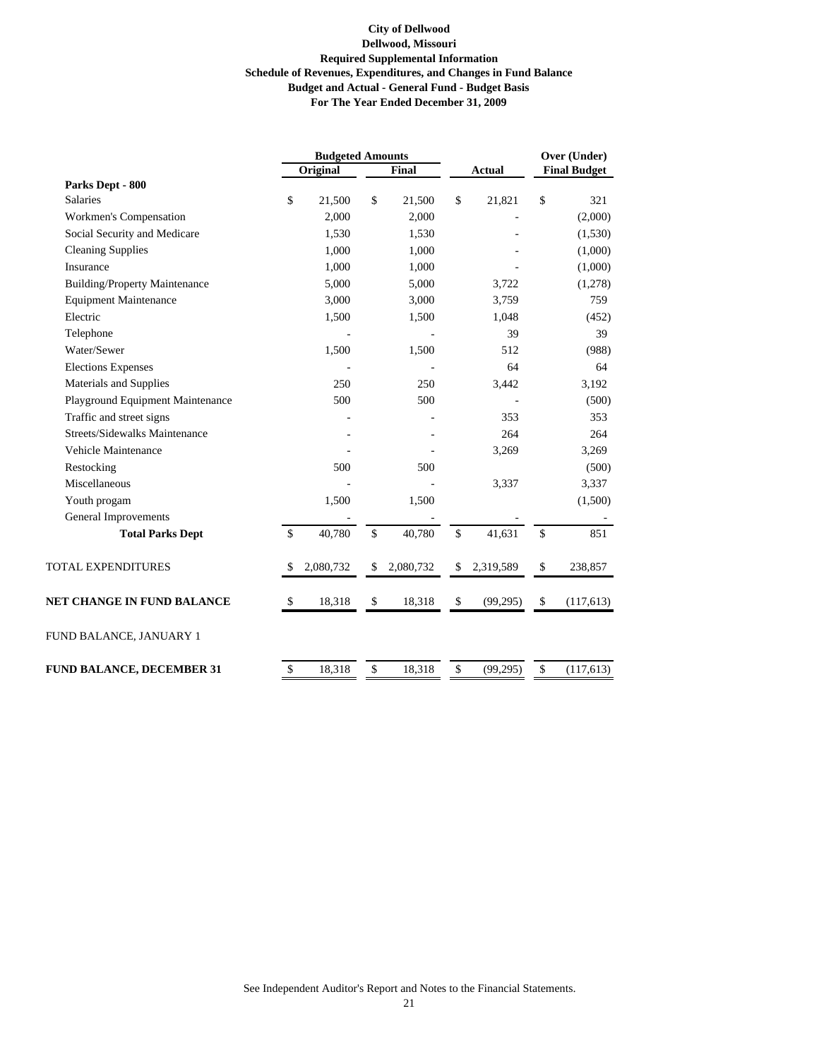|                                      | <b>Budgeted Amounts</b> |                 |               |           |               | Over (Under)        |  |
|--------------------------------------|-------------------------|-----------------|---------------|-----------|---------------|---------------------|--|
|                                      | Original                | <b>Final</b>    | <b>Actual</b> |           |               | <b>Final Budget</b> |  |
| Parks Dept - 800                     |                         |                 |               |           |               |                     |  |
| <b>Salaries</b>                      | \$<br>21,500            | \$<br>21,500    | \$            | 21,821    | \$            | 321                 |  |
| Workmen's Compensation               | 2,000                   | 2,000           |               |           |               | (2,000)             |  |
| Social Security and Medicare         | 1,530                   | 1,530           |               |           |               | (1,530)             |  |
| <b>Cleaning Supplies</b>             | 1,000                   | 1,000           |               |           |               | (1,000)             |  |
| Insurance                            | 1,000                   | 1,000           |               |           |               | (1,000)             |  |
| <b>Building/Property Maintenance</b> | 5,000                   | 5,000           |               | 3,722     |               | (1,278)             |  |
| <b>Equipment Maintenance</b>         | 3,000                   | 3,000           |               | 3,759     |               | 759                 |  |
| Electric                             | 1,500                   | 1,500           |               | 1,048     |               | (452)               |  |
| Telephone                            |                         |                 |               | 39        |               | 39                  |  |
| Water/Sewer                          | 1,500                   | 1,500           |               | 512       |               | (988)               |  |
| <b>Elections Expenses</b>            |                         |                 |               | 64        |               | 64                  |  |
| Materials and Supplies               | 250                     | 250             |               | 3,442     |               | 3,192               |  |
| Playground Equipment Maintenance     | 500                     | 500             |               |           |               | (500)               |  |
| Traffic and street signs             |                         |                 |               | 353       |               | 353                 |  |
| Streets/Sidewalks Maintenance        |                         |                 |               | 264       |               | 264                 |  |
| Vehicle Maintenance                  |                         |                 |               | 3,269     |               | 3,269               |  |
| Restocking                           | 500                     | 500             |               |           |               | (500)               |  |
| Miscellaneous                        |                         |                 |               | 3,337     |               | 3,337               |  |
| Youth progam                         | 1,500                   | 1,500           |               |           |               | (1,500)             |  |
| General Improvements                 |                         |                 |               |           |               |                     |  |
| <b>Total Parks Dept</b>              | \$<br>40,780            | \$<br>40,780    | $\mathsf{\$}$ | 41,631    | $\mathsf{\$}$ | 851                 |  |
| TOTAL EXPENDITURES                   | \$<br>2,080,732         | \$<br>2,080,732 | \$            | 2,319,589 | \$            | 238,857             |  |
| NET CHANGE IN FUND BALANCE           | \$<br>18,318            | \$<br>18,318    | \$            | (99,295)  | \$            | (117,613)           |  |
| FUND BALANCE, JANUARY 1              |                         |                 |               |           |               |                     |  |
| <b>FUND BALANCE, DECEMBER 31</b>     | \$<br>18,318            | \$<br>18,318    | \$            | (99,295)  | \$            | (117,613)           |  |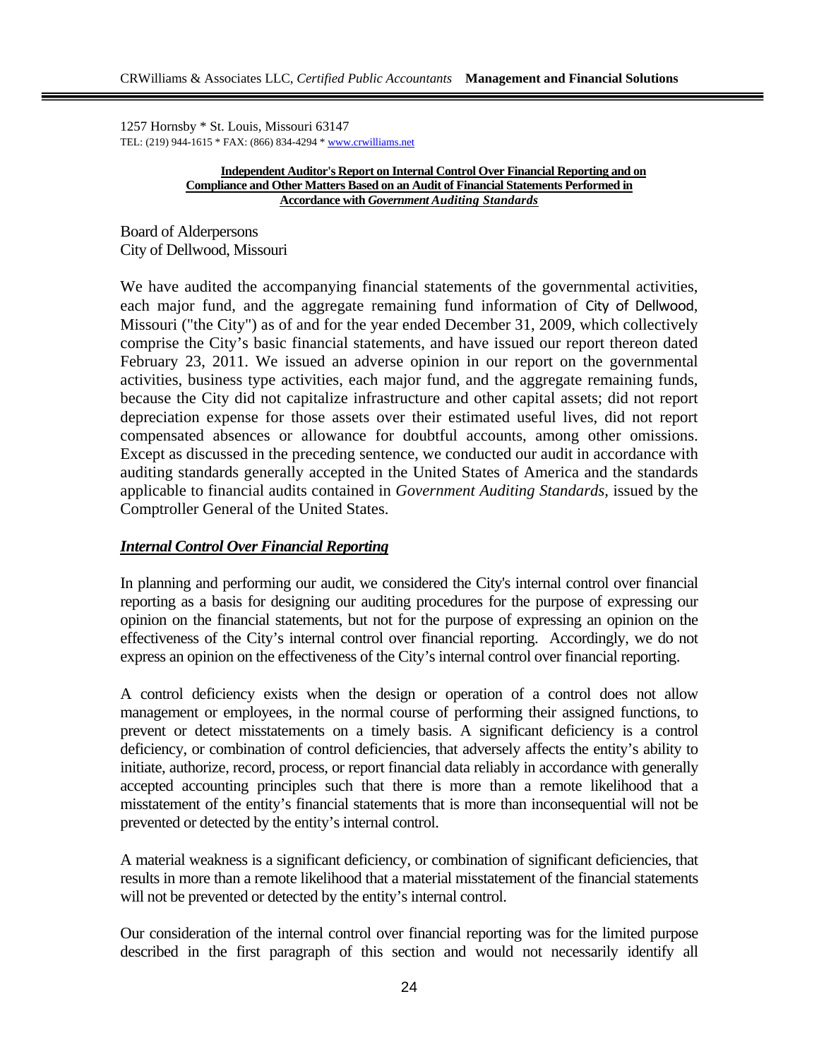1257 Hornsby \* St. Louis, Missouri 63147 TEL: (219) 944-1615 \* FAX: (866) 834-4294 \* www.crwilliams.net

#### **Independent Auditor's Report on Internal Control Over Financial Reporting and on Compliance and Other Matters Based on an Audit of Financial Statements Performed in Accordance with** *Government Auditing Standards*

Board of Alderpersons City of Dellwood, Missouri

We have audited the accompanying financial statements of the governmental activities, each major fund, and the aggregate remaining fund information of City of Dellwood, Missouri ("the City") as of and for the year ended December 31, 2009, which collectively comprise the City's basic financial statements, and have issued our report thereon dated February 23, 2011. We issued an adverse opinion in our report on the governmental activities, business type activities, each major fund, and the aggregate remaining funds, because the City did not capitalize infrastructure and other capital assets; did not report depreciation expense for those assets over their estimated useful lives, did not report compensated absences or allowance for doubtful accounts, among other omissions. Except as discussed in the preceding sentence, we conducted our audit in accordance with auditing standards generally accepted in the United States of America and the standards applicable to financial audits contained in *Government Auditing Standards,* issued by the Comptroller General of the United States.

# *Internal Control Over Financial Reporting*

In planning and performing our audit, we considered the City's internal control over financial reporting as a basis for designing our auditing procedures for the purpose of expressing our opinion on the financial statements, but not for the purpose of expressing an opinion on the effectiveness of the City's internal control over financial reporting. Accordingly, we do not express an opinion on the effectiveness of the City's internal control over financial reporting.

A control deficiency exists when the design or operation of a control does not allow management or employees, in the normal course of performing their assigned functions, to prevent or detect misstatements on a timely basis. A significant deficiency is a control deficiency, or combination of control deficiencies, that adversely affects the entity's ability to initiate, authorize, record, process, or report financial data reliably in accordance with generally accepted accounting principles such that there is more than a remote likelihood that a misstatement of the entity's financial statements that is more than inconsequential will not be prevented or detected by the entity's internal control.

A material weakness is a significant deficiency, or combination of significant deficiencies, that results in more than a remote likelihood that a material misstatement of the financial statements will not be prevented or detected by the entity's internal control.

Our consideration of the internal control over financial reporting was for the limited purpose described in the first paragraph of this section and would not necessarily identify all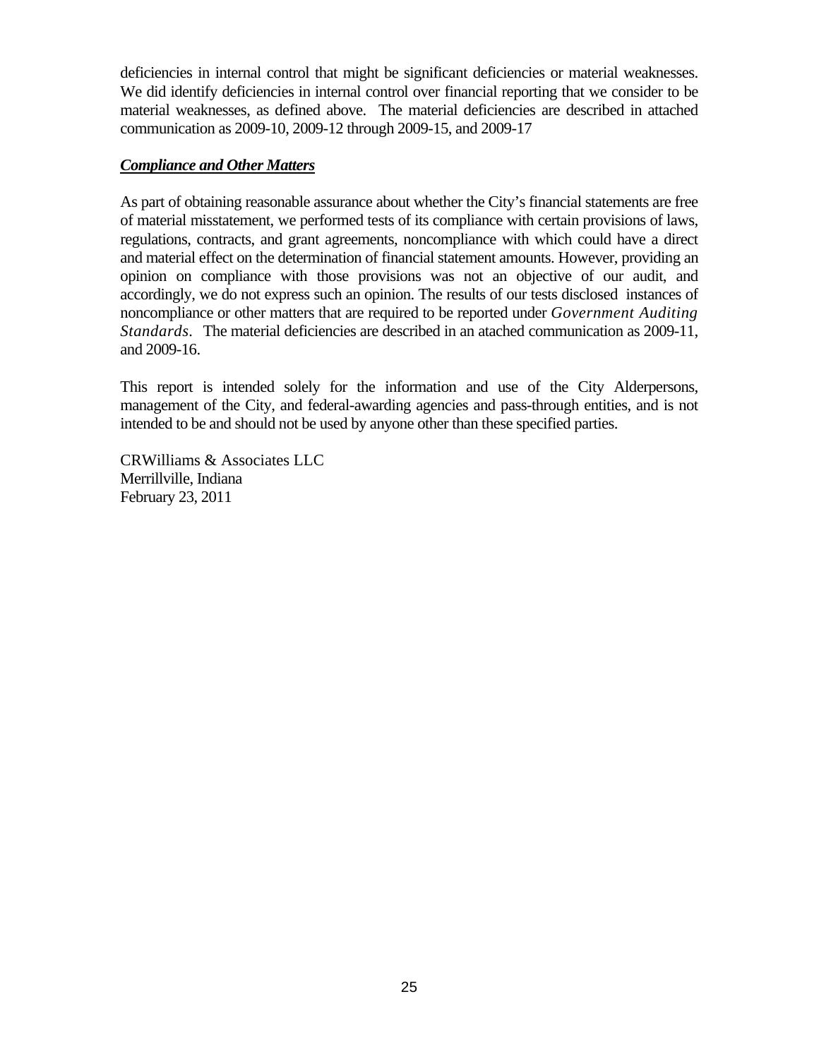deficiencies in internal control that might be significant deficiencies or material weaknesses. We did identify deficiencies in internal control over financial reporting that we consider to be material weaknesses, as defined above. The material deficiencies are described in attached communication as 2009-10, 2009-12 through 2009-15, and 2009-17

# *Compliance and Other Matters*

As part of obtaining reasonable assurance about whether the City's financial statements are free of material misstatement, we performed tests of its compliance with certain provisions of laws, regulations, contracts, and grant agreements, noncompliance with which could have a direct and material effect on the determination of financial statement amounts. However, providing an opinion on compliance with those provisions was not an objective of our audit, and accordingly, we do not express such an opinion. The results of our tests disclosed instances of noncompliance or other matters that are required to be reported under *Government Auditing Standards.* The material deficiencies are described in an atached communication as 2009-11, and 2009-16.

This report is intended solely for the information and use of the City Alderpersons, management of the City, and federal-awarding agencies and pass-through entities, and is not intended to be and should not be used by anyone other than these specified parties.

CRWilliams & Associates LLC Merrillville, Indiana February 23, 2011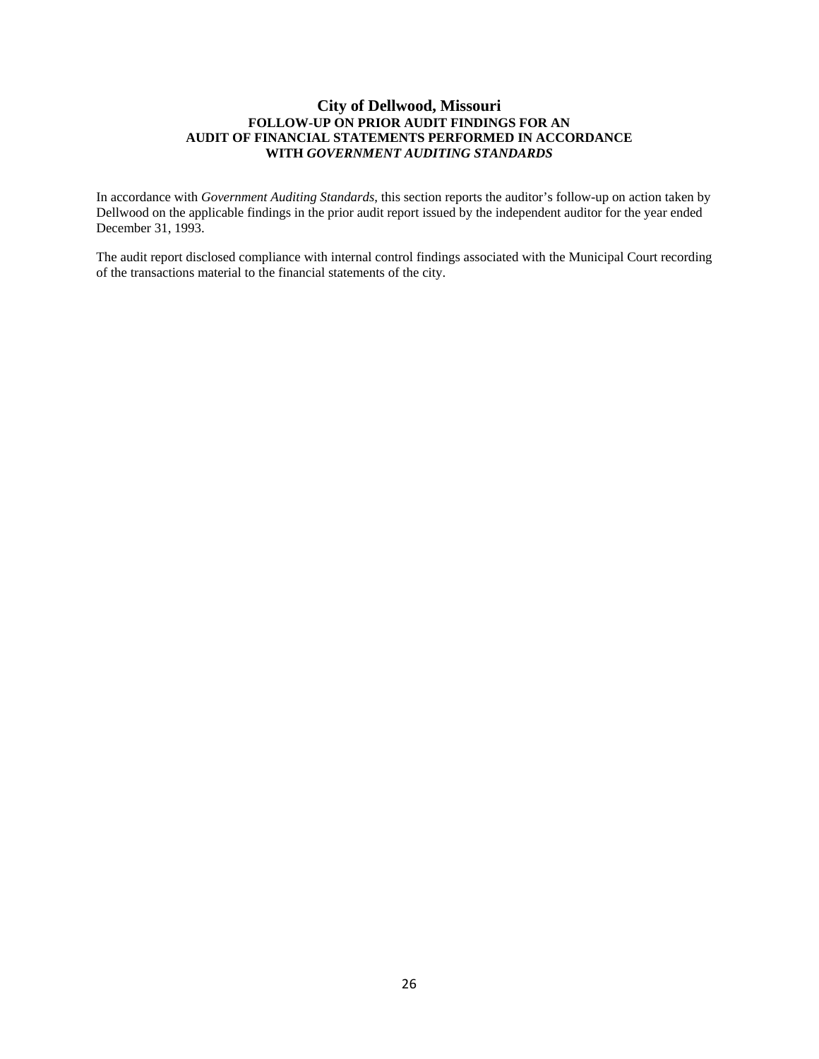### **City of Dellwood, Missouri FOLLOW-UP ON PRIOR AUDIT FINDINGS FOR AN AUDIT OF FINANCIAL STATEMENTS PERFORMED IN ACCORDANCE WITH** *GOVERNMENT AUDITING STANDARDS*

In accordance with *Government Auditing Standards*, this section reports the auditor's follow-up on action taken by Dellwood on the applicable findings in the prior audit report issued by the independent auditor for the year ended December 31, 1993.

The audit report disclosed compliance with internal control findings associated with the Municipal Court recording of the transactions material to the financial statements of the city.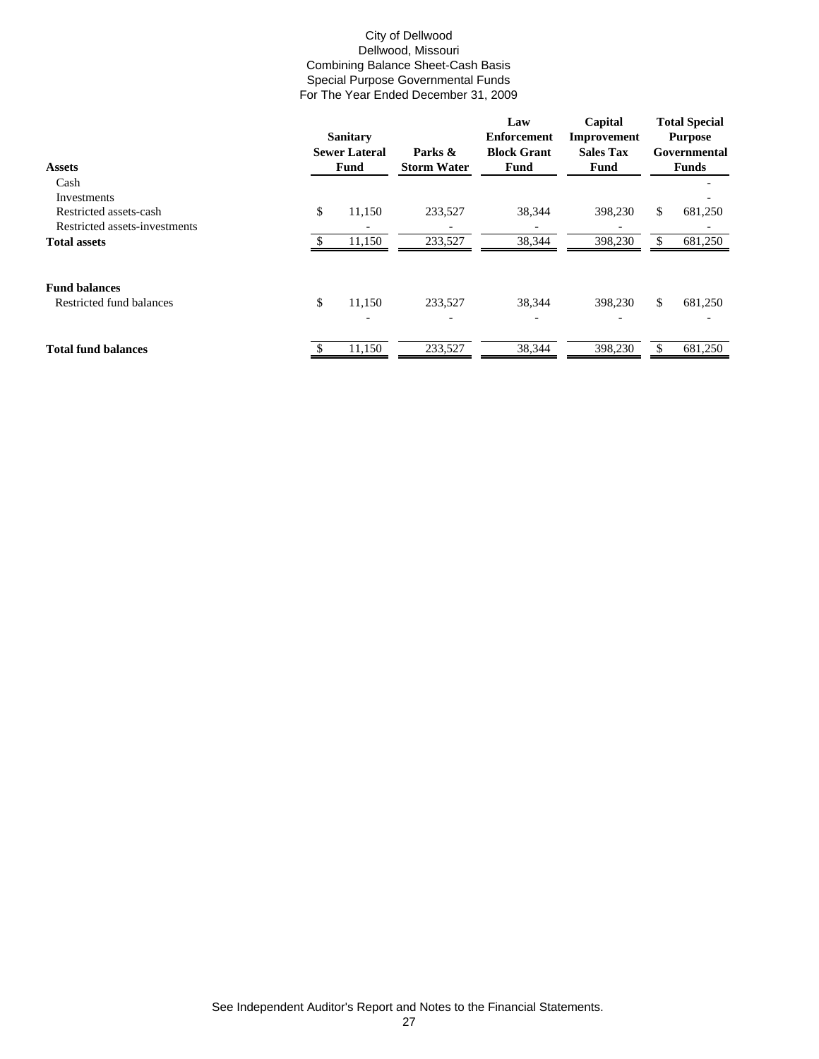#### City of Dellwood Dellwood, Missouri Combining Balance Sheet-Cash Basis Special Purpose Governmental Funds For The Year Ended December 31, 2009

| <b>Assets</b>                                        | <b>Sanitary</b><br><b>Sewer Lateral</b><br>Fund | Parks &<br><b>Storm Water</b> | Law<br><b>Enforcement</b><br><b>Block Grant</b><br><b>Fund</b> | Capital<br>Improvement<br><b>Sales Tax</b><br>Fund | <b>Total Special</b><br><b>Purpose</b><br>Governmental<br><b>Funds</b> |
|------------------------------------------------------|-------------------------------------------------|-------------------------------|----------------------------------------------------------------|----------------------------------------------------|------------------------------------------------------------------------|
| Cash                                                 |                                                 |                               |                                                                |                                                    |                                                                        |
| Investments<br>Restricted assets-cash                | \$<br>11,150                                    | 233,527                       | 38.344                                                         | 398,230                                            | \$<br>681,250                                                          |
| Restricted assets-investments<br><b>Total assets</b> | 11,150                                          | 233.527                       | 38,344                                                         | 398,230                                            | 681,250                                                                |
| <b>Fund balances</b>                                 |                                                 |                               |                                                                |                                                    |                                                                        |
| Restricted fund balances                             | \$<br>11,150                                    | 233,527                       | 38,344                                                         | 398,230                                            | \$<br>681,250                                                          |
| <b>Total fund balances</b>                           | 11,150                                          | 233,527                       | 38,344                                                         | 398,230                                            | 681,250                                                                |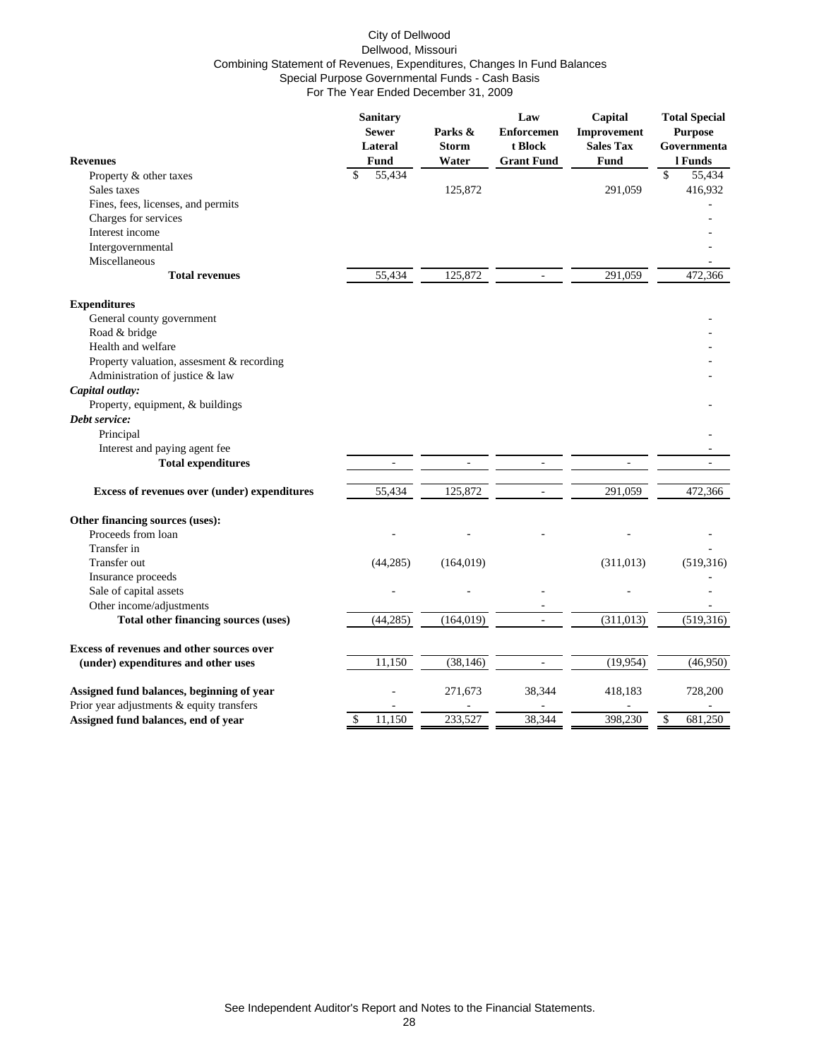#### City of Dellwood Dellwood, Missouri Combining Statement of Revenues, Expenditures, Changes In Fund Balances Special Purpose Governmental Funds - Cash Basis For The Year Ended December 31, 2009

| <b>Revenues</b>                                  | <b>Sanitary</b><br><b>Sewer</b><br>Lateral<br>Fund | Parks &<br><b>Storm</b><br>Water | Law<br><b>Enforcemen</b><br>t Block<br><b>Grant Fund</b> | Capital<br>Improvement<br><b>Sales Tax</b><br><b>Fund</b> | <b>Total Special</b><br><b>Purpose</b><br>Governmenta<br>l Funds |
|--------------------------------------------------|----------------------------------------------------|----------------------------------|----------------------------------------------------------|-----------------------------------------------------------|------------------------------------------------------------------|
| Property & other taxes                           | \$<br>55,434                                       |                                  |                                                          |                                                           | \$<br>55,434                                                     |
| Sales taxes                                      |                                                    |                                  |                                                          | 291,059                                                   | 416,932                                                          |
| Fines, fees, licenses, and permits               |                                                    | 125,872                          |                                                          |                                                           |                                                                  |
| Charges for services                             |                                                    |                                  |                                                          |                                                           |                                                                  |
| Interest income                                  |                                                    |                                  |                                                          |                                                           |                                                                  |
| Intergovernmental                                |                                                    |                                  |                                                          |                                                           |                                                                  |
| Miscellaneous                                    |                                                    |                                  |                                                          |                                                           |                                                                  |
| <b>Total revenues</b>                            | 55,434                                             | 125,872                          |                                                          | 291,059                                                   | 472,366                                                          |
| <b>Expenditures</b>                              |                                                    |                                  |                                                          |                                                           |                                                                  |
| General county government                        |                                                    |                                  |                                                          |                                                           |                                                                  |
| Road & bridge                                    |                                                    |                                  |                                                          |                                                           |                                                                  |
| Health and welfare                               |                                                    |                                  |                                                          |                                                           |                                                                  |
| Property valuation, assesment & recording        |                                                    |                                  |                                                          |                                                           |                                                                  |
| Administration of justice & law                  |                                                    |                                  |                                                          |                                                           |                                                                  |
| Capital outlay:                                  |                                                    |                                  |                                                          |                                                           |                                                                  |
| Property, equipment, & buildings                 |                                                    |                                  |                                                          |                                                           |                                                                  |
| Debt service:                                    |                                                    |                                  |                                                          |                                                           |                                                                  |
| Principal                                        |                                                    |                                  |                                                          |                                                           |                                                                  |
| Interest and paying agent fee                    |                                                    |                                  |                                                          |                                                           |                                                                  |
| <b>Total expenditures</b>                        |                                                    |                                  |                                                          |                                                           |                                                                  |
| Excess of revenues over (under) expenditures     | 55,434                                             | 125,872                          | $\overline{\phantom{a}}$                                 | 291,059                                                   | 472,366                                                          |
| Other financing sources (uses):                  |                                                    |                                  |                                                          |                                                           |                                                                  |
| Proceeds from loan                               |                                                    |                                  |                                                          |                                                           |                                                                  |
| Transfer in                                      |                                                    |                                  |                                                          |                                                           |                                                                  |
| Transfer out                                     | (44, 285)                                          | (164, 019)                       |                                                          | (311,013)                                                 | (519, 316)                                                       |
| Insurance proceeds                               |                                                    |                                  |                                                          |                                                           |                                                                  |
| Sale of capital assets                           |                                                    |                                  |                                                          |                                                           |                                                                  |
| Other income/adjustments                         |                                                    |                                  |                                                          |                                                           |                                                                  |
| Total other financing sources (uses)             | (44, 285)                                          | (164, 019)                       |                                                          | (311, 013)                                                | (519, 316)                                                       |
| <b>Excess of revenues and other sources over</b> |                                                    |                                  |                                                          |                                                           |                                                                  |
| (under) expenditures and other uses              | 11,150                                             | (38, 146)                        | ÷                                                        | (19,954)                                                  | (46,950)                                                         |
| Assigned fund balances, beginning of year        |                                                    | 271,673                          | 38,344                                                   | 418,183                                                   | 728,200                                                          |
| Prior year adjustments & equity transfers        |                                                    |                                  |                                                          |                                                           |                                                                  |
| Assigned fund balances, end of year              | \$<br>11,150                                       | 233,527                          | 38,344                                                   | 398,230                                                   | \$<br>681,250                                                    |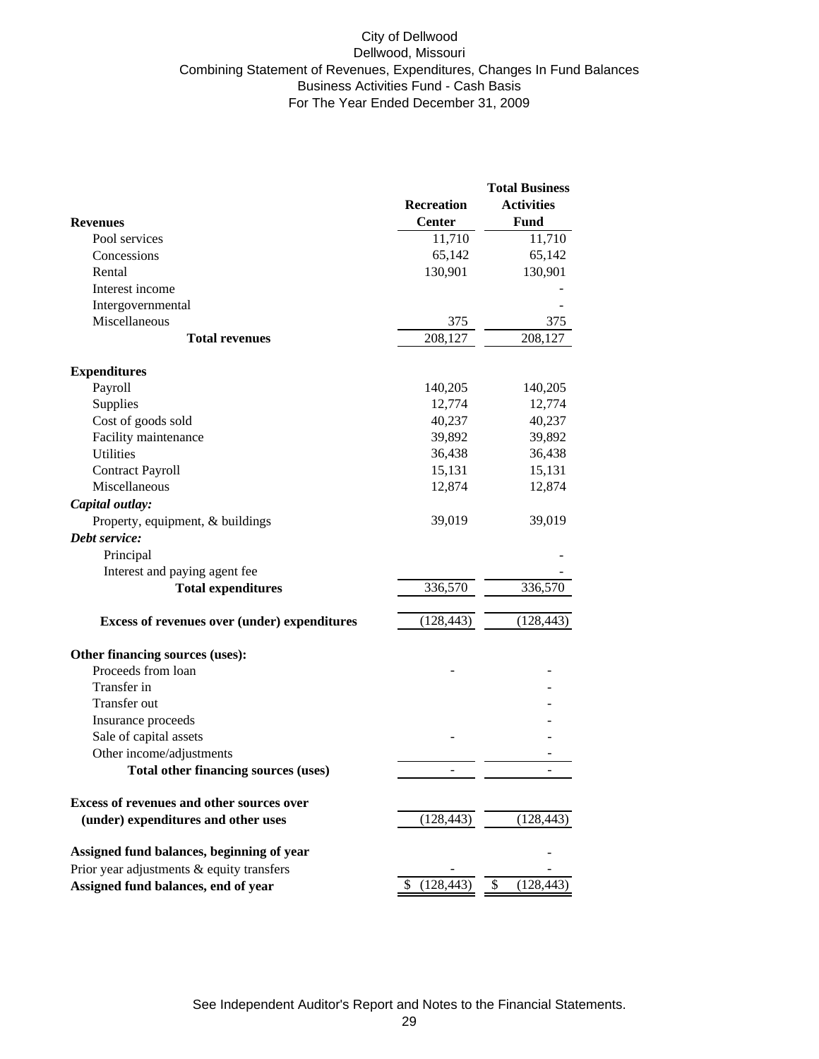### City of Dellwood Dellwood, Missouri Combining Statement of Revenues, Expenditures, Changes In Fund Balances Business Activities Fund - Cash Basis For The Year Ended December 31, 2009

| <b>Recreation</b><br><b>Activities</b><br><b>Center</b><br>Fund<br><b>Revenues</b><br>Pool services<br>11,710<br>11,710<br>Concessions<br>65,142<br>65,142<br>130,901<br>Rental<br>130,901<br>Interest income<br>Intergovernmental<br>Miscellaneous<br>375<br>375<br>208,127<br>208,127<br><b>Total revenues</b><br><b>Expenditures</b><br>Payroll<br>140,205<br>140,205<br>Supplies<br>12,774<br>12,774<br>Cost of goods sold<br>40,237<br>40,237<br>Facility maintenance<br>39,892<br>39,892<br><b>Utilities</b><br>36,438<br>36,438<br><b>Contract Payroll</b><br>15,131<br>15,131<br>Miscellaneous<br>12,874<br>12,874<br>Capital outlay:<br>39,019<br>Property, equipment, & buildings<br>39,019<br>Debt service:<br>Principal<br>Interest and paying agent fee<br>336,570<br><b>Total expenditures</b><br>336,570<br>(128, 443)<br>(128, 443)<br><b>Excess of revenues over (under) expenditures</b><br>Other financing sources (uses):<br>Proceeds from loan<br>Transfer in<br><b>Transfer out</b><br>Insurance proceeds<br>Sale of capital assets<br>Other income/adjustments<br>Total other financing sources (uses)<br><b>Excess of revenues and other sources over</b><br>(under) expenditures and other uses<br>(128, 443)<br>(128, 443)<br>Assigned fund balances, beginning of year<br>Prior year adjustments & equity transfers |                                     |                  | <b>Total Business</b> |
|------------------------------------------------------------------------------------------------------------------------------------------------------------------------------------------------------------------------------------------------------------------------------------------------------------------------------------------------------------------------------------------------------------------------------------------------------------------------------------------------------------------------------------------------------------------------------------------------------------------------------------------------------------------------------------------------------------------------------------------------------------------------------------------------------------------------------------------------------------------------------------------------------------------------------------------------------------------------------------------------------------------------------------------------------------------------------------------------------------------------------------------------------------------------------------------------------------------------------------------------------------------------------------------------------------------------------------------------|-------------------------------------|------------------|-----------------------|
|                                                                                                                                                                                                                                                                                                                                                                                                                                                                                                                                                                                                                                                                                                                                                                                                                                                                                                                                                                                                                                                                                                                                                                                                                                                                                                                                                |                                     |                  |                       |
|                                                                                                                                                                                                                                                                                                                                                                                                                                                                                                                                                                                                                                                                                                                                                                                                                                                                                                                                                                                                                                                                                                                                                                                                                                                                                                                                                |                                     |                  |                       |
|                                                                                                                                                                                                                                                                                                                                                                                                                                                                                                                                                                                                                                                                                                                                                                                                                                                                                                                                                                                                                                                                                                                                                                                                                                                                                                                                                |                                     |                  |                       |
|                                                                                                                                                                                                                                                                                                                                                                                                                                                                                                                                                                                                                                                                                                                                                                                                                                                                                                                                                                                                                                                                                                                                                                                                                                                                                                                                                |                                     |                  |                       |
|                                                                                                                                                                                                                                                                                                                                                                                                                                                                                                                                                                                                                                                                                                                                                                                                                                                                                                                                                                                                                                                                                                                                                                                                                                                                                                                                                |                                     |                  |                       |
|                                                                                                                                                                                                                                                                                                                                                                                                                                                                                                                                                                                                                                                                                                                                                                                                                                                                                                                                                                                                                                                                                                                                                                                                                                                                                                                                                |                                     |                  |                       |
|                                                                                                                                                                                                                                                                                                                                                                                                                                                                                                                                                                                                                                                                                                                                                                                                                                                                                                                                                                                                                                                                                                                                                                                                                                                                                                                                                |                                     |                  |                       |
|                                                                                                                                                                                                                                                                                                                                                                                                                                                                                                                                                                                                                                                                                                                                                                                                                                                                                                                                                                                                                                                                                                                                                                                                                                                                                                                                                |                                     |                  |                       |
|                                                                                                                                                                                                                                                                                                                                                                                                                                                                                                                                                                                                                                                                                                                                                                                                                                                                                                                                                                                                                                                                                                                                                                                                                                                                                                                                                |                                     |                  |                       |
|                                                                                                                                                                                                                                                                                                                                                                                                                                                                                                                                                                                                                                                                                                                                                                                                                                                                                                                                                                                                                                                                                                                                                                                                                                                                                                                                                |                                     |                  |                       |
|                                                                                                                                                                                                                                                                                                                                                                                                                                                                                                                                                                                                                                                                                                                                                                                                                                                                                                                                                                                                                                                                                                                                                                                                                                                                                                                                                |                                     |                  |                       |
|                                                                                                                                                                                                                                                                                                                                                                                                                                                                                                                                                                                                                                                                                                                                                                                                                                                                                                                                                                                                                                                                                                                                                                                                                                                                                                                                                |                                     |                  |                       |
|                                                                                                                                                                                                                                                                                                                                                                                                                                                                                                                                                                                                                                                                                                                                                                                                                                                                                                                                                                                                                                                                                                                                                                                                                                                                                                                                                |                                     |                  |                       |
|                                                                                                                                                                                                                                                                                                                                                                                                                                                                                                                                                                                                                                                                                                                                                                                                                                                                                                                                                                                                                                                                                                                                                                                                                                                                                                                                                |                                     |                  |                       |
|                                                                                                                                                                                                                                                                                                                                                                                                                                                                                                                                                                                                                                                                                                                                                                                                                                                                                                                                                                                                                                                                                                                                                                                                                                                                                                                                                |                                     |                  |                       |
|                                                                                                                                                                                                                                                                                                                                                                                                                                                                                                                                                                                                                                                                                                                                                                                                                                                                                                                                                                                                                                                                                                                                                                                                                                                                                                                                                |                                     |                  |                       |
|                                                                                                                                                                                                                                                                                                                                                                                                                                                                                                                                                                                                                                                                                                                                                                                                                                                                                                                                                                                                                                                                                                                                                                                                                                                                                                                                                |                                     |                  |                       |
|                                                                                                                                                                                                                                                                                                                                                                                                                                                                                                                                                                                                                                                                                                                                                                                                                                                                                                                                                                                                                                                                                                                                                                                                                                                                                                                                                |                                     |                  |                       |
|                                                                                                                                                                                                                                                                                                                                                                                                                                                                                                                                                                                                                                                                                                                                                                                                                                                                                                                                                                                                                                                                                                                                                                                                                                                                                                                                                |                                     |                  |                       |
|                                                                                                                                                                                                                                                                                                                                                                                                                                                                                                                                                                                                                                                                                                                                                                                                                                                                                                                                                                                                                                                                                                                                                                                                                                                                                                                                                |                                     |                  |                       |
|                                                                                                                                                                                                                                                                                                                                                                                                                                                                                                                                                                                                                                                                                                                                                                                                                                                                                                                                                                                                                                                                                                                                                                                                                                                                                                                                                |                                     |                  |                       |
|                                                                                                                                                                                                                                                                                                                                                                                                                                                                                                                                                                                                                                                                                                                                                                                                                                                                                                                                                                                                                                                                                                                                                                                                                                                                                                                                                |                                     |                  |                       |
|                                                                                                                                                                                                                                                                                                                                                                                                                                                                                                                                                                                                                                                                                                                                                                                                                                                                                                                                                                                                                                                                                                                                                                                                                                                                                                                                                |                                     |                  |                       |
|                                                                                                                                                                                                                                                                                                                                                                                                                                                                                                                                                                                                                                                                                                                                                                                                                                                                                                                                                                                                                                                                                                                                                                                                                                                                                                                                                |                                     |                  |                       |
|                                                                                                                                                                                                                                                                                                                                                                                                                                                                                                                                                                                                                                                                                                                                                                                                                                                                                                                                                                                                                                                                                                                                                                                                                                                                                                                                                |                                     |                  |                       |
|                                                                                                                                                                                                                                                                                                                                                                                                                                                                                                                                                                                                                                                                                                                                                                                                                                                                                                                                                                                                                                                                                                                                                                                                                                                                                                                                                |                                     |                  |                       |
|                                                                                                                                                                                                                                                                                                                                                                                                                                                                                                                                                                                                                                                                                                                                                                                                                                                                                                                                                                                                                                                                                                                                                                                                                                                                                                                                                |                                     |                  |                       |
|                                                                                                                                                                                                                                                                                                                                                                                                                                                                                                                                                                                                                                                                                                                                                                                                                                                                                                                                                                                                                                                                                                                                                                                                                                                                                                                                                |                                     |                  |                       |
|                                                                                                                                                                                                                                                                                                                                                                                                                                                                                                                                                                                                                                                                                                                                                                                                                                                                                                                                                                                                                                                                                                                                                                                                                                                                                                                                                |                                     |                  |                       |
|                                                                                                                                                                                                                                                                                                                                                                                                                                                                                                                                                                                                                                                                                                                                                                                                                                                                                                                                                                                                                                                                                                                                                                                                                                                                                                                                                |                                     |                  |                       |
|                                                                                                                                                                                                                                                                                                                                                                                                                                                                                                                                                                                                                                                                                                                                                                                                                                                                                                                                                                                                                                                                                                                                                                                                                                                                                                                                                |                                     |                  |                       |
|                                                                                                                                                                                                                                                                                                                                                                                                                                                                                                                                                                                                                                                                                                                                                                                                                                                                                                                                                                                                                                                                                                                                                                                                                                                                                                                                                |                                     |                  |                       |
|                                                                                                                                                                                                                                                                                                                                                                                                                                                                                                                                                                                                                                                                                                                                                                                                                                                                                                                                                                                                                                                                                                                                                                                                                                                                                                                                                |                                     |                  |                       |
|                                                                                                                                                                                                                                                                                                                                                                                                                                                                                                                                                                                                                                                                                                                                                                                                                                                                                                                                                                                                                                                                                                                                                                                                                                                                                                                                                |                                     |                  |                       |
|                                                                                                                                                                                                                                                                                                                                                                                                                                                                                                                                                                                                                                                                                                                                                                                                                                                                                                                                                                                                                                                                                                                                                                                                                                                                                                                                                |                                     |                  |                       |
|                                                                                                                                                                                                                                                                                                                                                                                                                                                                                                                                                                                                                                                                                                                                                                                                                                                                                                                                                                                                                                                                                                                                                                                                                                                                                                                                                |                                     |                  |                       |
|                                                                                                                                                                                                                                                                                                                                                                                                                                                                                                                                                                                                                                                                                                                                                                                                                                                                                                                                                                                                                                                                                                                                                                                                                                                                                                                                                |                                     |                  |                       |
|                                                                                                                                                                                                                                                                                                                                                                                                                                                                                                                                                                                                                                                                                                                                                                                                                                                                                                                                                                                                                                                                                                                                                                                                                                                                                                                                                | Assigned fund balances, end of year | (128, 443)<br>\$ | \$<br>(128, 443)      |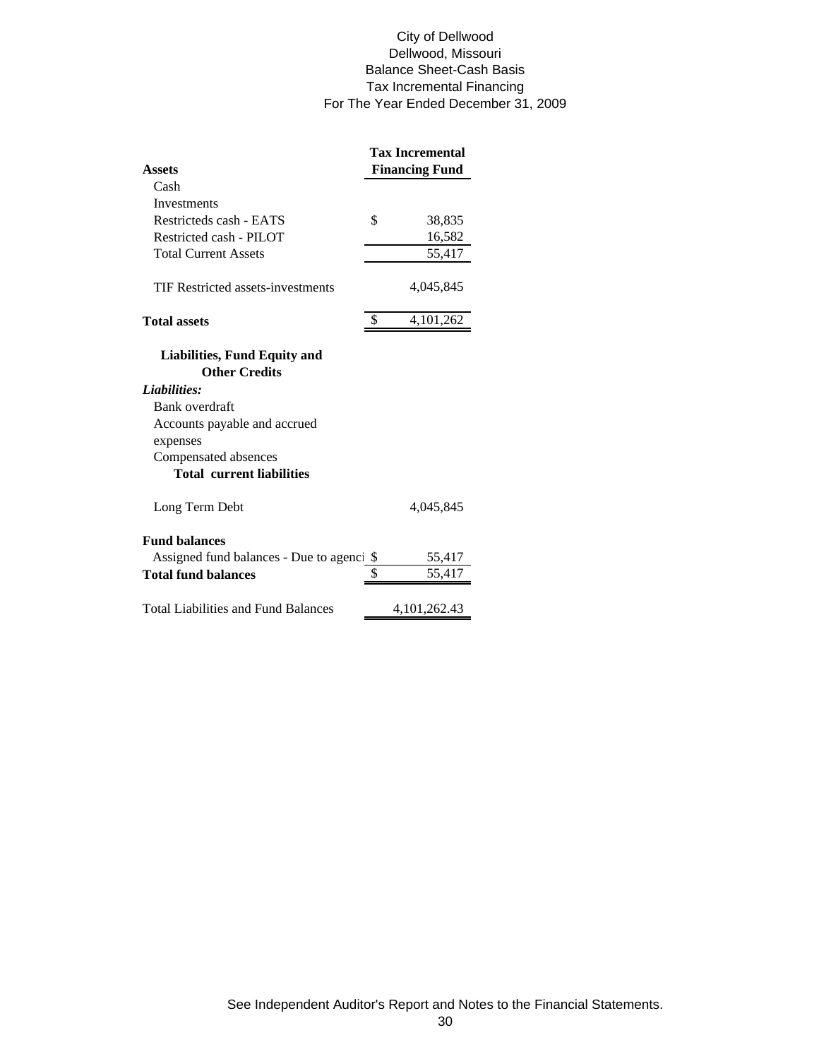## City of Dellwood Dellwood, Missouri Balance Sheet-Cash Basis Tax Incremental Financing For The Year Ended December 31, 2009

| <b>Assets</b>                                        | <b>Tax Incremental</b><br><b>Financing Fund</b> |
|------------------------------------------------------|-------------------------------------------------|
| Cash                                                 |                                                 |
| <b>Investments</b>                                   |                                                 |
| Restricteds cash - EATS                              | \$<br>38,835                                    |
| Restricted cash - PILOT                              | 16,582                                          |
| <b>Total Current Assets</b>                          | 55,417                                          |
| <b>TIF Restricted assets-investments</b>             | 4,045,845                                       |
| <b>Total assets</b>                                  | \$<br>4,101,262                                 |
| Liabilities, Fund Equity and<br><b>Other Credits</b> |                                                 |
| Liabilities:                                         |                                                 |
| Bank overdraft                                       |                                                 |
| Accounts payable and accrued                         |                                                 |
| expenses                                             |                                                 |
| Compensated absences                                 |                                                 |
| <b>Total current liabilities</b>                     |                                                 |
| Long Term Debt                                       | 4,045,845                                       |
| <b>Fund balances</b>                                 |                                                 |
| Assigned fund balances - Due to agenci \$            | 55,417                                          |
| <b>Total fund balances</b>                           | 55,417                                          |
| <b>Total Liabilities and Fund Balances</b>           | 4, 101, 262. 43                                 |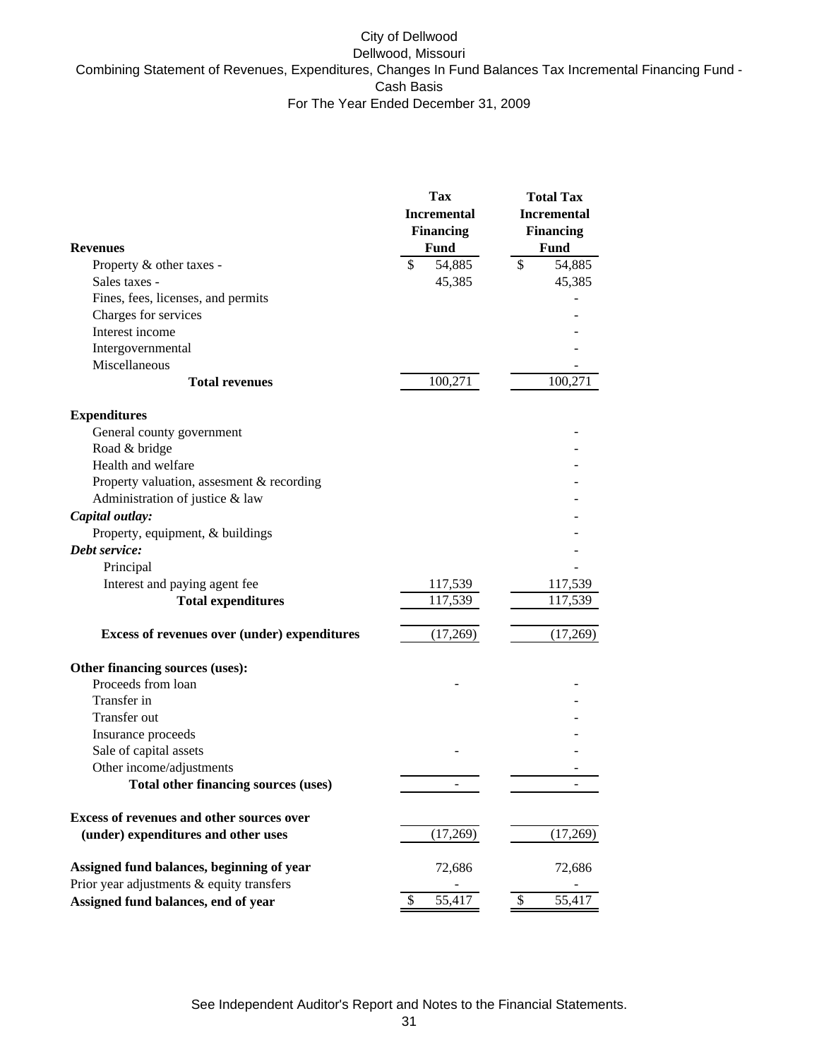# City of Dellwood Dellwood, Missouri Combining Statement of Revenues, Expenditures, Changes In Fund Balances Tax Incremental Financing Fund - Cash Basis For The Year Ended December 31, 2009

|                                              | <b>Tax</b><br><b>Incremental</b><br><b>Financing</b> | <b>Total Tax</b><br><b>Incremental</b><br><b>Financing</b><br><b>Fund</b> |  |  |
|----------------------------------------------|------------------------------------------------------|---------------------------------------------------------------------------|--|--|
| <b>Revenues</b>                              | <b>Fund</b>                                          |                                                                           |  |  |
| Property & other taxes -                     | \$<br>54,885                                         | \$<br>54,885                                                              |  |  |
| Sales taxes -                                | 45,385                                               | 45,385                                                                    |  |  |
| Fines, fees, licenses, and permits           |                                                      |                                                                           |  |  |
| Charges for services                         |                                                      |                                                                           |  |  |
| Interest income                              |                                                      |                                                                           |  |  |
| Intergovernmental                            |                                                      |                                                                           |  |  |
| Miscellaneous                                |                                                      |                                                                           |  |  |
| <b>Total revenues</b>                        | 100,271                                              | 100,271                                                                   |  |  |
| <b>Expenditures</b>                          |                                                      |                                                                           |  |  |
| General county government                    |                                                      |                                                                           |  |  |
| Road & bridge                                |                                                      |                                                                           |  |  |
| Health and welfare                           |                                                      |                                                                           |  |  |
| Property valuation, assesment & recording    |                                                      |                                                                           |  |  |
| Administration of justice & law              |                                                      |                                                                           |  |  |
| Capital outlay:                              |                                                      |                                                                           |  |  |
| Property, equipment, & buildings             |                                                      |                                                                           |  |  |
| Debt service:                                |                                                      |                                                                           |  |  |
| Principal                                    |                                                      |                                                                           |  |  |
| Interest and paying agent fee                | 117,539                                              | 117,539                                                                   |  |  |
| <b>Total expenditures</b>                    | 117,539                                              | 117,539                                                                   |  |  |
| Excess of revenues over (under) expenditures | (17,269)                                             | (17,269)                                                                  |  |  |
| Other financing sources (uses):              |                                                      |                                                                           |  |  |
| Proceeds from loan                           |                                                      |                                                                           |  |  |
| Transfer in                                  |                                                      |                                                                           |  |  |
| Transfer out                                 |                                                      |                                                                           |  |  |
| Insurance proceeds                           |                                                      |                                                                           |  |  |
| Sale of capital assets                       |                                                      |                                                                           |  |  |
| Other income/adjustments                     |                                                      |                                                                           |  |  |
| Total other financing sources (uses)         |                                                      |                                                                           |  |  |
| Excess of revenues and other sources over    |                                                      |                                                                           |  |  |
| (under) expenditures and other uses          | (17,269)                                             | (17,269)                                                                  |  |  |
| Assigned fund balances, beginning of year    | 72,686                                               | 72,686                                                                    |  |  |
| Prior year adjustments & equity transfers    |                                                      |                                                                           |  |  |
| Assigned fund balances, end of year          | \$<br>55,417                                         | \$<br>55,417                                                              |  |  |

See Independent Auditor's Report and Notes to the Financial Statements.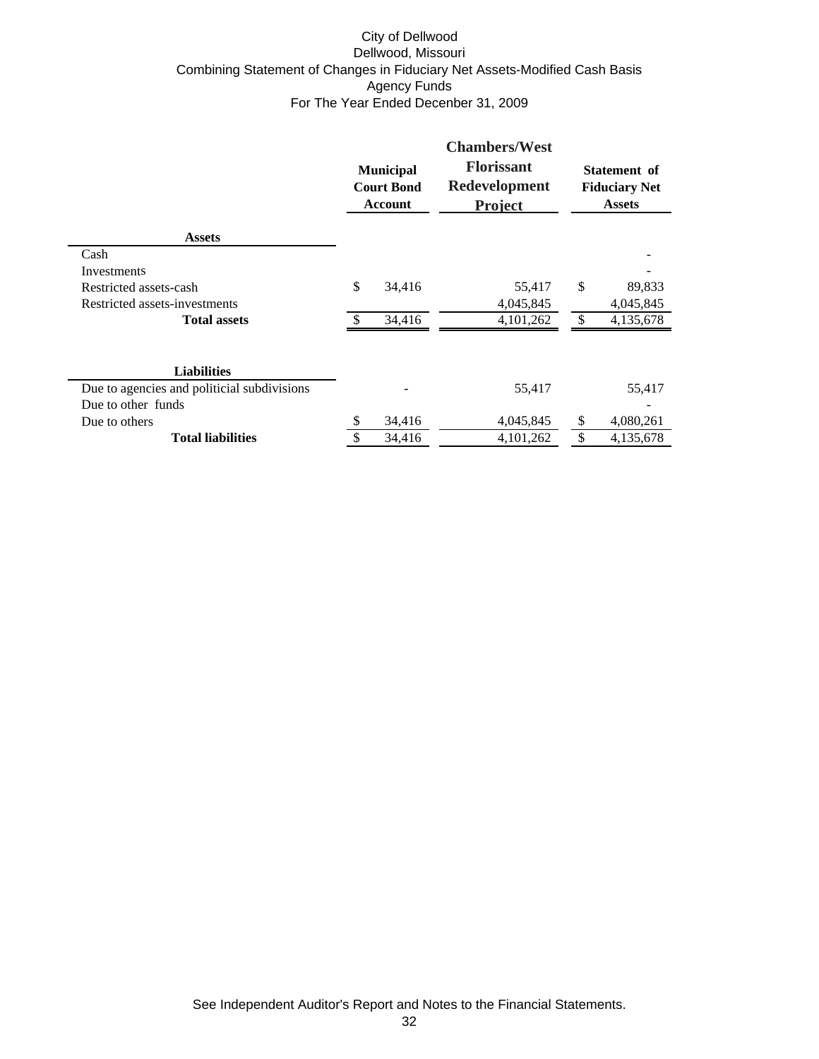# City of Dellwood Dellwood, Missouri Combining Statement of Changes in Fiduciary Net Assets-Modified Cash Basis Agency Funds For The Year Ended Decenber 31, 2009

|                                             |    | <b>Municipal</b><br><b>Court Bond</b><br><b>Account</b> | <b>Chambers/West</b><br><b>Florissant</b><br>Redevelopment<br><b>Project</b> | Statement of<br><b>Fiduciary Net</b><br><b>Assets</b> |           |  |
|---------------------------------------------|----|---------------------------------------------------------|------------------------------------------------------------------------------|-------------------------------------------------------|-----------|--|
| <b>Assets</b>                               |    |                                                         |                                                                              |                                                       |           |  |
| Cash                                        |    |                                                         |                                                                              |                                                       |           |  |
| Investments                                 |    |                                                         |                                                                              |                                                       |           |  |
| Restricted assets-cash                      | \$ | 34,416                                                  | 55,417                                                                       | \$                                                    | 89,833    |  |
| Restricted assets-investments               |    |                                                         | 4,045,845                                                                    |                                                       | 4,045,845 |  |
| <b>Total assets</b>                         |    | 34,416                                                  | 4,101,262                                                                    | \$                                                    | 4,135,678 |  |
| <b>Liabilities</b>                          |    |                                                         |                                                                              |                                                       |           |  |
| Due to agencies and politicial subdivisions |    |                                                         | 55,417                                                                       |                                                       | 55,417    |  |
| Due to other funds                          |    |                                                         |                                                                              |                                                       |           |  |
| Due to others                               | S  | 34,416                                                  | 4,045,845                                                                    | \$                                                    | 4,080,261 |  |
| <b>Total liabilities</b>                    | \$ | 34,416                                                  | 4, 101, 262                                                                  | \$                                                    | 4,135,678 |  |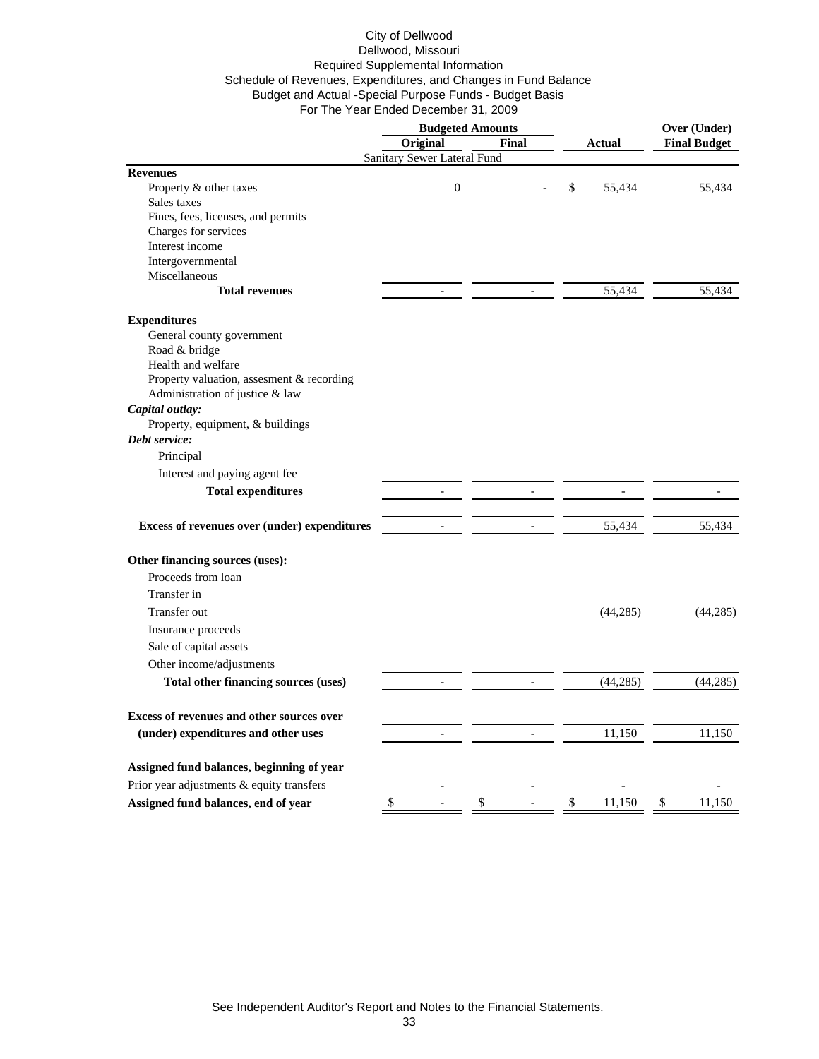|                                                     |                             | <b>Budgeted Amounts</b>  |    |                |               |                          |                     | Over (Under) |  |
|-----------------------------------------------------|-----------------------------|--------------------------|----|----------------|---------------|--------------------------|---------------------|--------------|--|
|                                                     |                             | Original                 |    | Final          | <b>Actual</b> |                          | <b>Final Budget</b> |              |  |
|                                                     | Sanitary Sewer Lateral Fund |                          |    |                |               |                          |                     |              |  |
| <b>Revenues</b>                                     |                             |                          |    |                |               |                          |                     |              |  |
| Property & other taxes                              |                             | $\boldsymbol{0}$         |    |                | \$            | 55,434                   |                     | 55,434       |  |
| Sales taxes                                         |                             |                          |    |                |               |                          |                     |              |  |
| Fines, fees, licenses, and permits                  |                             |                          |    |                |               |                          |                     |              |  |
| Charges for services                                |                             |                          |    |                |               |                          |                     |              |  |
| Interest income                                     |                             |                          |    |                |               |                          |                     |              |  |
| Intergovernmental<br>Miscellaneous                  |                             |                          |    |                |               |                          |                     |              |  |
| <b>Total revenues</b>                               |                             |                          |    |                |               | 55,434                   |                     | 55,434       |  |
|                                                     |                             |                          |    |                |               |                          |                     |              |  |
| <b>Expenditures</b>                                 |                             |                          |    |                |               |                          |                     |              |  |
| General county government                           |                             |                          |    |                |               |                          |                     |              |  |
| Road & bridge                                       |                             |                          |    |                |               |                          |                     |              |  |
| Health and welfare                                  |                             |                          |    |                |               |                          |                     |              |  |
| Property valuation, assesment & recording           |                             |                          |    |                |               |                          |                     |              |  |
| Administration of justice & law                     |                             |                          |    |                |               |                          |                     |              |  |
| Capital outlay:                                     |                             |                          |    |                |               |                          |                     |              |  |
| Property, equipment, & buildings                    |                             |                          |    |                |               |                          |                     |              |  |
| Debt service:                                       |                             |                          |    |                |               |                          |                     |              |  |
| Principal                                           |                             |                          |    |                |               |                          |                     |              |  |
| Interest and paying agent fee                       |                             |                          |    |                |               |                          |                     |              |  |
| <b>Total expenditures</b>                           |                             | $\overline{\phantom{a}}$ |    | $\blacksquare$ |               | $\overline{\phantom{a}}$ |                     |              |  |
|                                                     |                             |                          |    |                |               |                          |                     |              |  |
| <b>Excess of revenues over (under) expenditures</b> |                             |                          |    | Ĭ.             |               | 55,434                   |                     | 55,434       |  |
| Other financing sources (uses):                     |                             |                          |    |                |               |                          |                     |              |  |
| Proceeds from loan                                  |                             |                          |    |                |               |                          |                     |              |  |
| Transfer in                                         |                             |                          |    |                |               |                          |                     |              |  |
| Transfer out                                        |                             |                          |    |                |               | (44, 285)                |                     | (44,285)     |  |
| Insurance proceeds                                  |                             |                          |    |                |               |                          |                     |              |  |
| Sale of capital assets                              |                             |                          |    |                |               |                          |                     |              |  |
| Other income/adjustments                            |                             |                          |    |                |               |                          |                     |              |  |
|                                                     |                             |                          |    |                |               |                          |                     |              |  |
| Total other financing sources (uses)                |                             |                          |    |                |               | (44, 285)                |                     | (44, 285)    |  |
| Excess of revenues and other sources over           |                             |                          |    |                |               |                          |                     |              |  |
| (under) expenditures and other uses                 |                             |                          |    |                |               | 11,150                   |                     | 11,150       |  |
| Assigned fund balances, beginning of year           |                             |                          |    |                |               |                          |                     |              |  |
| Prior year adjustments & equity transfers           |                             |                          |    |                |               |                          |                     |              |  |
| Assigned fund balances, end of year                 | \$                          |                          | \$ |                | \$            | 11,150                   | \$                  | 11,150       |  |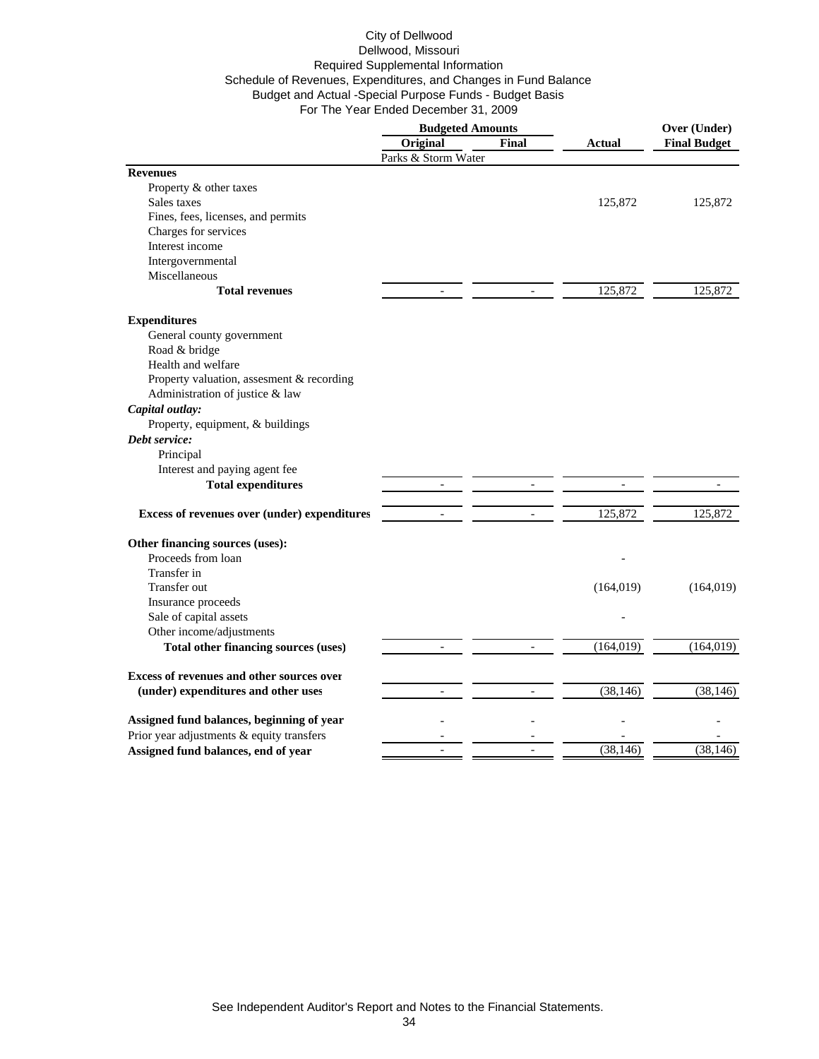|                                                  | <b>Budgeted Amounts</b> |                          |               | Over (Under)<br><b>Final Budget</b> |  |
|--------------------------------------------------|-------------------------|--------------------------|---------------|-------------------------------------|--|
|                                                  | Original                | Final                    | <b>Actual</b> |                                     |  |
|                                                  | Parks & Storm Water     |                          |               |                                     |  |
| <b>Revenues</b>                                  |                         |                          |               |                                     |  |
| Property & other taxes                           |                         |                          |               |                                     |  |
| Sales taxes                                      |                         |                          | 125,872       | 125,872                             |  |
| Fines, fees, licenses, and permits               |                         |                          |               |                                     |  |
| Charges for services                             |                         |                          |               |                                     |  |
| Interest income                                  |                         |                          |               |                                     |  |
| Intergovernmental                                |                         |                          |               |                                     |  |
| Miscellaneous                                    |                         |                          |               |                                     |  |
| <b>Total revenues</b>                            | $\equiv$                | $\overline{\phantom{a}}$ | 125,872       | 125,872                             |  |
| <b>Expenditures</b>                              |                         |                          |               |                                     |  |
| General county government                        |                         |                          |               |                                     |  |
| Road & bridge                                    |                         |                          |               |                                     |  |
| Health and welfare                               |                         |                          |               |                                     |  |
| Property valuation, assesment & recording        |                         |                          |               |                                     |  |
| Administration of justice & law                  |                         |                          |               |                                     |  |
| Capital outlay:                                  |                         |                          |               |                                     |  |
| Property, equipment, & buildings                 |                         |                          |               |                                     |  |
| Debt service:                                    |                         |                          |               |                                     |  |
| Principal                                        |                         |                          |               |                                     |  |
| Interest and paying agent fee                    |                         |                          |               |                                     |  |
| <b>Total expenditures</b>                        |                         |                          |               |                                     |  |
|                                                  |                         |                          |               |                                     |  |
| Excess of revenues over (under) expenditures     |                         |                          | 125,872       | 125,872                             |  |
|                                                  |                         |                          |               |                                     |  |
| Other financing sources (uses):                  |                         |                          |               |                                     |  |
| Proceeds from loan                               |                         |                          |               |                                     |  |
| Transfer in                                      |                         |                          |               |                                     |  |
| Transfer out                                     |                         |                          | (164, 019)    | (164, 019)                          |  |
| Insurance proceeds                               |                         |                          |               |                                     |  |
| Sale of capital assets                           |                         |                          |               |                                     |  |
| Other income/adjustments                         |                         |                          |               |                                     |  |
| Total other financing sources (uses)             |                         |                          | (164, 019)    | (164, 019)                          |  |
| <b>Excess of revenues and other sources over</b> |                         |                          |               |                                     |  |
| (under) expenditures and other uses              | $\equiv$                | $\overline{a}$           | (38, 146)     | (38, 146)                           |  |
|                                                  |                         |                          |               |                                     |  |
| Assigned fund balances, beginning of year        |                         |                          |               |                                     |  |
| Prior year adjustments & equity transfers        |                         |                          |               |                                     |  |
| Assigned fund balances, end of year              | $\overline{a}$          | $\overline{a}$           | (38, 146)     | (38, 146)                           |  |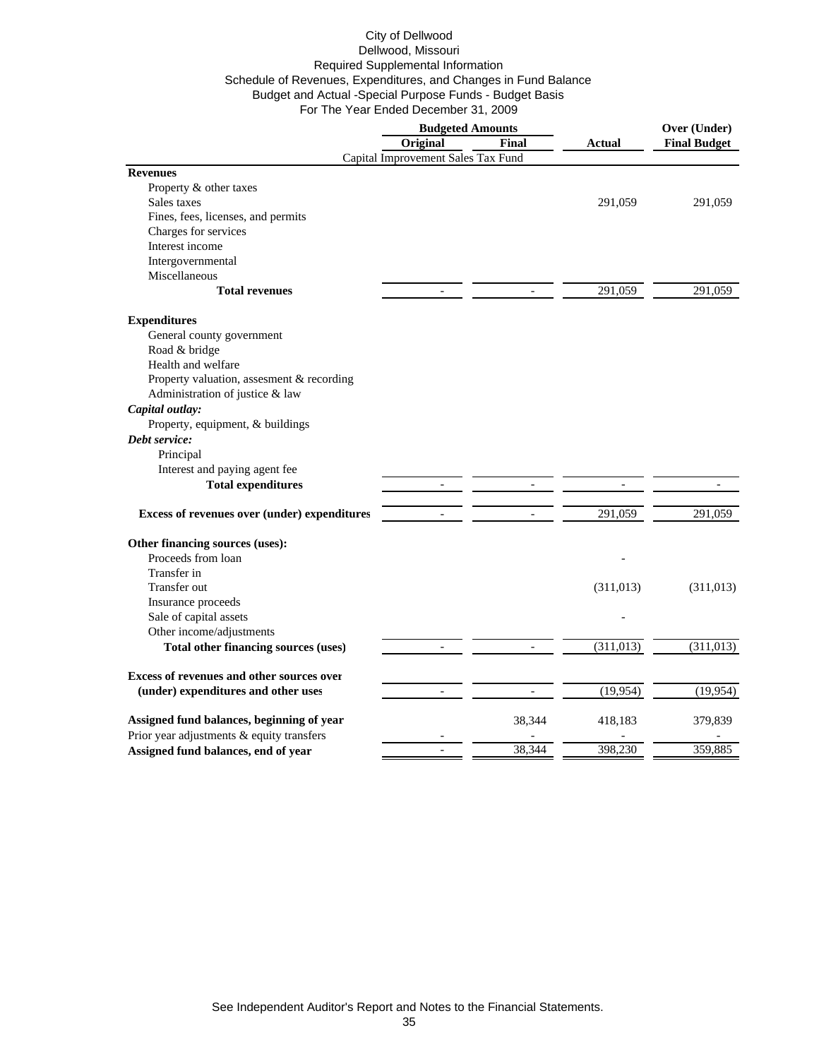|                                                  | <b>Budgeted Amounts</b>            |                |               | Over (Under)        |  |
|--------------------------------------------------|------------------------------------|----------------|---------------|---------------------|--|
|                                                  | Original                           | <b>Final</b>   | <b>Actual</b> | <b>Final Budget</b> |  |
|                                                  | Capital Improvement Sales Tax Fund |                |               |                     |  |
| <b>Revenues</b>                                  |                                    |                |               |                     |  |
| Property & other taxes                           |                                    |                |               |                     |  |
| Sales taxes                                      |                                    |                | 291,059       | 291,059             |  |
| Fines, fees, licenses, and permits               |                                    |                |               |                     |  |
| Charges for services                             |                                    |                |               |                     |  |
| Interest income                                  |                                    |                |               |                     |  |
| Intergovernmental                                |                                    |                |               |                     |  |
| Miscellaneous                                    |                                    |                |               |                     |  |
| <b>Total revenues</b>                            | $\overline{a}$                     | $\overline{a}$ | 291,059       | 291,059             |  |
| <b>Expenditures</b>                              |                                    |                |               |                     |  |
| General county government                        |                                    |                |               |                     |  |
| Road & bridge                                    |                                    |                |               |                     |  |
| Health and welfare                               |                                    |                |               |                     |  |
| Property valuation, assesment & recording        |                                    |                |               |                     |  |
| Administration of justice & law                  |                                    |                |               |                     |  |
| Capital outlay:                                  |                                    |                |               |                     |  |
| Property, equipment, & buildings                 |                                    |                |               |                     |  |
| Debt service:                                    |                                    |                |               |                     |  |
| Principal                                        |                                    |                |               |                     |  |
| Interest and paying agent fee                    |                                    |                |               |                     |  |
| <b>Total expenditures</b>                        |                                    |                |               |                     |  |
|                                                  |                                    |                |               |                     |  |
| Excess of revenues over (under) expenditures     |                                    |                | 291,059       | 291,059             |  |
|                                                  |                                    |                |               |                     |  |
| Other financing sources (uses):                  |                                    |                |               |                     |  |
| Proceeds from loan                               |                                    |                |               |                     |  |
| Transfer in                                      |                                    |                |               |                     |  |
| Transfer out                                     |                                    |                | (311,013)     | (311,013)           |  |
| Insurance proceeds                               |                                    |                |               |                     |  |
| Sale of capital assets                           |                                    |                |               |                     |  |
| Other income/adjustments                         |                                    |                |               |                     |  |
| Total other financing sources (uses)             |                                    |                | (311, 013)    | (311, 013)          |  |
| <b>Excess of revenues and other sources over</b> |                                    |                |               |                     |  |
| (under) expenditures and other uses              |                                    |                | (19, 954)     | (19, 954)           |  |
| Assigned fund balances, beginning of year        |                                    | 38,344         | 418,183       | 379,839             |  |
| Prior year adjustments & equity transfers        |                                    |                |               |                     |  |
| Assigned fund balances, end of year              |                                    | 38,344         | 398,230       | 359,885             |  |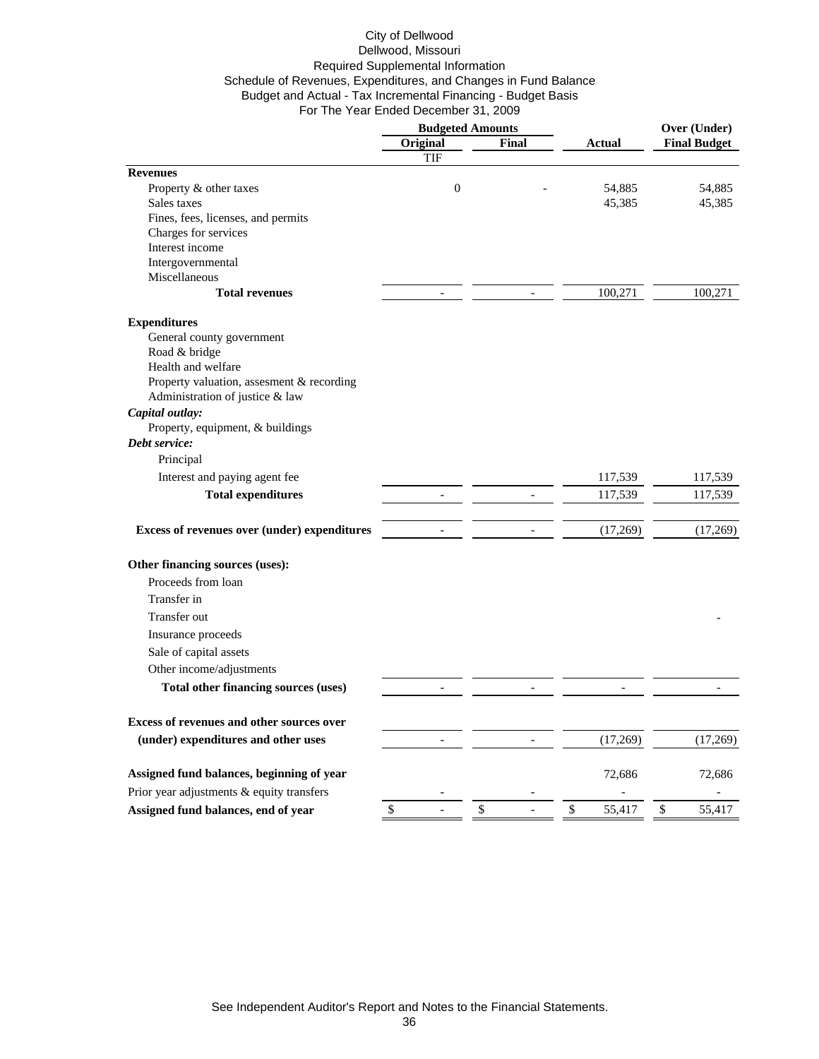|                                                     | <b>Budgeted Amounts</b> |                          |    |                          |               | Over (Under) |                     |
|-----------------------------------------------------|-------------------------|--------------------------|----|--------------------------|---------------|--------------|---------------------|
|                                                     |                         | Original                 |    | Final                    | <b>Actual</b> |              | <b>Final Budget</b> |
|                                                     |                         | TIF                      |    |                          |               |              |                     |
| <b>Revenues</b>                                     |                         |                          |    |                          |               |              |                     |
| Property & other taxes                              |                         | $\boldsymbol{0}$         |    |                          | 54,885        |              | 54,885              |
| Sales taxes                                         |                         |                          |    |                          | 45,385        |              | 45,385              |
| Fines, fees, licenses, and permits                  |                         |                          |    |                          |               |              |                     |
| Charges for services                                |                         |                          |    |                          |               |              |                     |
| Interest income                                     |                         |                          |    |                          |               |              |                     |
| Intergovernmental<br>Miscellaneous                  |                         |                          |    |                          |               |              |                     |
| <b>Total revenues</b>                               |                         |                          |    |                          | 100,271       |              | 100,271             |
|                                                     |                         |                          |    |                          |               |              |                     |
| <b>Expenditures</b>                                 |                         |                          |    |                          |               |              |                     |
| General county government                           |                         |                          |    |                          |               |              |                     |
| Road & bridge                                       |                         |                          |    |                          |               |              |                     |
| Health and welfare                                  |                         |                          |    |                          |               |              |                     |
| Property valuation, assesment & recording           |                         |                          |    |                          |               |              |                     |
| Administration of justice & law                     |                         |                          |    |                          |               |              |                     |
| Capital outlay:                                     |                         |                          |    |                          |               |              |                     |
| Property, equipment, & buildings                    |                         |                          |    |                          |               |              |                     |
| Debt service:                                       |                         |                          |    |                          |               |              |                     |
| Principal                                           |                         |                          |    |                          |               |              |                     |
| Interest and paying agent fee                       |                         |                          |    |                          | 117,539       |              | 117,539             |
| <b>Total expenditures</b>                           |                         | $\overline{\phantom{a}}$ |    | $\overline{\phantom{a}}$ | 117,539       |              | 117,539             |
|                                                     |                         |                          |    |                          |               |              |                     |
| <b>Excess of revenues over (under) expenditures</b> |                         |                          |    | $\overline{a}$           | (17,269)      |              | (17,269)            |
| Other financing sources (uses):                     |                         |                          |    |                          |               |              |                     |
| Proceeds from loan                                  |                         |                          |    |                          |               |              |                     |
| Transfer in                                         |                         |                          |    |                          |               |              |                     |
| Transfer out                                        |                         |                          |    |                          |               |              |                     |
| Insurance proceeds                                  |                         |                          |    |                          |               |              |                     |
| Sale of capital assets                              |                         |                          |    |                          |               |              |                     |
| Other income/adjustments                            |                         |                          |    |                          |               |              |                     |
|                                                     |                         |                          |    |                          |               |              |                     |
| Total other financing sources (uses)                |                         |                          |    |                          |               |              |                     |
| Excess of revenues and other sources over           |                         |                          |    |                          |               |              |                     |
| (under) expenditures and other uses                 |                         |                          |    |                          | (17,269)      |              | (17,269)            |
| Assigned fund balances, beginning of year           |                         |                          |    |                          | 72,686        |              | 72,686              |
| Prior year adjustments & equity transfers           |                         |                          |    |                          |               |              |                     |
| Assigned fund balances, end of year                 | \$                      |                          | \$ |                          | \$<br>55,417  | \$           | 55,417              |
|                                                     |                         |                          |    |                          |               |              |                     |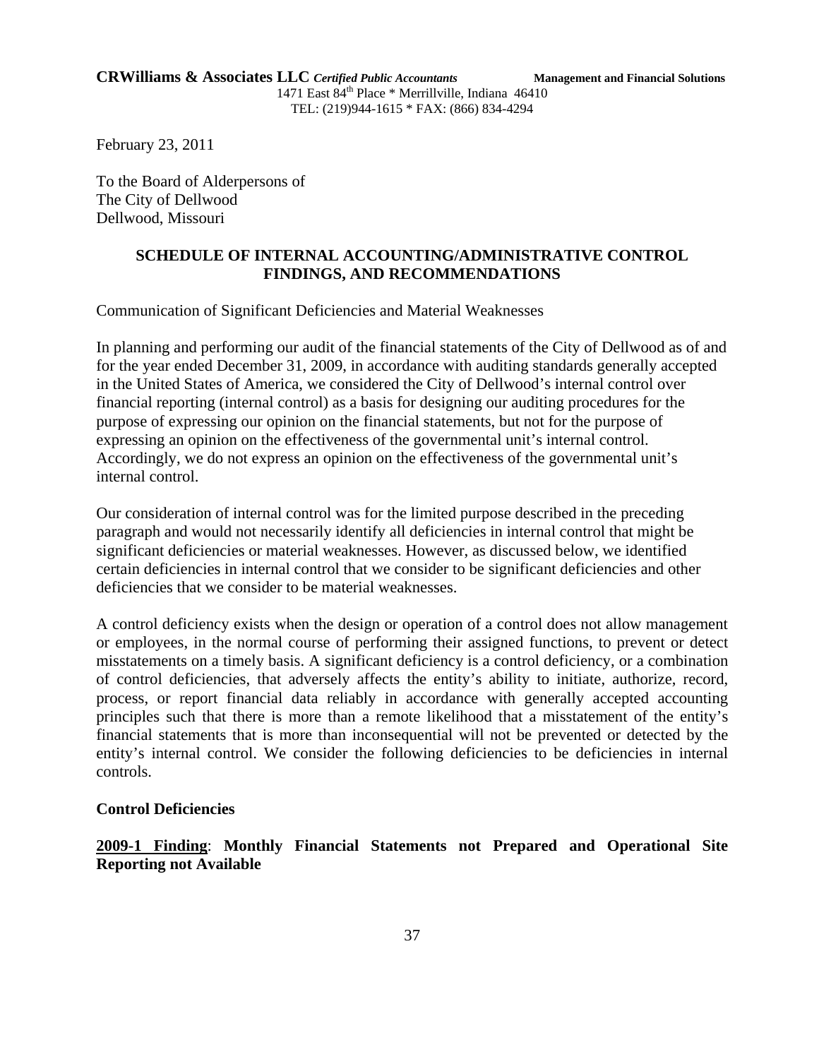February 23, 2011

To the Board of Alderpersons of The City of Dellwood Dellwood, Missouri

# **SCHEDULE OF INTERNAL ACCOUNTING/ADMINISTRATIVE CONTROL FINDINGS, AND RECOMMENDATIONS**

Communication of Significant Deficiencies and Material Weaknesses

In planning and performing our audit of the financial statements of the City of Dellwood as of and for the year ended December 31, 2009, in accordance with auditing standards generally accepted in the United States of America, we considered the City of Dellwood's internal control over financial reporting (internal control) as a basis for designing our auditing procedures for the purpose of expressing our opinion on the financial statements, but not for the purpose of expressing an opinion on the effectiveness of the governmental unit's internal control. Accordingly, we do not express an opinion on the effectiveness of the governmental unit's internal control.

Our consideration of internal control was for the limited purpose described in the preceding paragraph and would not necessarily identify all deficiencies in internal control that might be significant deficiencies or material weaknesses. However, as discussed below, we identified certain deficiencies in internal control that we consider to be significant deficiencies and other deficiencies that we consider to be material weaknesses.

A control deficiency exists when the design or operation of a control does not allow management or employees, in the normal course of performing their assigned functions, to prevent or detect misstatements on a timely basis. A significant deficiency is a control deficiency, or a combination of control deficiencies, that adversely affects the entity's ability to initiate, authorize, record, process, or report financial data reliably in accordance with generally accepted accounting principles such that there is more than a remote likelihood that a misstatement of the entity's financial statements that is more than inconsequential will not be prevented or detected by the entity's internal control. We consider the following deficiencies to be deficiencies in internal controls.

## **Control Deficiencies**

**2009-1 Finding**: **Monthly Financial Statements not Prepared and Operational Site Reporting not Available**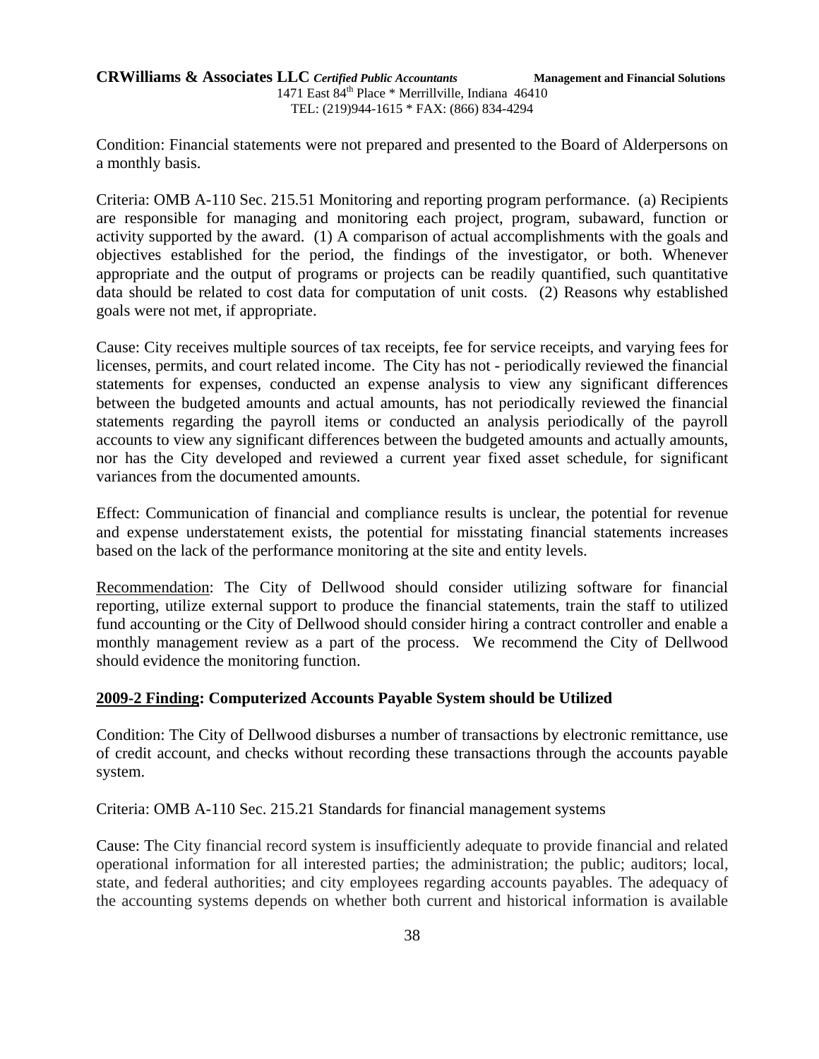Condition: Financial statements were not prepared and presented to the Board of Alderpersons on a monthly basis.

Criteria: OMB A-110 Sec. 215.51 Monitoring and reporting program performance. (a) Recipients are responsible for managing and monitoring each project, program, subaward, function or activity supported by the award. (1) A comparison of actual accomplishments with the goals and objectives established for the period, the findings of the investigator, or both. Whenever appropriate and the output of programs or projects can be readily quantified, such quantitative data should be related to cost data for computation of unit costs. (2) Reasons why established goals were not met, if appropriate.

Cause: City receives multiple sources of tax receipts, fee for service receipts, and varying fees for licenses, permits, and court related income. The City has not - periodically reviewed the financial statements for expenses, conducted an expense analysis to view any significant differences between the budgeted amounts and actual amounts, has not periodically reviewed the financial statements regarding the payroll items or conducted an analysis periodically of the payroll accounts to view any significant differences between the budgeted amounts and actually amounts, nor has the City developed and reviewed a current year fixed asset schedule, for significant variances from the documented amounts.

Effect: Communication of financial and compliance results is unclear, the potential for revenue and expense understatement exists, the potential for misstating financial statements increases based on the lack of the performance monitoring at the site and entity levels.

Recommendation: The City of Dellwood should consider utilizing software for financial reporting, utilize external support to produce the financial statements, train the staff to utilized fund accounting or the City of Dellwood should consider hiring a contract controller and enable a monthly management review as a part of the process. We recommend the City of Dellwood should evidence the monitoring function.

### **2009-2 Finding: Computerized Accounts Payable System should be Utilized**

Condition: The City of Dellwood disburses a number of transactions by electronic remittance, use of credit account, and checks without recording these transactions through the accounts payable system.

Criteria: OMB A-110 Sec. 215.21 Standards for financial management systems

Cause: The City financial record system is insufficiently adequate to provide financial and related operational information for all interested parties; the administration; the public; auditors; local, state, and federal authorities; and city employees regarding accounts payables. The adequacy of the accounting systems depends on whether both current and historical information is available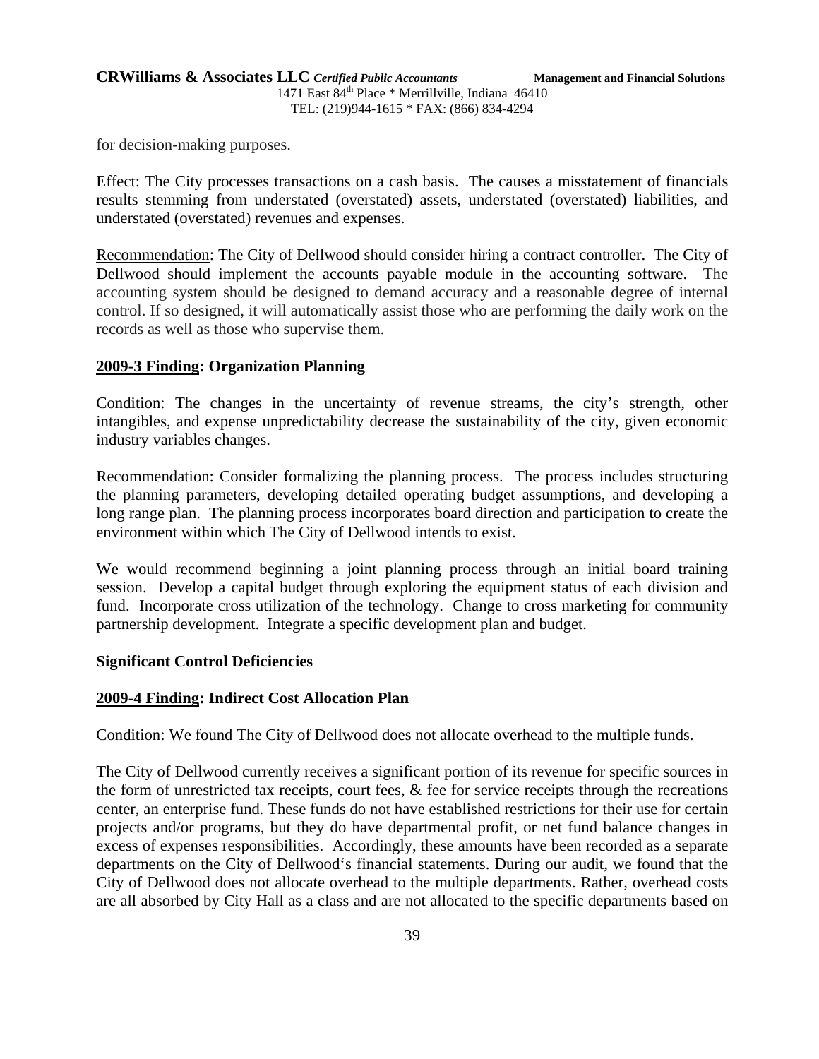for decision-making purposes.

Effect: The City processes transactions on a cash basis. The causes a misstatement of financials results stemming from understated (overstated) assets, understated (overstated) liabilities, and understated (overstated) revenues and expenses.

Recommendation: The City of Dellwood should consider hiring a contract controller. The City of Dellwood should implement the accounts payable module in the accounting software. The accounting system should be designed to demand accuracy and a reasonable degree of internal control. If so designed, it will automatically assist those who are performing the daily work on the records as well as those who supervise them.

# **2009-3 Finding: Organization Planning**

Condition: The changes in the uncertainty of revenue streams, the city's strength, other intangibles, and expense unpredictability decrease the sustainability of the city, given economic industry variables changes.

Recommendation: Consider formalizing the planning process. The process includes structuring the planning parameters, developing detailed operating budget assumptions, and developing a long range plan. The planning process incorporates board direction and participation to create the environment within which The City of Dellwood intends to exist.

We would recommend beginning a joint planning process through an initial board training session. Develop a capital budget through exploring the equipment status of each division and fund. Incorporate cross utilization of the technology. Change to cross marketing for community partnership development. Integrate a specific development plan and budget.

# **Significant Control Deficiencies**

### **2009-4 Finding: Indirect Cost Allocation Plan**

Condition: We found The City of Dellwood does not allocate overhead to the multiple funds.

The City of Dellwood currently receives a significant portion of its revenue for specific sources in the form of unrestricted tax receipts, court fees, & fee for service receipts through the recreations center, an enterprise fund. These funds do not have established restrictions for their use for certain projects and/or programs, but they do have departmental profit, or net fund balance changes in excess of expenses responsibilities. Accordingly, these amounts have been recorded as a separate departments on the City of Dellwood's financial statements. During our audit, we found that the City of Dellwood does not allocate overhead to the multiple departments. Rather, overhead costs are all absorbed by City Hall as a class and are not allocated to the specific departments based on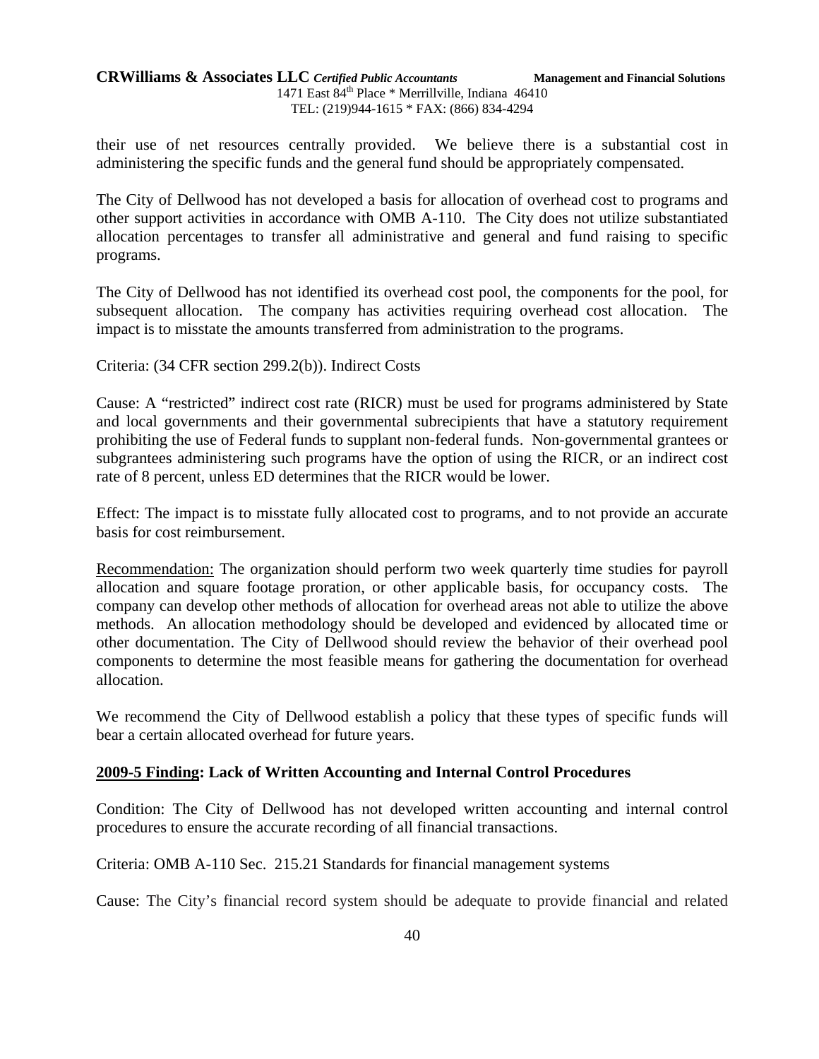their use of net resources centrally provided. We believe there is a substantial cost in administering the specific funds and the general fund should be appropriately compensated.

The City of Dellwood has not developed a basis for allocation of overhead cost to programs and other support activities in accordance with OMB A-110. The City does not utilize substantiated allocation percentages to transfer all administrative and general and fund raising to specific programs.

The City of Dellwood has not identified its overhead cost pool, the components for the pool, for subsequent allocation. The company has activities requiring overhead cost allocation. The impact is to misstate the amounts transferred from administration to the programs.

Criteria: (34 CFR section 299.2(b)). Indirect Costs

Cause: A "restricted" indirect cost rate (RICR) must be used for programs administered by State and local governments and their governmental subrecipients that have a statutory requirement prohibiting the use of Federal funds to supplant non-federal funds. Non-governmental grantees or subgrantees administering such programs have the option of using the RICR, or an indirect cost rate of 8 percent, unless ED determines that the RICR would be lower.

Effect: The impact is to misstate fully allocated cost to programs, and to not provide an accurate basis for cost reimbursement.

Recommendation: The organization should perform two week quarterly time studies for payroll allocation and square footage proration, or other applicable basis, for occupancy costs. The company can develop other methods of allocation for overhead areas not able to utilize the above methods. An allocation methodology should be developed and evidenced by allocated time or other documentation. The City of Dellwood should review the behavior of their overhead pool components to determine the most feasible means for gathering the documentation for overhead allocation.

We recommend the City of Dellwood establish a policy that these types of specific funds will bear a certain allocated overhead for future years.

### **2009-5 Finding: Lack of Written Accounting and Internal Control Procedures**

Condition: The City of Dellwood has not developed written accounting and internal control procedures to ensure the accurate recording of all financial transactions.

Criteria: OMB A-110 Sec. 215.21 Standards for financial management systems

Cause: The City's financial record system should be adequate to provide financial and related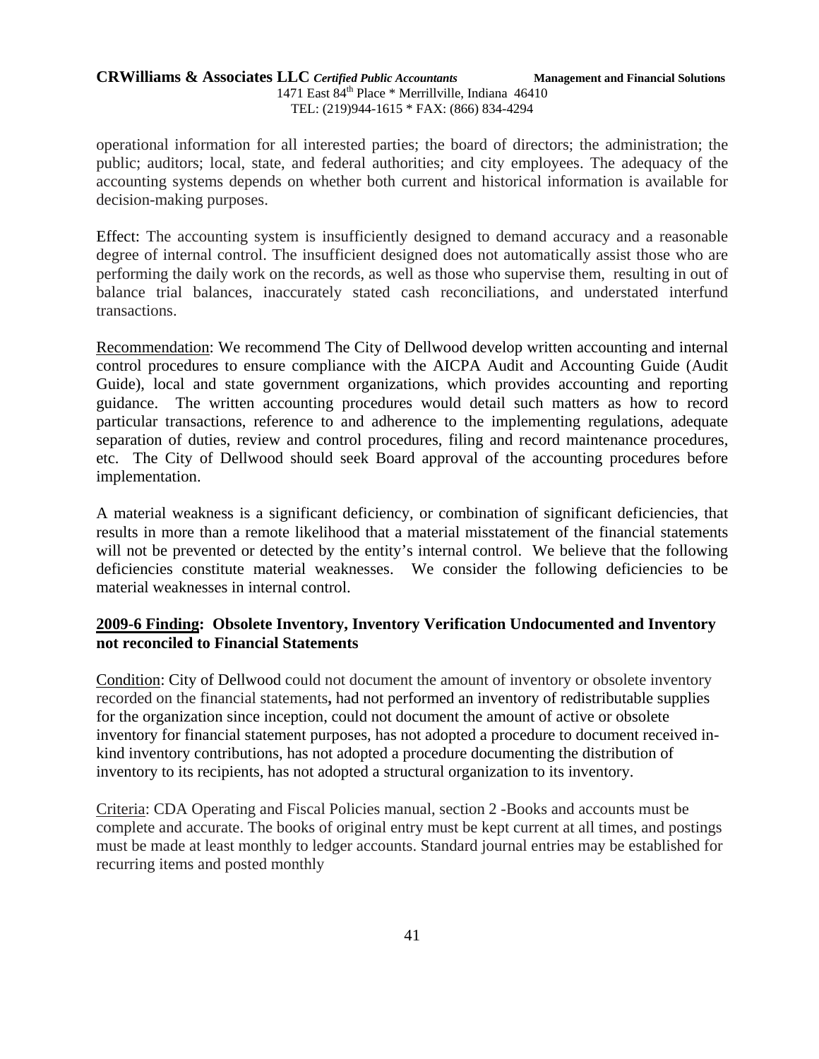operational information for all interested parties; the board of directors; the administration; the public; auditors; local, state, and federal authorities; and city employees. The adequacy of the accounting systems depends on whether both current and historical information is available for decision-making purposes.

Effect: The accounting system is insufficiently designed to demand accuracy and a reasonable degree of internal control. The insufficient designed does not automatically assist those who are performing the daily work on the records, as well as those who supervise them, resulting in out of balance trial balances, inaccurately stated cash reconciliations, and understated interfund transactions.

Recommendation: We recommend The City of Dellwood develop written accounting and internal control procedures to ensure compliance with the AICPA Audit and Accounting Guide (Audit Guide), local and state government organizations, which provides accounting and reporting guidance. The written accounting procedures would detail such matters as how to record particular transactions, reference to and adherence to the implementing regulations, adequate separation of duties, review and control procedures, filing and record maintenance procedures, etc. The City of Dellwood should seek Board approval of the accounting procedures before implementation.

A material weakness is a significant deficiency, or combination of significant deficiencies, that results in more than a remote likelihood that a material misstatement of the financial statements will not be prevented or detected by the entity's internal control. We believe that the following deficiencies constitute material weaknesses. We consider the following deficiencies to be material weaknesses in internal control.

# **2009-6 Finding: Obsolete Inventory, Inventory Verification Undocumented and Inventory not reconciled to Financial Statements**

Condition: City of Dellwood could not document the amount of inventory or obsolete inventory recorded on the financial statements**,** had not performed an inventory of redistributable supplies for the organization since inception, could not document the amount of active or obsolete inventory for financial statement purposes, has not adopted a procedure to document received inkind inventory contributions, has not adopted a procedure documenting the distribution of inventory to its recipients, has not adopted a structural organization to its inventory.

Criteria: CDA Operating and Fiscal Policies manual, section 2 -Books and accounts must be complete and accurate. The books of original entry must be kept current at all times, and postings must be made at least monthly to ledger accounts. Standard journal entries may be established for recurring items and posted monthly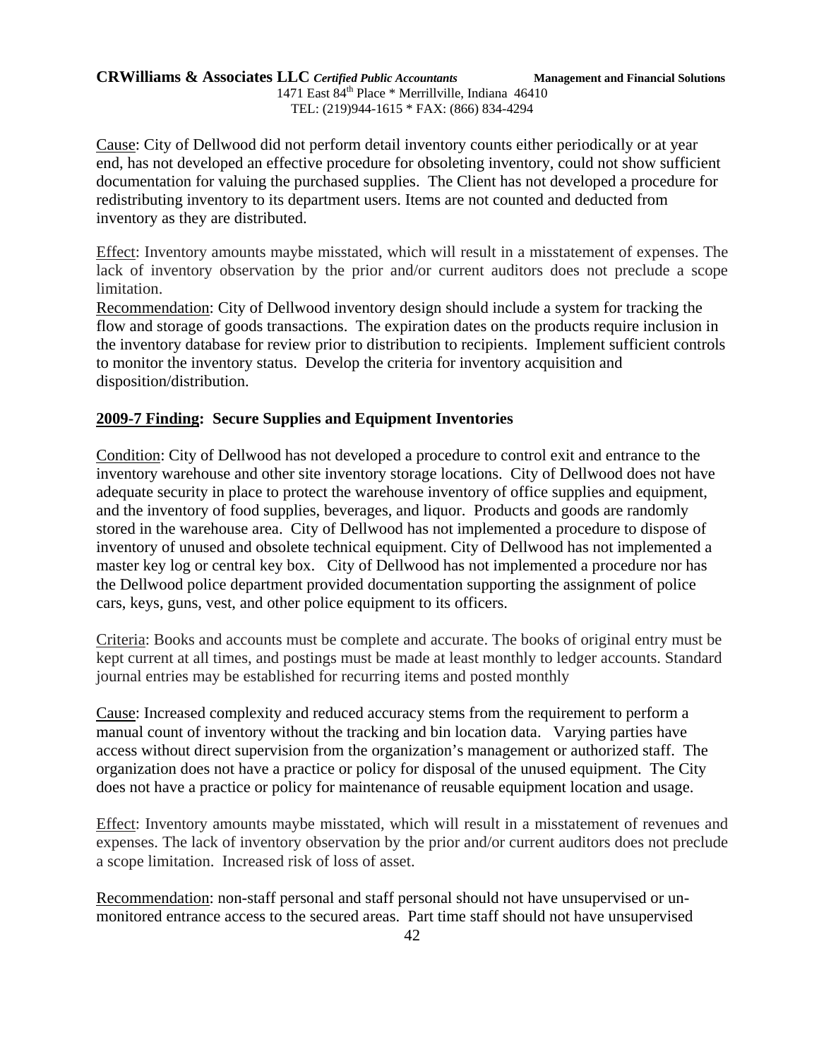Cause: City of Dellwood did not perform detail inventory counts either periodically or at year end, has not developed an effective procedure for obsoleting inventory, could not show sufficient documentation for valuing the purchased supplies. The Client has not developed a procedure for redistributing inventory to its department users. Items are not counted and deducted from inventory as they are distributed.

Effect: Inventory amounts maybe misstated, which will result in a misstatement of expenses. The lack of inventory observation by the prior and/or current auditors does not preclude a scope limitation.

Recommendation: City of Dellwood inventory design should include a system for tracking the flow and storage of goods transactions. The expiration dates on the products require inclusion in the inventory database for review prior to distribution to recipients. Implement sufficient controls to monitor the inventory status. Develop the criteria for inventory acquisition and disposition/distribution.

# **2009-7 Finding: Secure Supplies and Equipment Inventories**

Condition: City of Dellwood has not developed a procedure to control exit and entrance to the inventory warehouse and other site inventory storage locations. City of Dellwood does not have adequate security in place to protect the warehouse inventory of office supplies and equipment, and the inventory of food supplies, beverages, and liquor. Products and goods are randomly stored in the warehouse area. City of Dellwood has not implemented a procedure to dispose of inventory of unused and obsolete technical equipment. City of Dellwood has not implemented a master key log or central key box. City of Dellwood has not implemented a procedure nor has the Dellwood police department provided documentation supporting the assignment of police cars, keys, guns, vest, and other police equipment to its officers.

Criteria: Books and accounts must be complete and accurate. The books of original entry must be kept current at all times, and postings must be made at least monthly to ledger accounts. Standard journal entries may be established for recurring items and posted monthly

Cause: Increased complexity and reduced accuracy stems from the requirement to perform a manual count of inventory without the tracking and bin location data. Varying parties have access without direct supervision from the organization's management or authorized staff. The organization does not have a practice or policy for disposal of the unused equipment. The City does not have a practice or policy for maintenance of reusable equipment location and usage.

Effect: Inventory amounts maybe misstated, which will result in a misstatement of revenues and expenses. The lack of inventory observation by the prior and/or current auditors does not preclude a scope limitation. Increased risk of loss of asset.

Recommendation: non-staff personal and staff personal should not have unsupervised or unmonitored entrance access to the secured areas. Part time staff should not have unsupervised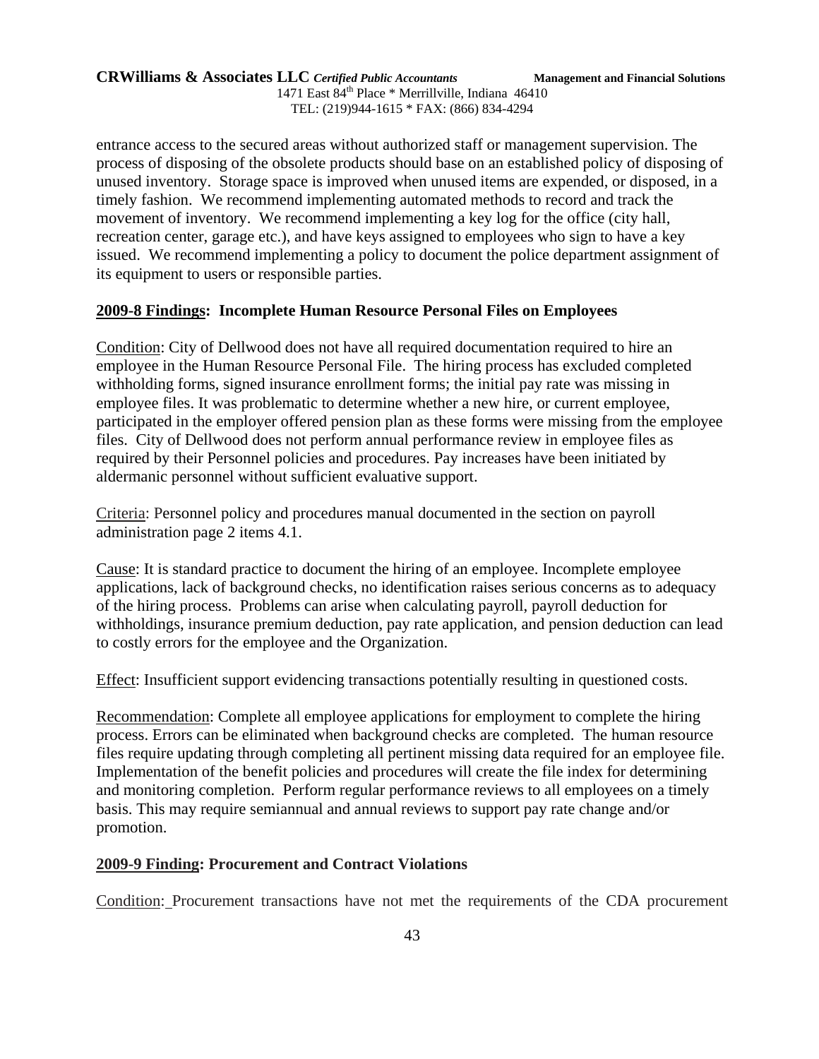entrance access to the secured areas without authorized staff or management supervision. The process of disposing of the obsolete products should base on an established policy of disposing of unused inventory. Storage space is improved when unused items are expended, or disposed, in a timely fashion. We recommend implementing automated methods to record and track the movement of inventory. We recommend implementing a key log for the office (city hall, recreation center, garage etc.), and have keys assigned to employees who sign to have a key issued. We recommend implementing a policy to document the police department assignment of its equipment to users or responsible parties.

### **2009-8 Findings: Incomplete Human Resource Personal Files on Employees**

Condition: City of Dellwood does not have all required documentation required to hire an employee in the Human Resource Personal File. The hiring process has excluded completed withholding forms, signed insurance enrollment forms; the initial pay rate was missing in employee files. It was problematic to determine whether a new hire, or current employee, participated in the employer offered pension plan as these forms were missing from the employee files. City of Dellwood does not perform annual performance review in employee files as required by their Personnel policies and procedures. Pay increases have been initiated by aldermanic personnel without sufficient evaluative support.

Criteria: Personnel policy and procedures manual documented in the section on payroll administration page 2 items 4.1.

Cause: It is standard practice to document the hiring of an employee. Incomplete employee applications, lack of background checks, no identification raises serious concerns as to adequacy of the hiring process. Problems can arise when calculating payroll, payroll deduction for withholdings, insurance premium deduction, pay rate application, and pension deduction can lead to costly errors for the employee and the Organization.

Effect: Insufficient support evidencing transactions potentially resulting in questioned costs.

Recommendation: Complete all employee applications for employment to complete the hiring process. Errors can be eliminated when background checks are completed. The human resource files require updating through completing all pertinent missing data required for an employee file. Implementation of the benefit policies and procedures will create the file index for determining and monitoring completion. Perform regular performance reviews to all employees on a timely basis. This may require semiannual and annual reviews to support pay rate change and/or promotion.

### **2009-9 Finding: Procurement and Contract Violations**

Condition: Procurement transactions have not met the requirements of the CDA procurement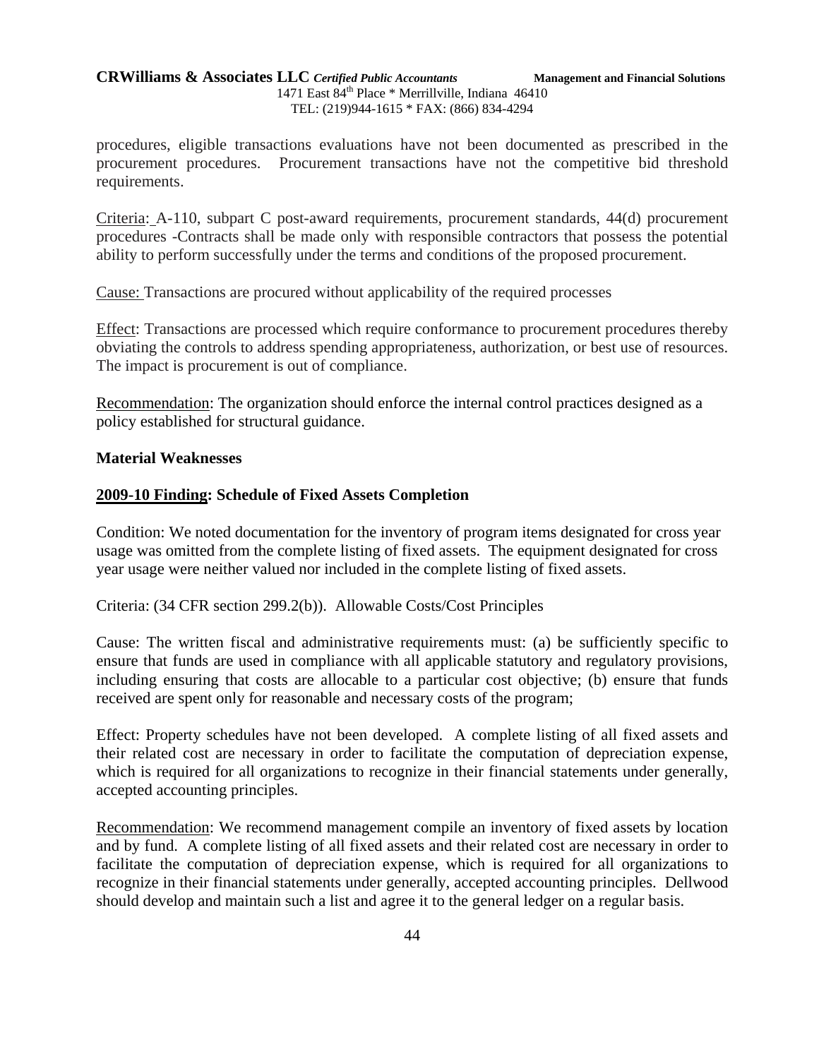procedures, eligible transactions evaluations have not been documented as prescribed in the procurement procedures. Procurement transactions have not the competitive bid threshold requirements.

Criteria: A-110, subpart C post-award requirements, procurement standards, 44(d) procurement procedures -Contracts shall be made only with responsible contractors that possess the potential ability to perform successfully under the terms and conditions of the proposed procurement.

Cause: Transactions are procured without applicability of the required processes

Effect: Transactions are processed which require conformance to procurement procedures thereby obviating the controls to address spending appropriateness, authorization, or best use of resources. The impact is procurement is out of compliance.

Recommendation: The organization should enforce the internal control practices designed as a policy established for structural guidance.

## **Material Weaknesses**

### **2009-10 Finding: Schedule of Fixed Assets Completion**

Condition: We noted documentation for the inventory of program items designated for cross year usage was omitted from the complete listing of fixed assets. The equipment designated for cross year usage were neither valued nor included in the complete listing of fixed assets.

Criteria: (34 CFR section 299.2(b)). Allowable Costs/Cost Principles

Cause: The written fiscal and administrative requirements must: (a) be sufficiently specific to ensure that funds are used in compliance with all applicable statutory and regulatory provisions, including ensuring that costs are allocable to a particular cost objective; (b) ensure that funds received are spent only for reasonable and necessary costs of the program;

Effect: Property schedules have not been developed. A complete listing of all fixed assets and their related cost are necessary in order to facilitate the computation of depreciation expense, which is required for all organizations to recognize in their financial statements under generally, accepted accounting principles.

Recommendation: We recommend management compile an inventory of fixed assets by location and by fund. A complete listing of all fixed assets and their related cost are necessary in order to facilitate the computation of depreciation expense, which is required for all organizations to recognize in their financial statements under generally, accepted accounting principles. Dellwood should develop and maintain such a list and agree it to the general ledger on a regular basis.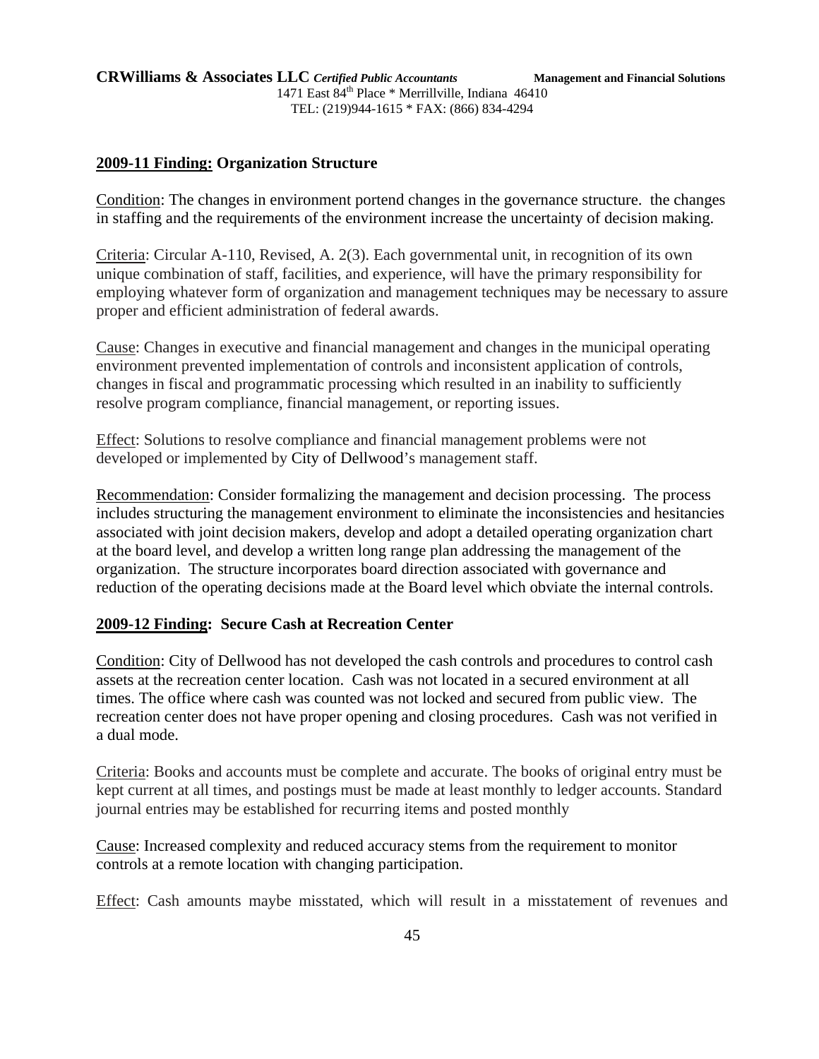# **2009-11 Finding: Organization Structure**

Condition: The changes in environment portend changes in the governance structure. the changes in staffing and the requirements of the environment increase the uncertainty of decision making.

Criteria: Circular A-110, Revised, A. 2(3). Each governmental unit, in recognition of its own unique combination of staff, facilities, and experience, will have the primary responsibility for employing whatever form of organization and management techniques may be necessary to assure proper and efficient administration of federal awards.

Cause: Changes in executive and financial management and changes in the municipal operating environment prevented implementation of controls and inconsistent application of controls, changes in fiscal and programmatic processing which resulted in an inability to sufficiently resolve program compliance, financial management, or reporting issues.

Effect: Solutions to resolve compliance and financial management problems were not developed or implemented by City of Dellwood's management staff.

Recommendation: Consider formalizing the management and decision processing. The process includes structuring the management environment to eliminate the inconsistencies and hesitancies associated with joint decision makers, develop and adopt a detailed operating organization chart at the board level, and develop a written long range plan addressing the management of the organization. The structure incorporates board direction associated with governance and reduction of the operating decisions made at the Board level which obviate the internal controls.

### **2009-12 Finding: Secure Cash at Recreation Center**

Condition: City of Dellwood has not developed the cash controls and procedures to control cash assets at the recreation center location. Cash was not located in a secured environment at all times. The office where cash was counted was not locked and secured from public view. The recreation center does not have proper opening and closing procedures. Cash was not verified in a dual mode.

Criteria: Books and accounts must be complete and accurate. The books of original entry must be kept current at all times, and postings must be made at least monthly to ledger accounts. Standard journal entries may be established for recurring items and posted monthly

Cause: Increased complexity and reduced accuracy stems from the requirement to monitor controls at a remote location with changing participation.

Effect: Cash amounts maybe misstated, which will result in a misstatement of revenues and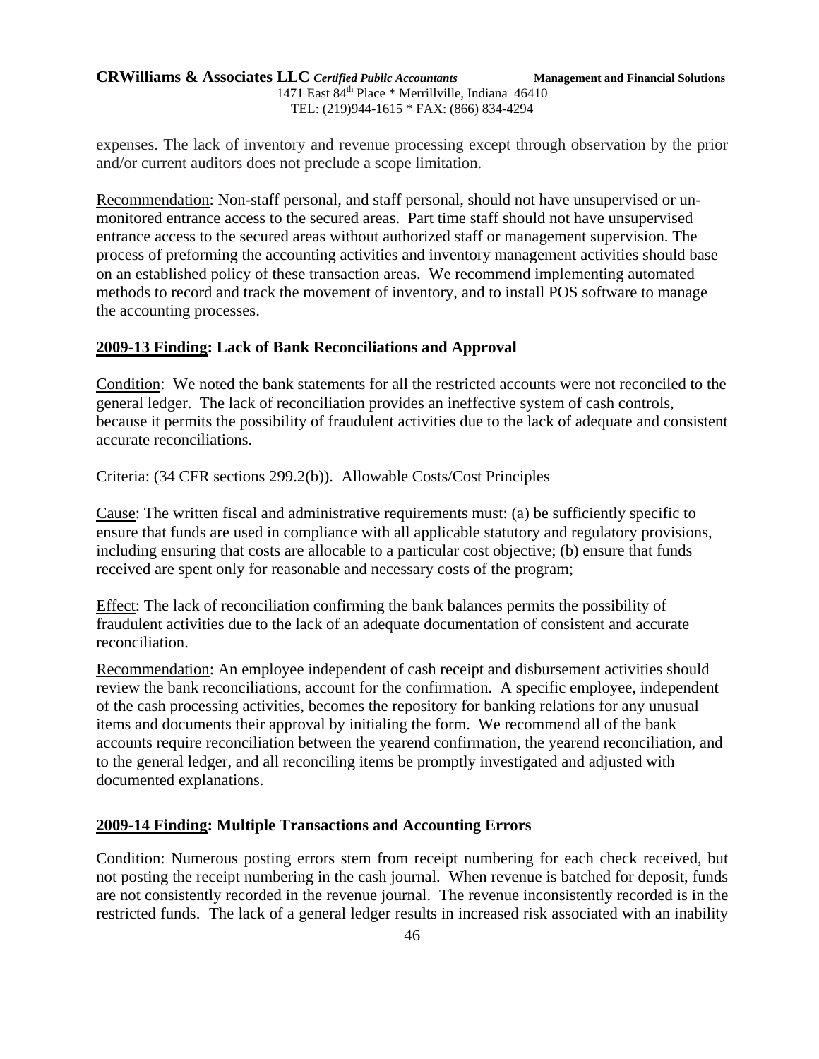expenses. The lack of inventory and revenue processing except through observation by the prior and/or current auditors does not preclude a scope limitation.

Recommendation: Non-staff personal, and staff personal, should not have unsupervised or unmonitored entrance access to the secured areas. Part time staff should not have unsupervised entrance access to the secured areas without authorized staff or management supervision. The process of preforming the accounting activities and inventory management activities should base on an established policy of these transaction areas. We recommend implementing automated methods to record and track the movement of inventory, and to install POS software to manage the accounting processes.

# **2009-13 Finding: Lack of Bank Reconciliations and Approval**

Condition: We noted the bank statements for all the restricted accounts were not reconciled to the general ledger. The lack of reconciliation provides an ineffective system of cash controls, because it permits the possibility of fraudulent activities due to the lack of adequate and consistent accurate reconciliations.

Criteria: (34 CFR sections 299.2(b)). Allowable Costs/Cost Principles

Cause: The written fiscal and administrative requirements must: (a) be sufficiently specific to ensure that funds are used in compliance with all applicable statutory and regulatory provisions, including ensuring that costs are allocable to a particular cost objective; (b) ensure that funds received are spent only for reasonable and necessary costs of the program;

Effect: The lack of reconciliation confirming the bank balances permits the possibility of fraudulent activities due to the lack of an adequate documentation of consistent and accurate reconciliation.

Recommendation: An employee independent of cash receipt and disbursement activities should review the bank reconciliations, account for the confirmation. A specific employee, independent of the cash processing activities, becomes the repository for banking relations for any unusual items and documents their approval by initialing the form. We recommend all of the bank accounts require reconciliation between the yearend confirmation, the yearend reconciliation, and to the general ledger, and all reconciling items be promptly investigated and adjusted with documented explanations.

### **2009-14 Finding: Multiple Transactions and Accounting Errors**

Condition: Numerous posting errors stem from receipt numbering for each check received, but not posting the receipt numbering in the cash journal. When revenue is batched for deposit, funds are not consistently recorded in the revenue journal. The revenue inconsistently recorded is in the restricted funds. The lack of a general ledger results in increased risk associated with an inability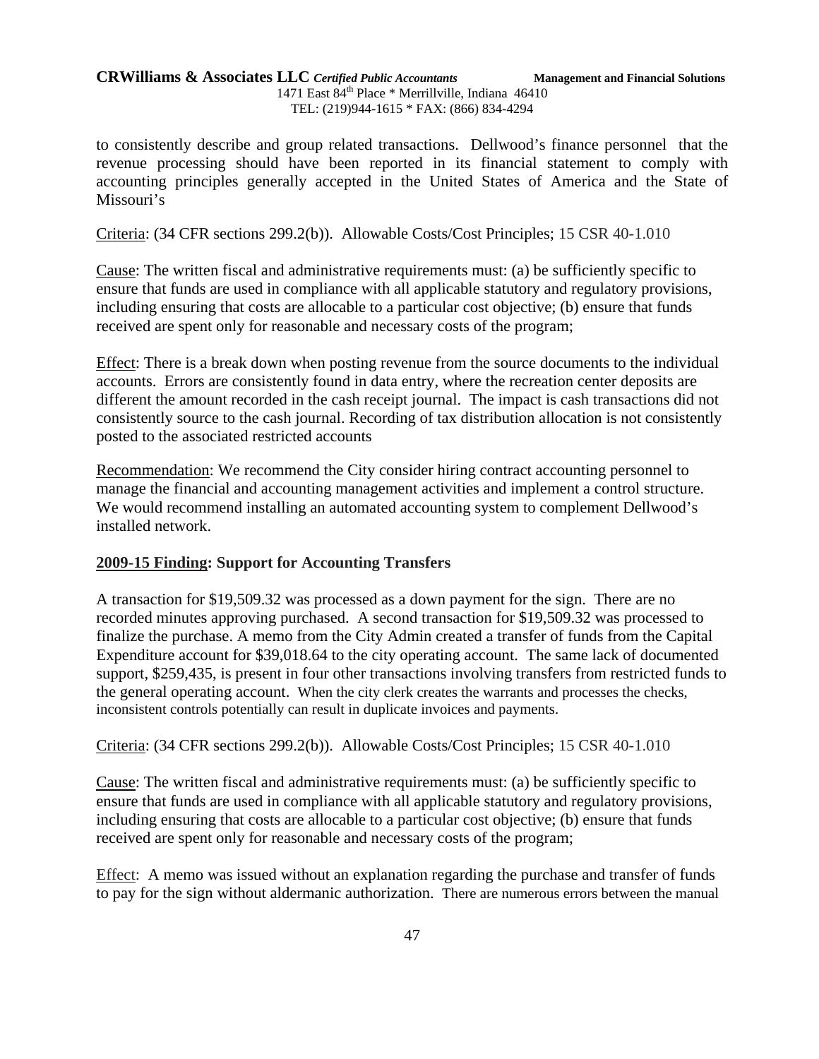to consistently describe and group related transactions. Dellwood's finance personnel that the revenue processing should have been reported in its financial statement to comply with accounting principles generally accepted in the United States of America and the State of Missouri's

Criteria: (34 CFR sections 299.2(b)). Allowable Costs/Cost Principles; 15 CSR 40-1.010

Cause: The written fiscal and administrative requirements must: (a) be sufficiently specific to ensure that funds are used in compliance with all applicable statutory and regulatory provisions, including ensuring that costs are allocable to a particular cost objective; (b) ensure that funds received are spent only for reasonable and necessary costs of the program;

Effect: There is a break down when posting revenue from the source documents to the individual accounts. Errors are consistently found in data entry, where the recreation center deposits are different the amount recorded in the cash receipt journal. The impact is cash transactions did not consistently source to the cash journal. Recording of tax distribution allocation is not consistently posted to the associated restricted accounts

Recommendation: We recommend the City consider hiring contract accounting personnel to manage the financial and accounting management activities and implement a control structure. We would recommend installing an automated accounting system to complement Dellwood's installed network.

### **2009-15 Finding: Support for Accounting Transfers**

A transaction for \$19,509.32 was processed as a down payment for the sign. There are no recorded minutes approving purchased. A second transaction for \$19,509.32 was processed to finalize the purchase. A memo from the City Admin created a transfer of funds from the Capital Expenditure account for \$39,018.64 to the city operating account. The same lack of documented support, \$259,435, is present in four other transactions involving transfers from restricted funds to the general operating account. When the city clerk creates the warrants and processes the checks, inconsistent controls potentially can result in duplicate invoices and payments.

Criteria: (34 CFR sections 299.2(b)). Allowable Costs/Cost Principles; 15 CSR 40-1.010

Cause: The written fiscal and administrative requirements must: (a) be sufficiently specific to ensure that funds are used in compliance with all applicable statutory and regulatory provisions, including ensuring that costs are allocable to a particular cost objective; (b) ensure that funds received are spent only for reasonable and necessary costs of the program;

Effect: A memo was issued without an explanation regarding the purchase and transfer of funds to pay for the sign without aldermanic authorization. There are numerous errors between the manual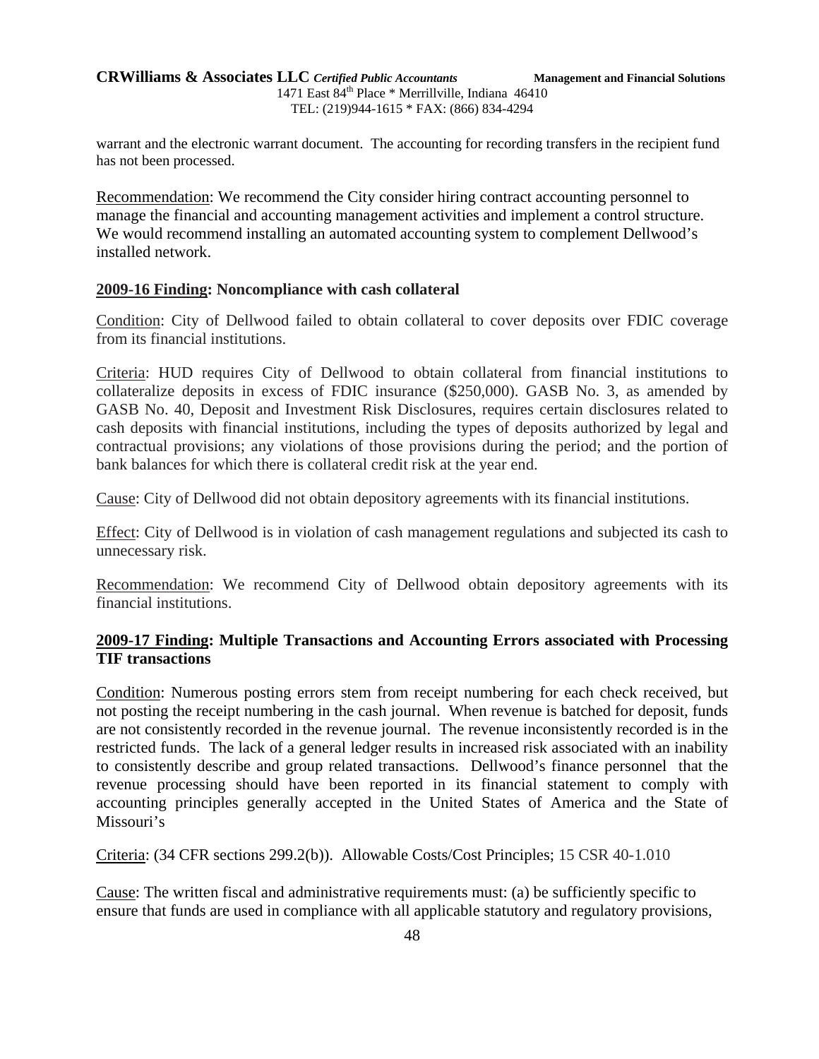warrant and the electronic warrant document. The accounting for recording transfers in the recipient fund has not been processed.

Recommendation: We recommend the City consider hiring contract accounting personnel to manage the financial and accounting management activities and implement a control structure. We would recommend installing an automated accounting system to complement Dellwood's installed network.

### **2009-16 Finding: Noncompliance with cash collateral**

Condition: City of Dellwood failed to obtain collateral to cover deposits over FDIC coverage from its financial institutions.

Criteria: HUD requires City of Dellwood to obtain collateral from financial institutions to collateralize deposits in excess of FDIC insurance (\$250,000). GASB No. 3, as amended by GASB No. 40, Deposit and Investment Risk Disclosures, requires certain disclosures related to cash deposits with financial institutions, including the types of deposits authorized by legal and contractual provisions; any violations of those provisions during the period; and the portion of bank balances for which there is collateral credit risk at the year end.

Cause: City of Dellwood did not obtain depository agreements with its financial institutions.

Effect: City of Dellwood is in violation of cash management regulations and subjected its cash to unnecessary risk.

Recommendation: We recommend City of Dellwood obtain depository agreements with its financial institutions.

# **2009-17 Finding: Multiple Transactions and Accounting Errors associated with Processing TIF transactions**

Condition: Numerous posting errors stem from receipt numbering for each check received, but not posting the receipt numbering in the cash journal. When revenue is batched for deposit, funds are not consistently recorded in the revenue journal. The revenue inconsistently recorded is in the restricted funds. The lack of a general ledger results in increased risk associated with an inability to consistently describe and group related transactions. Dellwood's finance personnel that the revenue processing should have been reported in its financial statement to comply with accounting principles generally accepted in the United States of America and the State of Missouri's

Criteria: (34 CFR sections 299.2(b)). Allowable Costs/Cost Principles; 15 CSR 40-1.010

Cause: The written fiscal and administrative requirements must: (a) be sufficiently specific to ensure that funds are used in compliance with all applicable statutory and regulatory provisions,